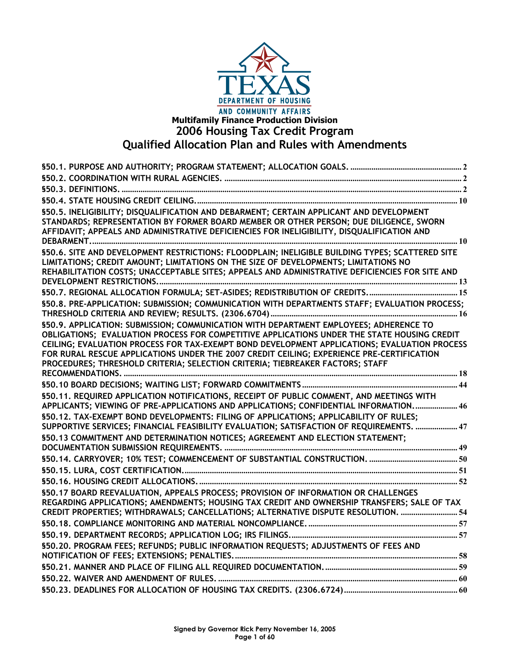

# **Multifamily Finance Production Division 2006 Housing Tax Credit Program Qualified Allocation Plan and Rules with Amendments**

| \$50.5. INELIGIBILITY; DISQUALIFICATION AND DEBARMENT; CERTAIN APPLICANT AND DEVELOPMENT<br>STANDARDS; REPRESENTATION BY FORMER BOARD MEMBER OR OTHER PERSON; DUE DILIGENCE, SWORN<br>AFFIDAVIT; APPEALS AND ADMINISTRATIVE DEFICIENCIES FOR INELIGIBILITY, DISQUALIFICATION AND                                                                                                                                                                                    |  |
|---------------------------------------------------------------------------------------------------------------------------------------------------------------------------------------------------------------------------------------------------------------------------------------------------------------------------------------------------------------------------------------------------------------------------------------------------------------------|--|
| §50.6. SITE AND DEVELOPMENT RESTRICTIONS: FLOODPLAIN; INELIGIBLE BUILDING TYPES; SCATTERED SITE<br>LIMITATIONS; CREDIT AMOUNT; LIMITATIONS ON THE SIZE OF DEVELOPMENTS; LIMITATIONS NO<br>REHABILITATION COSTS; UNACCEPTABLE SITES; APPEALS AND ADMINISTRATIVE DEFICIENCIES FOR SITE AND                                                                                                                                                                            |  |
|                                                                                                                                                                                                                                                                                                                                                                                                                                                                     |  |
| \$50.8. PRE-APPLICATION: SUBMISSION; COMMUNICATION WITH DEPARTMENTS STAFF; EVALUATION PROCESS;                                                                                                                                                                                                                                                                                                                                                                      |  |
| \$50.9. APPLICATION: SUBMISSION; COMMUNICATION WITH DEPARTMENT EMPLOYEES; ADHERENCE TO<br>OBLIGATIONS; EVALUATION PROCESS FOR COMPETITIVE APPLICATIONS UNDER THE STATE HOUSING CREDIT<br>CEILING; EVALUATION PROCESS FOR TAX-EXEMPT BOND DEVELOPMENT APPLICATIONS; EVALUATION PROCESS<br>FOR RURAL RESCUE APPLICATIONS UNDER THE 2007 CREDIT CEILING; EXPERIENCE PRE-CERTIFICATION<br>PROCEDURES; THRESHOLD CRITERIA; SELECTION CRITERIA; TIEBREAKER FACTORS; STAFF |  |
|                                                                                                                                                                                                                                                                                                                                                                                                                                                                     |  |
| \$50.11. REQUIRED APPLICATION NOTIFICATIONS, RECEIPT OF PUBLIC COMMENT, AND MEETINGS WITH<br>APPLICANTS; VIEWING OF PRE-APPLICATIONS AND APPLICATIONS; CONFIDENTIAL INFORMATION 46                                                                                                                                                                                                                                                                                  |  |
| \$50.12. TAX-EXEMPT BOND DEVELOPMENTS: FILING OF APPLICATIONS; APPLICABILITY OF RULES;<br>SUPPORTIVE SERVICES; FINANCIAL FEASIBILITY EVALUATION; SATISFACTION OF REQUIREMENTS.  47                                                                                                                                                                                                                                                                                  |  |
| \$50.13 COMMITMENT AND DETERMINATION NOTICES; AGREEMENT AND ELECTION STATEMENT;                                                                                                                                                                                                                                                                                                                                                                                     |  |
|                                                                                                                                                                                                                                                                                                                                                                                                                                                                     |  |
|                                                                                                                                                                                                                                                                                                                                                                                                                                                                     |  |
|                                                                                                                                                                                                                                                                                                                                                                                                                                                                     |  |
| \$50.17 BOARD REEVALUATION, APPEALS PROCESS; PROVISION OF INFORMATION OR CHALLENGES<br>REGARDING APPLICATIONS; AMENDMENTS; HOUSING TAX CREDIT AND OWNERSHIP TRANSFERS; SALE OF TAX                                                                                                                                                                                                                                                                                  |  |
| CREDIT PROPERTIES; WITHDRAWALS; CANCELLATIONS; ALTERNATIVE DISPUTE RESOLUTION.  54                                                                                                                                                                                                                                                                                                                                                                                  |  |
|                                                                                                                                                                                                                                                                                                                                                                                                                                                                     |  |
|                                                                                                                                                                                                                                                                                                                                                                                                                                                                     |  |
| \$50.20. PROGRAM FEES; REFUNDS; PUBLIC INFORMATION REQUESTS; ADJUSTMENTS OF FEES AND                                                                                                                                                                                                                                                                                                                                                                                |  |
|                                                                                                                                                                                                                                                                                                                                                                                                                                                                     |  |
|                                                                                                                                                                                                                                                                                                                                                                                                                                                                     |  |
|                                                                                                                                                                                                                                                                                                                                                                                                                                                                     |  |
|                                                                                                                                                                                                                                                                                                                                                                                                                                                                     |  |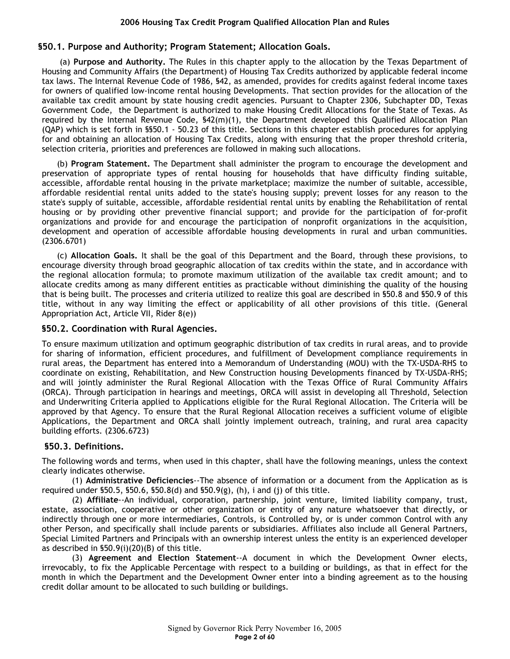# **§50.1. Purpose and Authority; Program Statement; Allocation Goals.**

(a) **Purpose and Authority.** The Rules in this chapter apply to the allocation by the Texas Department of Housing and Community Affairs (the Department) of Housing Tax Credits authorized by applicable federal income tax laws. The Internal Revenue Code of 1986, §42, as amended, provides for credits against federal income taxes for owners of qualified low-income rental housing Developments. That section provides for the allocation of the available tax credit amount by state housing credit agencies. Pursuant to Chapter 2306, Subchapter DD, Texas Government Code, the Department is authorized to make Housing Credit Allocations for the State of Texas. As required by the Internal Revenue Code, §42(m)(1), the Department developed this Qualified Allocation Plan (QAP) which is set forth in §§50.1 - 50.23 of this title. Sections in this chapter establish procedures for applying for and obtaining an allocation of Housing Tax Credits, along with ensuring that the proper threshold criteria, selection criteria, priorities and preferences are followed in making such allocations.

(b) **Program Statement.** The Department shall administer the program to encourage the development and preservation of appropriate types of rental housing for households that have difficulty finding suitable, accessible, affordable rental housing in the private marketplace; maximize the number of suitable, accessible, affordable residential rental units added to the state's housing supply; prevent losses for any reason to the state's supply of suitable, accessible, affordable residential rental units by enabling the Rehabilitation of rental housing or by providing other preventive financial support; and provide for the participation of for-profit organizations and provide for and encourage the participation of nonprofit organizations in the acquisition, development and operation of accessible affordable housing developments in rural and urban communities. (2306.6701)

(c) **Allocation Goals.** It shall be the goal of this Department and the Board, through these provisions, to encourage diversity through broad geographic allocation of tax credits within the state, and in accordance with the regional allocation formula; to promote maximum utilization of the available tax credit amount; and to allocate credits among as many different entities as practicable without diminishing the quality of the housing that is being built. The processes and criteria utilized to realize this goal are described in §50.8 and §50.9 of this title, without in any way limiting the effect or applicability of all other provisions of this title. (General Appropriation Act, Article VII, Rider 8(e))

## **§50.2. Coordination with Rural Agencies.**

To ensure maximum utilization and optimum geographic distribution of tax credits in rural areas, and to provide for sharing of information, efficient procedures, and fulfillment of Development compliance requirements in rural areas, the Department has entered into a Memorandum of Understanding (MOU) with the TX-USDA-RHS to coordinate on existing, Rehabilitation, and New Construction housing Developments financed by TX-USDA-RHS; and will jointly administer the Rural Regional Allocation with the Texas Office of Rural Community Affairs (ORCA). Through participation in hearings and meetings, ORCA will assist in developing all Threshold, Selection and Underwriting Criteria applied to Applications eligible for the Rural Regional Allocation. The Criteria will be approved by that Agency. To ensure that the Rural Regional Allocation receives a sufficient volume of eligible Applications, the Department and ORCA shall jointly implement outreach, training, and rural area capacity building efforts. (2306.6723)

## **§50.3. Definitions.**

The following words and terms, when used in this chapter, shall have the following meanings, unless the context clearly indicates otherwise.

(1) **Administrative Deficiencies**--The absence of information or a document from the Application as is required under §50.5, §50.6, §50.8(d) and §50.9(g), (h), i and (j) of this title.

(2) **Affiliate**--An individual, corporation, partnership, joint venture, limited liability company, trust, estate, association, cooperative or other organization or entity of any nature whatsoever that directly, or indirectly through one or more intermediaries, Controls, is Controlled by, or is under common Control with any other Person, and specifically shall include parents or subsidiaries. Affiliates also include all General Partners, Special Limited Partners and Principals with an ownership interest unless the entity is an experienced developer as described in §50.9(i)(20)(B) of this title.

(3) **Agreement and Election Statement**--A document in which the Development Owner elects, irrevocably, to fix the Applicable Percentage with respect to a building or buildings, as that in effect for the month in which the Department and the Development Owner enter into a binding agreement as to the housing credit dollar amount to be allocated to such building or buildings.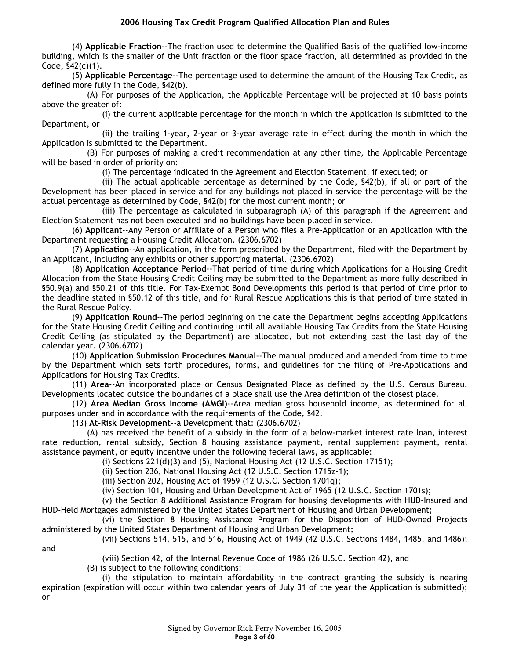(4) **Applicable Fraction**--The fraction used to determine the Qualified Basis of the qualified low-income building, which is the smaller of the Unit fraction or the floor space fraction, all determined as provided in the Code, §42(c)(1).

(5) **Applicable Percentage**--The percentage used to determine the amount of the Housing Tax Credit, as defined more fully in the Code, §42(b).

(A) For purposes of the Application, the Applicable Percentage will be projected at 10 basis points above the greater of:

(i) the current applicable percentage for the month in which the Application is submitted to the Department, or

(ii) the trailing 1-year, 2-year or 3-year average rate in effect during the month in which the Application is submitted to the Department.

(B) For purposes of making a credit recommendation at any other time, the Applicable Percentage will be based in order of priority on:

(i) The percentage indicated in the Agreement and Election Statement, if executed; or

(ii) The actual applicable percentage as determined by the Code, §42(b), if all or part of the Development has been placed in service and for any buildings not placed in service the percentage will be the actual percentage as determined by Code, §42(b) for the most current month; or

(iii) The percentage as calculated in subparagraph (A) of this paragraph if the Agreement and Election Statement has not been executed and no buildings have been placed in service.

(6) **Applicant**--Any Person or Affiliate of a Person who files a Pre-Application or an Application with the Department requesting a Housing Credit Allocation. (2306.6702)

(7) **Application**--An application, in the form prescribed by the Department, filed with the Department by an Applicant, including any exhibits or other supporting material. (2306.6702)

(8) **Application Acceptance Period**--That period of time during which Applications for a Housing Credit Allocation from the State Housing Credit Ceiling may be submitted to the Department as more fully described in §50.9(a) and §50.21 of this title. For Tax-Exempt Bond Developments this period is that period of time prior to the deadline stated in §50.12 of this title, and for Rural Rescue Applications this is that period of time stated in the Rural Rescue Policy.

(9) **Application Round**--The period beginning on the date the Department begins accepting Applications for the State Housing Credit Ceiling and continuing until all available Housing Tax Credits from the State Housing Credit Ceiling (as stipulated by the Department) are allocated, but not extending past the last day of the calendar year. (2306.6702)

(10) **Application Submission Procedures Manual**--The manual produced and amended from time to time by the Department which sets forth procedures, forms, and guidelines for the filing of Pre-Applications and Applications for Housing Tax Credits.

(11) **Area**--An incorporated place or Census Designated Place as defined by the U.S. Census Bureau. Developments located outside the boundaries of a place shall use the Area definition of the closest place.

(12) **Area Median Gross Income (AMGI)**--Area median gross household income, as determined for all purposes under and in accordance with the requirements of the Code, §42.

(13) **At-Risk Development**--a Development that: (2306.6702)

(A) has received the benefit of a subsidy in the form of a below-market interest rate loan, interest rate reduction, rental subsidy, Section 8 housing assistance payment, rental supplement payment, rental assistance payment, or equity incentive under the following federal laws, as applicable:

(i) Sections 221(d)(3) and (5), National Housing Act (12 U.S.C. Section 17151);

(ii) Section 236, National Housing Act (12 U.S.C. Section 1715z-1);

(iii) Section 202, Housing Act of 1959 (12 U.S.C. Section 1701q);

(iv) Section 101, Housing and Urban Development Act of 1965 (12 U.S.C. Section 1701s);

(v) the Section 8 Additional Assistance Program for housing developments with HUD-Insured and HUD-Held Mortgages administered by the United States Department of Housing and Urban Development;

(vi) the Section 8 Housing Assistance Program for the Disposition of HUD-Owned Projects administered by the United States Department of Housing and Urban Development;

(vii) Sections 514, 515, and 516, Housing Act of 1949 (42 U.S.C. Sections 1484, 1485, and 1486);

and

(viii) Section 42, of the Internal Revenue Code of 1986 (26 U.S.C. Section 42), and

(B) is subject to the following conditions:

(i) the stipulation to maintain affordability in the contract granting the subsidy is nearing expiration (expiration will occur within two calendar years of July 31 of the year the Application is submitted); or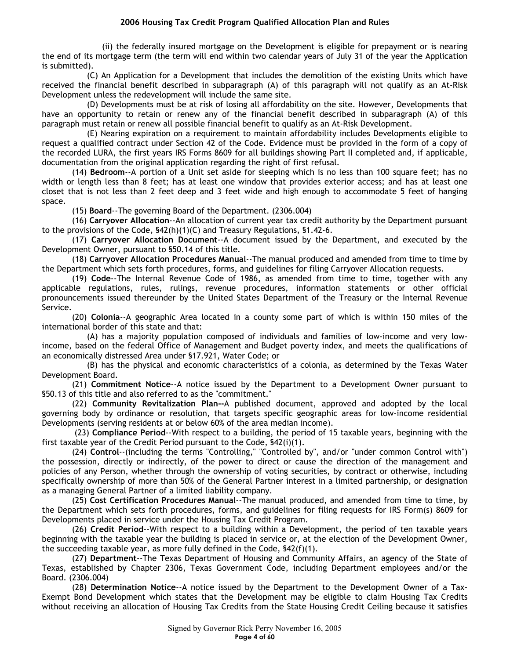(ii) the federally insured mortgage on the Development is eligible for prepayment or is nearing the end of its mortgage term (the term will end within two calendar years of July 31 of the year the Application is submitted).

(C) An Application for a Development that includes the demolition of the existing Units which have received the financial benefit described in subparagraph (A) of this paragraph will not qualify as an At-Risk Development unless the redevelopment will include the same site.

(D) Developments must be at risk of losing all affordability on the site. However, Developments that have an opportunity to retain or renew any of the financial benefit described in subparagraph (A) of this paragraph must retain or renew all possible financial benefit to qualify as an At-Risk Development.

(E) Nearing expiration on a requirement to maintain affordability includes Developments eligible to request a qualified contract under Section 42 of the Code. Evidence must be provided in the form of a copy of the recorded LURA, the first years IRS Forms 8609 for all buildings showing Part II completed and, if applicable, documentation from the original application regarding the right of first refusal.

(14) **Bedroom**--A portion of a Unit set aside for sleeping which is no less than 100 square feet; has no width or length less than 8 feet; has at least one window that provides exterior access; and has at least one closet that is not less than 2 feet deep and 3 feet wide and high enough to accommodate 5 feet of hanging space.

(15) **Board**--The governing Board of the Department. (2306.004)

(16) **Carryover Allocation**--An allocation of current year tax credit authority by the Department pursuant to the provisions of the Code, §42(h)(1)(C) and Treasury Regulations, §1.42-6.

(17) **Carryover Allocation Document**--A document issued by the Department, and executed by the Development Owner, pursuant to §50.14 of this title.

(18) **Carryover Allocation Procedures Manual**--The manual produced and amended from time to time by the Department which sets forth procedures, forms, and guidelines for filing Carryover Allocation requests.

(19) **Code**--The Internal Revenue Code of 1986, as amended from time to time, together with any applicable regulations, rules, rulings, revenue procedures, information statements or other official pronouncements issued thereunder by the United States Department of the Treasury or the Internal Revenue Service.

(20) **Colonia**--A geographic Area located in a county some part of which is within 150 miles of the international border of this state and that:

(A) has a majority population composed of individuals and families of low-income and very lowincome, based on the federal Office of Management and Budget poverty index, and meets the qualifications of an economically distressed Area under §17.921, Water Code; or

(B) has the physical and economic characteristics of a colonia, as determined by the Texas Water Development Board.

(21) **Commitment Notice**--A notice issued by the Department to a Development Owner pursuant to §50.13 of this title and also referred to as the "commitment."

(22) **Community Revitalization Plan--**A published document, approved and adopted by the local governing body by ordinance or resolution, that targets specific geographic areas for low-income residential Developments (serving residents at or below 60% of the area median income).

 (23) **Compliance Period**--With respect to a building, the period of 15 taxable years, beginning with the first taxable year of the Credit Period pursuant to the Code, §42(i)(1).

(24) **Control**--(including the terms "Controlling," "Controlled by", and/or "under common Control with") the possession, directly or indirectly, of the power to direct or cause the direction of the management and policies of any Person, whether through the ownership of voting securities, by contract or otherwise, including specifically ownership of more than 50% of the General Partner interest in a limited partnership, or designation as a managing General Partner of a limited liability company.

(25) **Cost Certification Procedures Manual**--The manual produced, and amended from time to time, by the Department which sets forth procedures, forms, and guidelines for filing requests for IRS Form(s) 8609 for Developments placed in service under the Housing Tax Credit Program.

(26) **Credit Period**--With respect to a building within a Development, the period of ten taxable years beginning with the taxable year the building is placed in service or, at the election of the Development Owner, the succeeding taxable year, as more fully defined in the Code, §42(f)(1).

(27) **Department**--The Texas Department of Housing and Community Affairs, an agency of the State of Texas, established by Chapter 2306, Texas Government Code, including Department employees and/or the Board. (2306.004)

(28) **Determination Notice**--A notice issued by the Department to the Development Owner of a Tax-Exempt Bond Development which states that the Development may be eligible to claim Housing Tax Credits without receiving an allocation of Housing Tax Credits from the State Housing Credit Ceiling because it satisfies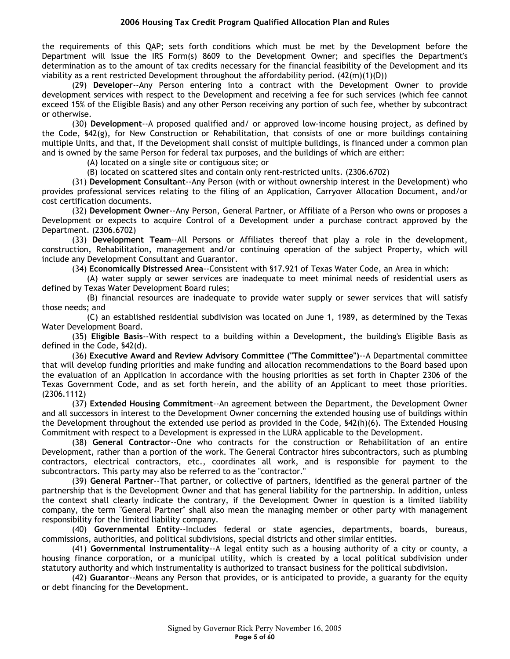the requirements of this QAP; sets forth conditions which must be met by the Development before the Department will issue the IRS Form(s) 8609 to the Development Owner; and specifies the Department's determination as to the amount of tax credits necessary for the financial feasibility of the Development and its viability as a rent restricted Development throughout the affordability period.  $(42(m)(1)(D))$ 

(29) **Developer**--Any Person entering into a contract with the Development Owner to provide development services with respect to the Development and receiving a fee for such services (which fee cannot exceed 15% of the Eligible Basis) and any other Person receiving any portion of such fee, whether by subcontract or otherwise.

(30) **Development**--A proposed qualified and/ or approved low-income housing project, as defined by the Code, §42(g), for New Construction or Rehabilitation, that consists of one or more buildings containing multiple Units, and that, if the Development shall consist of multiple buildings, is financed under a common plan and is owned by the same Person for federal tax purposes, and the buildings of which are either:

(A) located on a single site or contiguous site; or

(B) located on scattered sites and contain only rent-restricted units. (2306.6702)

(31) **Development Consultant**--Any Person (with or without ownership interest in the Development) who provides professional services relating to the filing of an Application, Carryover Allocation Document, and/or cost certification documents.

(32) **Development Owner**--Any Person, General Partner, or Affiliate of a Person who owns or proposes a Development or expects to acquire Control of a Development under a purchase contract approved by the Department. (2306.6702)

(33) **Development Team**--All Persons or Affiliates thereof that play a role in the development, construction, Rehabilitation, management and/or continuing operation of the subject Property, which will include any Development Consultant and Guarantor.

(34) **Economically Distressed Area**--Consistent with §17.921 of Texas Water Code, an Area in which:

(A) water supply or sewer services are inadequate to meet minimal needs of residential users as defined by Texas Water Development Board rules;

(B) financial resources are inadequate to provide water supply or sewer services that will satisfy those needs; and

(C) an established residential subdivision was located on June 1, 1989, as determined by the Texas Water Development Board.

(35) **Eligible Basis**--With respect to a building within a Development, the building's Eligible Basis as defined in the Code, §42(d).

(36) **Executive Award and Review Advisory Committee ("The Committee")**--A Departmental committee that will develop funding priorities and make funding and allocation recommendations to the Board based upon the evaluation of an Application in accordance with the housing priorities as set forth in Chapter 2306 of the Texas Government Code, and as set forth herein, and the ability of an Applicant to meet those priorities. (2306.1112)

(37) **Extended Housing Commitment**--An agreement between the Department, the Development Owner and all successors in interest to the Development Owner concerning the extended housing use of buildings within the Development throughout the extended use period as provided in the Code, §42(h)(6). The Extended Housing Commitment with respect to a Development is expressed in the LURA applicable to the Development.

(38) **General Contractor**--One who contracts for the construction or Rehabilitation of an entire Development, rather than a portion of the work. The General Contractor hires subcontractors, such as plumbing contractors, electrical contractors, etc., coordinates all work, and is responsible for payment to the subcontractors. This party may also be referred to as the "contractor."

(39) **General Partner**--That partner, or collective of partners, identified as the general partner of the partnership that is the Development Owner and that has general liability for the partnership. In addition, unless the context shall clearly indicate the contrary, if the Development Owner in question is a limited liability company, the term "General Partner" shall also mean the managing member or other party with management responsibility for the limited liability company.

(40) **Governmental Entity**--Includes federal or state agencies, departments, boards, bureaus, commissions, authorities, and political subdivisions, special districts and other similar entities.

(41) **Governmental Instrumentality**--A legal entity such as a housing authority of a city or county, a housing finance corporation, or a municipal utility, which is created by a local political subdivision under statutory authority and which instrumentality is authorized to transact business for the political subdivision.

(42) **Guarantor**--Means any Person that provides, or is anticipated to provide, a guaranty for the equity or debt financing for the Development.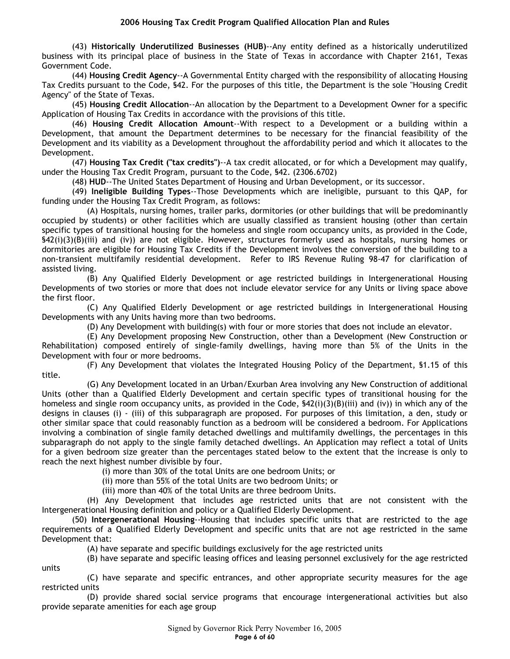(43) **Historically Underutilized Businesses (HUB)**--Any entity defined as a historically underutilized business with its principal place of business in the State of Texas in accordance with Chapter 2161, Texas Government Code.

(44) **Housing Credit Agency**--A Governmental Entity charged with the responsibility of allocating Housing Tax Credits pursuant to the Code, §42. For the purposes of this title, the Department is the sole "Housing Credit Agency" of the State of Texas.

(45) **Housing Credit Allocation**--An allocation by the Department to a Development Owner for a specific Application of Housing Tax Credits in accordance with the provisions of this title.

(46) **Housing Credit Allocation Amount**--With respect to a Development or a building within a Development, that amount the Department determines to be necessary for the financial feasibility of the Development and its viability as a Development throughout the affordability period and which it allocates to the Development.

(47) **Housing Tax Credit ("tax credits")**--A tax credit allocated, or for which a Development may qualify, under the Housing Tax Credit Program, pursuant to the Code, §42. (2306.6702)

(48) **HUD**--The United States Department of Housing and Urban Development, or its successor.

(49) **Ineligible Building Types**--Those Developments which are ineligible, pursuant to this QAP, for funding under the Housing Tax Credit Program, as follows:

(A) Hospitals, nursing homes, trailer parks, dormitories (or other buildings that will be predominantly occupied by students) or other facilities which are usually classified as transient housing (other than certain specific types of transitional housing for the homeless and single room occupancy units, as provided in the Code,  $$42(i)(3)(B(iii)$  and (iv)) are not eligible. However, structures formerly used as hospitals, nursing homes or dormitories are eligible for Housing Tax Credits if the Development involves the conversion of the building to a non-transient multifamily residential development. Refer to IRS Revenue Ruling 98-47 for clarification of assisted living.

(B) Any Qualified Elderly Development or age restricted buildings in Intergenerational Housing Developments of two stories or more that does not include elevator service for any Units or living space above the first floor.

(C) Any Qualified Elderly Development or age restricted buildings in Intergenerational Housing Developments with any Units having more than two bedrooms.

(D) Any Development with building(s) with four or more stories that does not include an elevator.

(E) Any Development proposing New Construction, other than a Development (New Construction or Rehabilitation) composed entirely of single-family dwellings, having more than 5% of the Units in the Development with four or more bedrooms.

(F) Any Development that violates the Integrated Housing Policy of the Department, §1.15 of this title.

(G) Any Development located in an Urban/Exurban Area involving any New Construction of additional Units (other than a Qualified Elderly Development and certain specific types of transitional housing for the homeless and single room occupancy units, as provided in the Code, §42(i)(3)(B)(iii) and (iv)) in which any of the designs in clauses (i) - (iii) of this subparagraph are proposed. For purposes of this limitation, a den, study or other similar space that could reasonably function as a bedroom will be considered a bedroom. For Applications involving a combination of single family detached dwellings and multifamily dwellings, the percentages in this subparagraph do not apply to the single family detached dwellings. An Application may reflect a total of Units for a given bedroom size greater than the percentages stated below to the extent that the increase is only to reach the next highest number divisible by four.

(i) more than 30% of the total Units are one bedroom Units; or

(ii) more than 55% of the total Units are two bedroom Units; or

(iii) more than 40% of the total Units are three bedroom Units.

(H) Any Development that includes age restricted units that are not consistent with the Intergenerational Housing definition and policy or a Qualified Elderly Development.

(50) **Intergenerational Housing**--Housing that includes specific units that are restricted to the age requirements of a Qualified Elderly Development and specific units that are not age restricted in the same Development that:

(A) have separate and specific buildings exclusively for the age restricted units

(B) have separate and specific leasing offices and leasing personnel exclusively for the age restricted units

(C) have separate and specific entrances, and other appropriate security measures for the age restricted units

(D) provide shared social service programs that encourage intergenerational activities but also provide separate amenities for each age group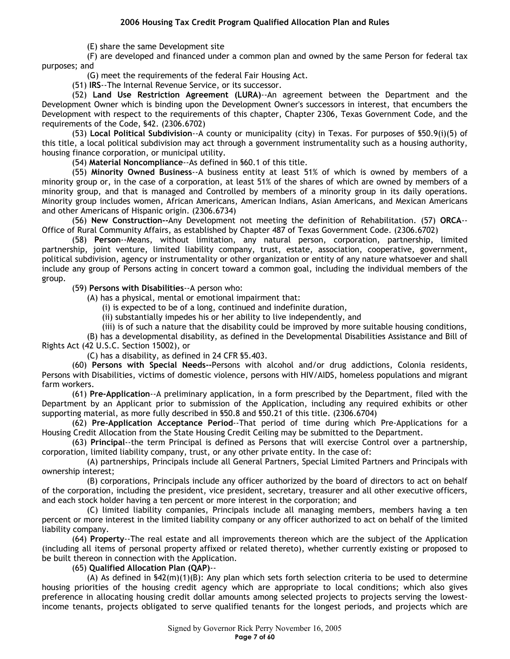(E) share the same Development site

(F) are developed and financed under a common plan and owned by the same Person for federal tax purposes; and

(G) meet the requirements of the federal Fair Housing Act.

(51) **IRS**--The Internal Revenue Service, or its successor.

(52) **Land Use Restriction Agreement (LURA)**--An agreement between the Department and the Development Owner which is binding upon the Development Owner's successors in interest, that encumbers the Development with respect to the requirements of this chapter, Chapter 2306, Texas Government Code, and the requirements of the Code, §42. (2306.6702)

(53) **Local Political Subdivision**--A county or municipality (city) in Texas. For purposes of §50.9(i)(5) of this title, a local political subdivision may act through a government instrumentality such as a housing authority, housing finance corporation, or municipal utility.

(54) **Material Noncompliance**--As defined in §60.1 of this title.

(55) **Minority Owned Business**--A business entity at least 51% of which is owned by members of a minority group or, in the case of a corporation, at least 51% of the shares of which are owned by members of a minority group, and that is managed and Controlled by members of a minority group in its daily operations. Minority group includes women, African Americans, American Indians, Asian Americans, and Mexican Americans and other Americans of Hispanic origin. (2306.6734)

(56) **New Construction--**Any Development not meeting the definition of Rehabilitation. (57) **ORCA**-- Office of Rural Community Affairs, as established by Chapter 487 of Texas Government Code. (2306.6702)

(58) **Person**--Means, without limitation, any natural person, corporation, partnership, limited partnership, joint venture, limited liability company, trust, estate, association, cooperative, government, political subdivision, agency or instrumentality or other organization or entity of any nature whatsoever and shall include any group of Persons acting in concert toward a common goal, including the individual members of the group.

(59) **Persons with Disabilities**--A person who:

(A) has a physical, mental or emotional impairment that:

(i) is expected to be of a long, continued and indefinite duration,

(ii) substantially impedes his or her ability to live independently, and

(iii) is of such a nature that the disability could be improved by more suitable housing conditions,

(B) has a developmental disability, as defined in the Developmental Disabilities Assistance and Bill of Rights Act (42 U.S.C. Section 15002), or

(C) has a disability, as defined in 24 CFR §5.403.

(60) **Persons with Special Needs--**Persons with alcohol and/or drug addictions, Colonia residents, Persons with Disabilities, victims of domestic violence, persons with HIV/AIDS, homeless populations and migrant farm workers.

(61) **Pre-Application**--A preliminary application, in a form prescribed by the Department, filed with the Department by an Applicant prior to submission of the Application, including any required exhibits or other supporting material, as more fully described in §50.8 and §50.21 of this title. (2306.6704)

(62) **Pre-Application Acceptance Period**--That period of time during which Pre-Applications for a Housing Credit Allocation from the State Housing Credit Ceiling may be submitted to the Department.

(63) **Principal**--the term Principal is defined as Persons that will exercise Control over a partnership, corporation, limited liability company, trust, or any other private entity. In the case of:

(A) partnerships, Principals include all General Partners, Special Limited Partners and Principals with ownership interest;

(B) corporations, Principals include any officer authorized by the board of directors to act on behalf of the corporation, including the president, vice president, secretary, treasurer and all other executive officers, and each stock holder having a ten percent or more interest in the corporation; and

(C) limited liability companies, Principals include all managing members, members having a ten percent or more interest in the limited liability company or any officer authorized to act on behalf of the limited liability company.

(64) **Property**--The real estate and all improvements thereon which are the subject of the Application (including all items of personal property affixed or related thereto), whether currently existing or proposed to be built thereon in connection with the Application.

(65) **Qualified Allocation Plan (QAP)**--

(A) As defined in  $$42(m)(1)(B)$ : Any plan which sets forth selection criteria to be used to determine housing priorities of the housing credit agency which are appropriate to local conditions; which also gives preference in allocating housing credit dollar amounts among selected projects to projects serving the lowestincome tenants, projects obligated to serve qualified tenants for the longest periods, and projects which are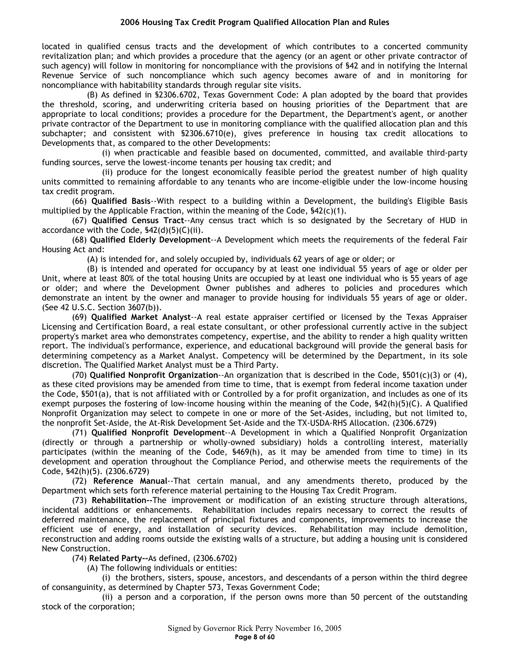located in qualified census tracts and the development of which contributes to a concerted community revitalization plan; and which provides a procedure that the agency (or an agent or other private contractor of such agency) will follow in monitoring for noncompliance with the provisions of \$42 and in notifying the Internal Revenue Service of such noncompliance which such agency becomes aware of and in monitoring for noncompliance with habitability standards through regular site visits.

(B) As defined in §2306.6702, Texas Government Code: A plan adopted by the board that provides the threshold, scoring, and underwriting criteria based on housing priorities of the Department that are appropriate to local conditions; provides a procedure for the Department, the Department's agent, or another private contractor of the Department to use in monitoring compliance with the qualified allocation plan and this subchapter; and consistent with §2306.6710(e), gives preference in housing tax credit allocations to Developments that, as compared to the other Developments:

(i) when practicable and feasible based on documented, committed, and available third-party funding sources, serve the lowest-income tenants per housing tax credit; and

(ii) produce for the longest economically feasible period the greatest number of high quality units committed to remaining affordable to any tenants who are income-eligible under the low-income housing tax credit program.

(66) **Qualified Basis**--With respect to a building within a Development, the building's Eligible Basis multiplied by the Applicable Fraction, within the meaning of the Code,  $\frac{542(c)(1)}{2}$ .

(67) **Qualified Census Tract**--Any census tract which is so designated by the Secretary of HUD in accordance with the Code, §42(d)(5)(C)(ii).

(68) **Qualified Elderly Development**--A Development which meets the requirements of the federal Fair Housing Act and:

(A) is intended for, and solely occupied by, individuals 62 years of age or older; or

(B) is intended and operated for occupancy by at least one individual 55 years of age or older per Unit, where at least 80% of the total housing Units are occupied by at least one individual who is 55 years of age or older; and where the Development Owner publishes and adheres to policies and procedures which demonstrate an intent by the owner and manager to provide housing for individuals 55 years of age or older. (See 42 U.S.C. Section 3607(b)).

(69) **Qualified Market Analyst**--A real estate appraiser certified or licensed by the Texas Appraiser Licensing and Certification Board, a real estate consultant, or other professional currently active in the subject property's market area who demonstrates competency, expertise, and the ability to render a high quality written report. The individual's performance, experience, and educational background will provide the general basis for determining competency as a Market Analyst. Competency will be determined by the Department, in its sole discretion. The Qualified Market Analyst must be a Third Party.

(70) **Qualified Nonprofit Organization**--An organization that is described in the Code, §501(c)(3) or (4), as these cited provisions may be amended from time to time, that is exempt from federal income taxation under the Code, §501(a), that is not affiliated with or Controlled by a for profit organization, and includes as one of its exempt purposes the fostering of low-income housing within the meaning of the Code, §42(h)(5)(C). A Qualified Nonprofit Organization may select to compete in one or more of the Set-Asides, including, but not limited to, the nonprofit Set-Aside, the At-Risk Development Set-Aside and the TX-USDA-RHS Allocation. (2306.6729)

(71) **Qualified Nonprofit Development**--A Development in which a Qualified Nonprofit Organization (directly or through a partnership or wholly-owned subsidiary) holds a controlling interest, materially participates (within the meaning of the Code, §469(h), as it may be amended from time to time) in its development and operation throughout the Compliance Period, and otherwise meets the requirements of the Code, §42(h)(5). (2306.6729)

(72) **Reference Manual**--That certain manual, and any amendments thereto, produced by the Department which sets forth reference material pertaining to the Housing Tax Credit Program.

(73) **Rehabilitation--**The improvement or modification of an existing structure through alterations, incidental additions or enhancements. Rehabilitation includes repairs necessary to correct the results of deferred maintenance, the replacement of principal fixtures and components, improvements to increase the efficient use of energy, and installation of security devices. Rehabilitation may include demolition, reconstruction and adding rooms outside the existing walls of a structure, but adding a housing unit is considered New Construction.

(74) **Related Party--**As defined, (2306.6702)

(A) The following individuals or entities:

(i) the brothers, sisters, spouse, ancestors, and descendants of a person within the third degree of consanguinity, as determined by Chapter 573, Texas Government Code;

(ii) a person and a corporation, if the person owns more than 50 percent of the outstanding stock of the corporation;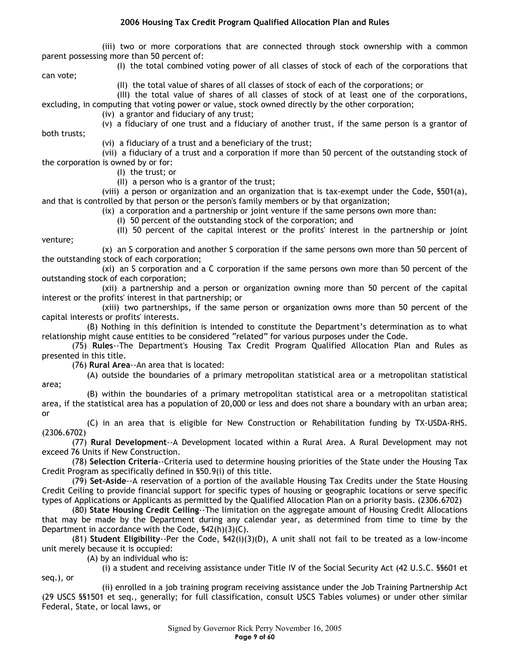(iii) two or more corporations that are connected through stock ownership with a common parent possessing more than 50 percent of:

(I) the total combined voting power of all classes of stock of each of the corporations that can vote;

(II) the total value of shares of all classes of stock of each of the corporations; or

(III) the total value of shares of all classes of stock of at least one of the corporations, excluding, in computing that voting power or value, stock owned directly by the other corporation;

(iv) a grantor and fiduciary of any trust;

(v) a fiduciary of one trust and a fiduciary of another trust, if the same person is a grantor of both trusts;

(vi) a fiduciary of a trust and a beneficiary of the trust;

(vii) a fiduciary of a trust and a corporation if more than 50 percent of the outstanding stock of the corporation is owned by or for:

(I) the trust; or

venture;

seq.), or

(II) a person who is a grantor of the trust;

(viii) a person or organization and an organization that is tax-exempt under the Code, §501(a), and that is controlled by that person or the person's family members or by that organization;

(ix) a corporation and a partnership or joint venture if the same persons own more than:

(I) 50 percent of the outstanding stock of the corporation; and

(II) 50 percent of the capital interest or the profits' interest in the partnership or joint

(x) an S corporation and another S corporation if the same persons own more than 50 percent of the outstanding stock of each corporation;

(xi) an S corporation and a C corporation if the same persons own more than 50 percent of the outstanding stock of each corporation;

(xii) a partnership and a person or organization owning more than 50 percent of the capital interest or the profits' interest in that partnership; or

(xiii) two partnerships, if the same person or organization owns more than 50 percent of the capital interests or profits' interests.

(B) Nothing in this definition is intended to constitute the Department's determination as to what relationship might cause entities to be considered "related" for various purposes under the Code.

(75) **Rules**--The Department's Housing Tax Credit Program Qualified Allocation Plan and Rules as presented in this title.

(76) **Rural Area**--An area that is located:

(A) outside the boundaries of a primary metropolitan statistical area or a metropolitan statistical area;

(B) within the boundaries of a primary metropolitan statistical area or a metropolitan statistical area, if the statistical area has a population of 20,000 or less and does not share a boundary with an urban area; or

(C) in an area that is eligible for New Construction or Rehabilitation funding by TX-USDA-RHS. (2306.6702)

(77) **Rural Development**--A Development located within a Rural Area. A Rural Development may not exceed 76 Units if New Construction.

(78) **Selection Criteria**--Criteria used to determine housing priorities of the State under the Housing Tax Credit Program as specifically defined in §50.9(i) of this title.

(79) **Set-Aside**--A reservation of a portion of the available Housing Tax Credits under the State Housing Credit Ceiling to provide financial support for specific types of housing or geographic locations or serve specific types of Applications or Applicants as permitted by the Qualified Allocation Plan on a priority basis. (2306.6702)

(80) **State Housing Credit Ceiling**--The limitation on the aggregate amount of Housing Credit Allocations that may be made by the Department during any calendar year, as determined from time to time by the Department in accordance with the Code, §42(h)(3)(C).

(81) **Student Eligibility**--Per the Code, §42(i)(3)(D), A unit shall not fail to be treated as a low-income unit merely because it is occupied:

(A) by an individual who is:

(i) a student and receiving assistance under Title IV of the Social Security Act (42 U.S.C. §§601 et

(ii) enrolled in a job training program receiving assistance under the Job Training Partnership Act (29 USCS §§1501 et seq., generally; for full classification, consult USCS Tables volumes) or under other similar Federal, State, or local laws, or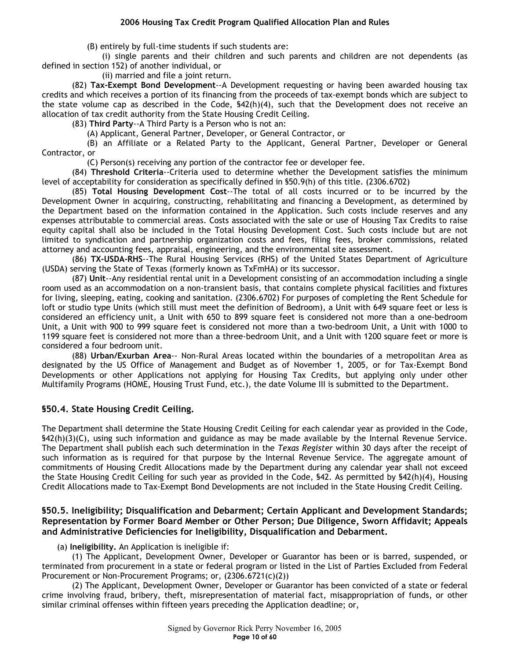(B) entirely by full-time students if such students are:

(i) single parents and their children and such parents and children are not dependents (as defined in section 152) of another individual, or

(ii) married and file a joint return.

(82) **Tax-Exempt Bond Development**--A Development requesting or having been awarded housing tax credits and which receives a portion of its financing from the proceeds of tax-exempt bonds which are subject to the state volume cap as described in the Code, §42(h)(4), such that the Development does not receive an allocation of tax credit authority from the State Housing Credit Ceiling.

(83) **Third Party**--A Third Party is a Person who is not an:

(A) Applicant, General Partner, Developer, or General Contractor, or

(B) an Affiliate or a Related Party to the Applicant, General Partner, Developer or General Contractor, or

(C) Person(s) receiving any portion of the contractor fee or developer fee.

(84) **Threshold Criteria**--Criteria used to determine whether the Development satisfies the minimum level of acceptability for consideration as specifically defined in §50.9(h) of this title. (2306.6702)

(85) **Total Housing Development Cost**--The total of all costs incurred or to be incurred by the Development Owner in acquiring, constructing, rehabilitating and financing a Development, as determined by the Department based on the information contained in the Application. Such costs include reserves and any expenses attributable to commercial areas. Costs associated with the sale or use of Housing Tax Credits to raise equity capital shall also be included in the Total Housing Development Cost. Such costs include but are not limited to syndication and partnership organization costs and fees, filing fees, broker commissions, related attorney and accounting fees, appraisal, engineering, and the environmental site assessment.

(86) **TX-USDA-RHS**--The Rural Housing Services (RHS) of the United States Department of Agriculture (USDA) serving the State of Texas (formerly known as TxFmHA) or its successor.

(87) **Unit**--Any residential rental unit in a Development consisting of an accommodation including a single room used as an accommodation on a non-transient basis, that contains complete physical facilities and fixtures for living, sleeping, eating, cooking and sanitation. (2306.6702) For purposes of completing the Rent Schedule for loft or studio type Units (which still must meet the definition of Bedroom), a Unit with 649 square feet or less is considered an efficiency unit, a Unit with 650 to 899 square feet is considered not more than a one-bedroom Unit, a Unit with 900 to 999 square feet is considered not more than a two-bedroom Unit, a Unit with 1000 to 1199 square feet is considered not more than a three-bedroom Unit, and a Unit with 1200 square feet or more is considered a four bedroom unit.

(88) **Urban/Exurban Area**-- Non-Rural Areas located within the boundaries of a metropolitan Area as designated by the US Office of Management and Budget as of November 1, 2005, or for Tax-Exempt Bond Developments or other Applications not applying for Housing Tax Credits, but applying only under other Multifamily Programs (HOME, Housing Trust Fund, etc.), the date Volume III is submitted to the Department.

# **§50.4. State Housing Credit Ceiling.**

The Department shall determine the State Housing Credit Ceiling for each calendar year as provided in the Code, §42(h)(3)(C), using such information and guidance as may be made available by the Internal Revenue Service. The Department shall publish each such determination in the *Texas Register* within 30 days after the receipt of such information as is required for that purpose by the Internal Revenue Service. The aggregate amount of commitments of Housing Credit Allocations made by the Department during any calendar year shall not exceed the State Housing Credit Ceiling for such year as provided in the Code, §42. As permitted by §42(h)(4), Housing Credit Allocations made to Tax-Exempt Bond Developments are not included in the State Housing Credit Ceiling.

# **§50.5. Ineligibility; Disqualification and Debarment; Certain Applicant and Development Standards; Representation by Former Board Member or Other Person; Due Diligence, Sworn Affidavit; Appeals and Administrative Deficiencies for Ineligibility, Disqualification and Debarment.**

(a) **Ineligibility.** An Application is ineligible if:

(1) The Applicant, Development Owner, Developer or Guarantor has been or is barred, suspended, or terminated from procurement in a state or federal program or listed in the List of Parties Excluded from Federal Procurement or Non-Procurement Programs; or, (2306.6721(c)(2))

(2) The Applicant, Development Owner, Developer or Guarantor has been convicted of a state or federal crime involving fraud, bribery, theft, misrepresentation of material fact, misappropriation of funds, or other similar criminal offenses within fifteen years preceding the Application deadline; or,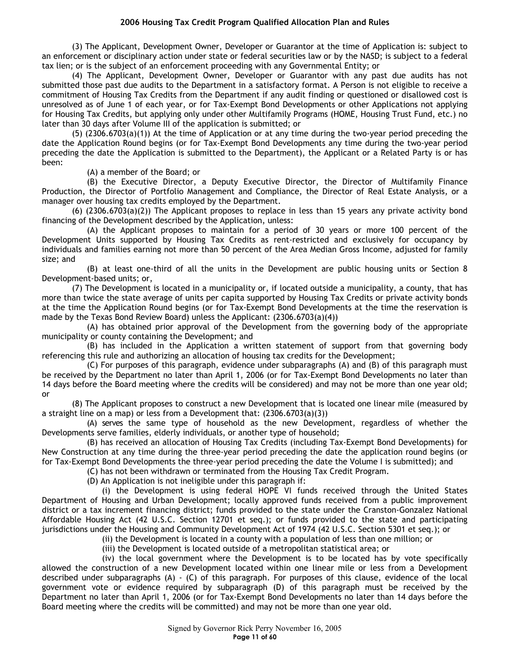(3) The Applicant, Development Owner, Developer or Guarantor at the time of Application is: subject to an enforcement or disciplinary action under state or federal securities law or by the NASD; is subject to a federal tax lien; or is the subject of an enforcement proceeding with any Governmental Entity; or

(4) The Applicant, Development Owner, Developer or Guarantor with any past due audits has not submitted those past due audits to the Department in a satisfactory format. A Person is not eligible to receive a commitment of Housing Tax Credits from the Department if any audit finding or questioned or disallowed cost is unresolved as of June 1 of each year, or for Tax-Exempt Bond Developments or other Applications not applying for Housing Tax Credits, but applying only under other Multifamily Programs (HOME, Housing Trust Fund, etc.) no later than 30 days after Volume III of the application is submitted; or

(5) (2306.6703(a)(1)) At the time of Application or at any time during the two-year period preceding the date the Application Round begins (or for Tax-Exempt Bond Developments any time during the two-year period preceding the date the Application is submitted to the Department), the Applicant or a Related Party is or has been:

(A) a member of the Board; or

(B) the Executive Director, a Deputy Executive Director, the Director of Multifamily Finance Production, the Director of Portfolio Management and Compliance, the Director of Real Estate Analysis, or a manager over housing tax credits employed by the Department.

(6) (2306.6703(a)(2)) The Applicant proposes to replace in less than 15 years any private activity bond financing of the Development described by the Application, unless:

(A) the Applicant proposes to maintain for a period of 30 years or more 100 percent of the Development Units supported by Housing Tax Credits as rent-restricted and exclusively for occupancy by individuals and families earning not more than 50 percent of the Area Median Gross Income, adjusted for family size; and

(B) at least one-third of all the units in the Development are public housing units or Section 8 Development-based units; or,

(7) The Development is located in a municipality or, if located outside a municipality, a county, that has more than twice the state average of units per capita supported by Housing Tax Credits or private activity bonds at the time the Application Round begins (or for Tax-Exempt Bond Developments at the time the reservation is made by the Texas Bond Review Board) unless the Applicant: (2306.6703(a)(4))

(A) has obtained prior approval of the Development from the governing body of the appropriate municipality or county containing the Development; and

(B) has included in the Application a written statement of support from that governing body referencing this rule and authorizing an allocation of housing tax credits for the Development;

(C) For purposes of this paragraph, evidence under subparagraphs (A) and (B) of this paragraph must be received by the Department no later than April 1, 2006 (or for Tax-Exempt Bond Developments no later than 14 days before the Board meeting where the credits will be considered) and may not be more than one year old; or

(8) The Applicant proposes to construct a new Development that is located one linear mile (measured by a straight line on a map) or less from a Development that: (2306.6703(a)(3))

(A) serves the same type of household as the new Development, regardless of whether the Developments serve families, elderly individuals, or another type of household;

(B) has received an allocation of Housing Tax Credits (including Tax-Exempt Bond Developments) for New Construction at any time during the three-year period preceding the date the application round begins (or for Tax-Exempt Bond Developments the three-year period preceding the date the Volume I is submitted); and

(C) has not been withdrawn or terminated from the Housing Tax Credit Program.

(D) An Application is not ineligible under this paragraph if:

(i) the Development is using federal HOPE VI funds received through the United States Department of Housing and Urban Development; locally approved funds received from a public improvement district or a tax increment financing district; funds provided to the state under the Cranston-Gonzalez National Affordable Housing Act (42 U.S.C. Section 12701 et seq.); or funds provided to the state and participating jurisdictions under the Housing and Community Development Act of 1974 (42 U.S.C. Section 5301 et seq.); or

(ii) the Development is located in a county with a population of less than one million; or

(iii) the Development is located outside of a metropolitan statistical area; or

(iv) the local government where the Development is to be located has by vote specifically allowed the construction of a new Development located within one linear mile or less from a Development described under subparagraphs (A) - (C) of this paragraph. For purposes of this clause, evidence of the local government vote or evidence required by subparagraph (D) of this paragraph must be received by the Department no later than April 1, 2006 (or for Tax-Exempt Bond Developments no later than 14 days before the Board meeting where the credits will be committed) and may not be more than one year old.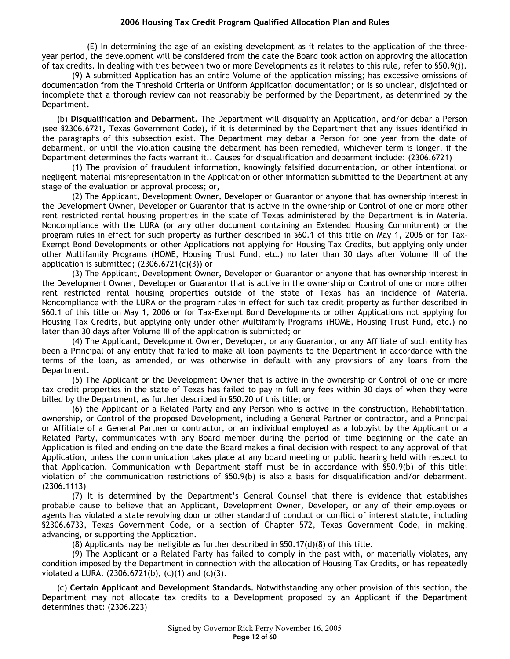(E) In determining the age of an existing development as it relates to the application of the threeyear period, the development will be considered from the date the Board took action on approving the allocation of tax credits. In dealing with ties between two or more Developments as it relates to this rule, refer to §50.9(j).

(9) A submitted Application has an entire Volume of the application missing; has excessive omissions of documentation from the Threshold Criteria or Uniform Application documentation; or is so unclear, disjointed or incomplete that a thorough review can not reasonably be performed by the Department, as determined by the Department.

(b) **Disqualification and Debarment.** The Department will disqualify an Application, and/or debar a Person (see §2306.6721, Texas Government Code), if it is determined by the Department that any issues identified in the paragraphs of this subsection exist. The Department may debar a Person for one year from the date of debarment, or until the violation causing the debarment has been remedied, whichever term is longer, if the Department determines the facts warrant it.. Causes for disqualification and debarment include: (2306.6721)

(1) The provision of fraudulent information, knowingly falsified documentation, or other intentional or negligent material misrepresentation in the Application or other information submitted to the Department at any stage of the evaluation or approval process; or,

(2) The Applicant, Development Owner, Developer or Guarantor or anyone that has ownership interest in the Development Owner, Developer or Guarantor that is active in the ownership or Control of one or more other rent restricted rental housing properties in the state of Texas administered by the Department is in Material Noncompliance with the LURA (or any other document containing an Extended Housing Commitment) or the program rules in effect for such property as further described in §60.1 of this title on May 1, 2006 or for Tax-Exempt Bond Developments or other Applications not applying for Housing Tax Credits, but applying only under other Multifamily Programs (HOME, Housing Trust Fund, etc.) no later than 30 days after Volume III of the application is submitted;  $(2306.6721(c)(3))$  or

(3) The Applicant, Development Owner, Developer or Guarantor or anyone that has ownership interest in the Development Owner, Developer or Guarantor that is active in the ownership or Control of one or more other rent restricted rental housing properties outside of the state of Texas has an incidence of Material Noncompliance with the LURA or the program rules in effect for such tax credit property as further described in §60.1 of this title on May 1, 2006 or for Tax-Exempt Bond Developments or other Applications not applying for Housing Tax Credits, but applying only under other Multifamily Programs (HOME, Housing Trust Fund, etc.) no later than 30 days after Volume III of the application is submitted; or

(4) The Applicant, Development Owner, Developer, or any Guarantor, or any Affiliate of such entity has been a Principal of any entity that failed to make all loan payments to the Department in accordance with the terms of the loan, as amended, or was otherwise in default with any provisions of any loans from the Department.

(5) The Applicant or the Development Owner that is active in the ownership or Control of one or more tax credit properties in the state of Texas has failed to pay in full any fees within 30 days of when they were billed by the Department, as further described in §50.20 of this title; or

(6) the Applicant or a Related Party and any Person who is active in the construction, Rehabilitation, ownership, or Control of the proposed Development, including a General Partner or contractor, and a Principal or Affiliate of a General Partner or contractor, or an individual employed as a lobbyist by the Applicant or a Related Party, communicates with any Board member during the period of time beginning on the date an Application is filed and ending on the date the Board makes a final decision with respect to any approval of that Application, unless the communication takes place at any board meeting or public hearing held with respect to that Application. Communication with Department staff must be in accordance with §50.9(b) of this title; violation of the communication restrictions of §50.9(b) is also a basis for disqualification and/or debarment. (2306.1113)

(7) It is determined by the Department's General Counsel that there is evidence that establishes probable cause to believe that an Applicant, Development Owner, Developer, or any of their employees or agents has violated a state revolving door or other standard of conduct or conflict of interest statute, including §2306.6733, Texas Government Code, or a section of Chapter 572, Texas Government Code, in making, advancing, or supporting the Application.

(8) Applicants may be ineligible as further described in §50.17(d)(8) of this title.

(9) The Applicant or a Related Party has failed to comply in the past with, or materially violates, any condition imposed by the Department in connection with the allocation of Housing Tax Credits, or has repeatedly violated a LURA.  $(2306.6721(b), (c)(1)$  and  $(c)(3)$ .

(c) **Certain Applicant and Development Standards.** Notwithstanding any other provision of this section, the Department may not allocate tax credits to a Development proposed by an Applicant if the Department determines that: (2306.223)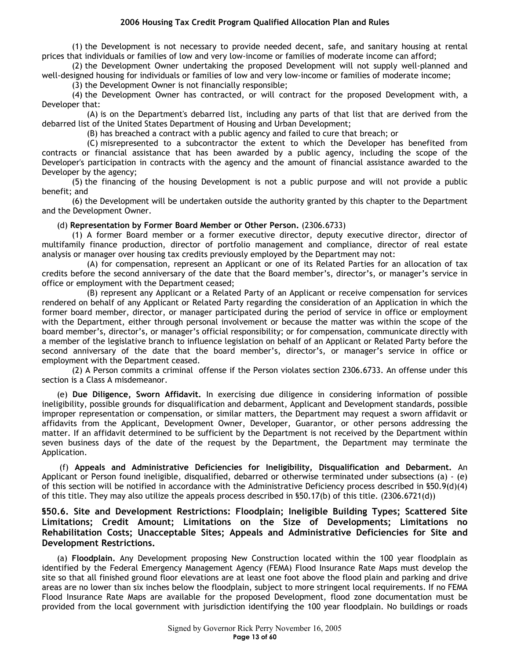(1) the Development is not necessary to provide needed decent, safe, and sanitary housing at rental prices that individuals or families of low and very low-income or families of moderate income can afford;

(2) the Development Owner undertaking the proposed Development will not supply well-planned and well-designed housing for individuals or families of low and very low-income or families of moderate income;

(3) the Development Owner is not financially responsible;

(4) the Development Owner has contracted, or will contract for the proposed Development with, a Developer that:

(A) is on the Department's debarred list, including any parts of that list that are derived from the debarred list of the United States Department of Housing and Urban Development;

(B) has breached a contract with a public agency and failed to cure that breach; or

(C) misrepresented to a subcontractor the extent to which the Developer has benefited from contracts or financial assistance that has been awarded by a public agency, including the scope of the Developer's participation in contracts with the agency and the amount of financial assistance awarded to the Developer by the agency;

(5) the financing of the housing Development is not a public purpose and will not provide a public benefit; and

(6) the Development will be undertaken outside the authority granted by this chapter to the Department and the Development Owner.

#### (d) **Representation by Former Board Member or Other Person.** (2306.6733)

(1) A former Board member or a former executive director, deputy executive director, director of multifamily finance production, director of portfolio management and compliance, director of real estate analysis or manager over housing tax credits previously employed by the Department may not:

(A) for compensation, represent an Applicant or one of its Related Parties for an allocation of tax credits before the second anniversary of the date that the Board member's, director's, or manager's service in office or employment with the Department ceased;

(B) represent any Applicant or a Related Party of an Applicant or receive compensation for services rendered on behalf of any Applicant or Related Party regarding the consideration of an Application in which the former board member, director, or manager participated during the period of service in office or employment with the Department, either through personal involvement or because the matter was within the scope of the board member's, director's, or manager's official responsibility; or for compensation, communicate directly with a member of the legislative branch to influence legislation on behalf of an Applicant or Related Party before the second anniversary of the date that the board member's, director's, or manager's service in office or employment with the Department ceased.

(2) A Person commits a criminal offense if the Person violates section 2306.6733. An offense under this section is a Class A misdemeanor.

(e) **Due Diligence, Sworn Affidavit.** In exercising due diligence in considering information of possible ineligibility, possible grounds for disqualification and debarment, Applicant and Development standards, possible improper representation or compensation, or similar matters, the Department may request a sworn affidavit or affidavits from the Applicant, Development Owner, Developer, Guarantor, or other persons addressing the matter. If an affidavit determined to be sufficient by the Department is not received by the Department within seven business days of the date of the request by the Department, the Department may terminate the Application.

 (f) **Appeals and Administrative Deficiencies for Ineligibility, Disqualification and Debarment.** An Applicant or Person found ineligible, disqualified, debarred or otherwise terminated under subsections (a) - (e) of this section will be notified in accordance with the Administrative Deficiency process described in §50.9(d)(4) of this title. They may also utilize the appeals process described in §50.17(b) of this title. (2306.6721(d))

**§50.6. Site and Development Restrictions: Floodplain; Ineligible Building Types; Scattered Site Limitations; Credit Amount; Limitations on the Size of Developments; Limitations no Rehabilitation Costs; Unacceptable Sites; Appeals and Administrative Deficiencies for Site and Development Restrictions.** 

(a) **Floodplain.** Any Development proposing New Construction located within the 100 year floodplain as identified by the Federal Emergency Management Agency (FEMA) Flood Insurance Rate Maps must develop the site so that all finished ground floor elevations are at least one foot above the flood plain and parking and drive areas are no lower than six inches below the floodplain, subject to more stringent local requirements. If no FEMA Flood Insurance Rate Maps are available for the proposed Development, flood zone documentation must be provided from the local government with jurisdiction identifying the 100 year floodplain. No buildings or roads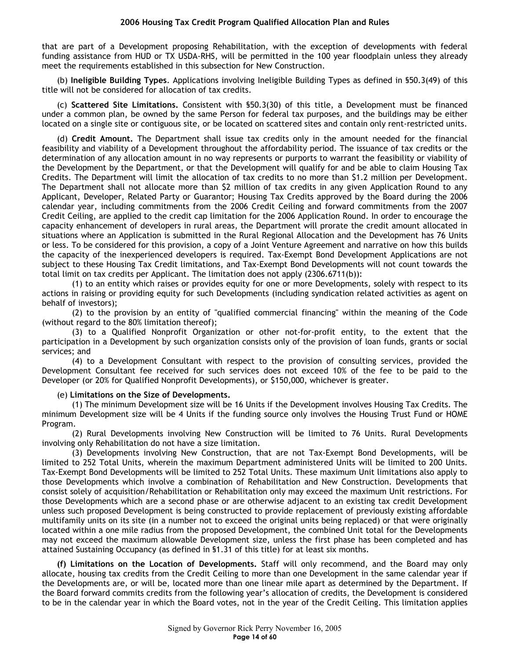that are part of a Development proposing Rehabilitation, with the exception of developments with federal funding assistance from HUD or TX USDA-RHS, will be permitted in the 100 year floodplain unless they already meet the requirements established in this subsection for New Construction.

(b) **Ineligible Building Types**. Applications involving Ineligible Building Types as defined in §50.3(49) of this title will not be considered for allocation of tax credits.

(c) **Scattered Site Limitations.** Consistent with §50.3(30) of this title, a Development must be financed under a common plan, be owned by the same Person for federal tax purposes, and the buildings may be either located on a single site or contiguous site, or be located on scattered sites and contain only rent-restricted units.

(d) **Credit Amount.** The Department shall issue tax credits only in the amount needed for the financial feasibility and viability of a Development throughout the affordability period. The issuance of tax credits or the determination of any allocation amount in no way represents or purports to warrant the feasibility or viability of the Development by the Department, or that the Development will qualify for and be able to claim Housing Tax Credits. The Department will limit the allocation of tax credits to no more than \$1.2 million per Development. The Department shall not allocate more than \$2 million of tax credits in any given Application Round to any Applicant, Developer, Related Party or Guarantor; Housing Tax Credits approved by the Board during the 2006 calendar year, including commitments from the 2006 Credit Ceiling and forward commitments from the 2007 Credit Ceiling, are applied to the credit cap limitation for the 2006 Application Round. In order to encourage the capacity enhancement of developers in rural areas, the Department will prorate the credit amount allocated in situations where an Application is submitted in the Rural Regional Allocation and the Development has 76 Units or less. To be considered for this provision, a copy of a Joint Venture Agreement and narrative on how this builds the capacity of the inexperienced developers is required. Tax-Exempt Bond Development Applications are not subject to these Housing Tax Credit limitations, and Tax-Exempt Bond Developments will not count towards the total limit on tax credits per Applicant. The limitation does not apply (2306.6711(b)):

(1) to an entity which raises or provides equity for one or more Developments, solely with respect to its actions in raising or providing equity for such Developments (including syndication related activities as agent on behalf of investors);

(2) to the provision by an entity of "qualified commercial financing" within the meaning of the Code (without regard to the 80% limitation thereof);

(3) to a Qualified Nonprofit Organization or other not-for-profit entity, to the extent that the participation in a Development by such organization consists only of the provision of loan funds, grants or social services; and

(4) to a Development Consultant with respect to the provision of consulting services, provided the Development Consultant fee received for such services does not exceed 10% of the fee to be paid to the Developer (or 20% for Qualified Nonprofit Developments), or \$150,000, whichever is greater.

#### (e) **Limitations on the Size of Developments.**

(1) The minimum Development size will be 16 Units if the Development involves Housing Tax Credits. The minimum Development size will be 4 Units if the funding source only involves the Housing Trust Fund or HOME Program.

(2) Rural Developments involving New Construction will be limited to 76 Units. Rural Developments involving only Rehabilitation do not have a size limitation.

(3) Developments involving New Construction, that are not Tax-Exempt Bond Developments, will be limited to 252 Total Units, wherein the maximum Department administered Units will be limited to 200 Units. Tax-Exempt Bond Developments will be limited to 252 Total Units. These maximum Unit limitations also apply to those Developments which involve a combination of Rehabilitation and New Construction. Developments that consist solely of acquisition/Rehabilitation or Rehabilitation only may exceed the maximum Unit restrictions. For those Developments which are a second phase or are otherwise adjacent to an existing tax credit Development unless such proposed Development is being constructed to provide replacement of previously existing affordable multifamily units on its site (in a number not to exceed the original units being replaced) or that were originally located within a one mile radius from the proposed Development, the combined Unit total for the Developments may not exceed the maximum allowable Development size, unless the first phase has been completed and has attained Sustaining Occupancy (as defined in §1.31 of this title) for at least six months.

**(f) Limitations on the Location of Developments.** Staff will only recommend, and the Board may only allocate, housing tax credits from the Credit Ceiling to more than one Development in the same calendar year if the Developments are, or will be, located more than one linear mile apart as determined by the Department. If the Board forward commits credits from the following year's allocation of credits, the Development is considered to be in the calendar year in which the Board votes, not in the year of the Credit Ceiling. This limitation applies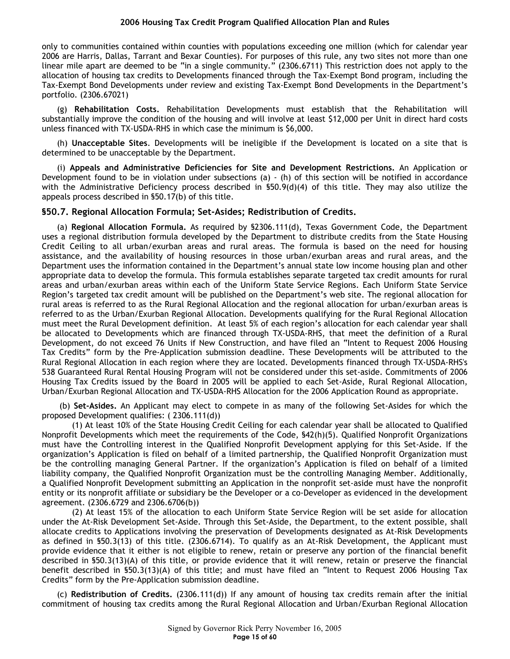only to communities contained within counties with populations exceeding one million (which for calendar year 2006 are Harris, Dallas, Tarrant and Bexar Counties). For purposes of this rule, any two sites not more than one linear mile apart are deemed to be "in a single community." (2306.6711) This restriction does not apply to the allocation of housing tax credits to Developments financed through the Tax-Exempt Bond program, including the Tax-Exempt Bond Developments under review and existing Tax-Exempt Bond Developments in the Department's portfolio. (2306.67021)

(g) **Rehabilitation Costs.** Rehabilitation Developments must establish that the Rehabilitation will substantially improve the condition of the housing and will involve at least \$12,000 per Unit in direct hard costs unless financed with TX-USDA-RHS in which case the minimum is \$6,000.

(h) **Unacceptable Sites**. Developments will be ineligible if the Development is located on a site that is determined to be unacceptable by the Department.

(i) **Appeals and Administrative Deficiencies for Site and Development Restrictions.** An Application or Development found to be in violation under subsections (a) - (h) of this section will be notified in accordance with the Administrative Deficiency process described in §50.9(d)(4) of this title. They may also utilize the appeals process described in §50.17(b) of this title.

## **§50.7. Regional Allocation Formula; Set-Asides; Redistribution of Credits.**

(a) **Regional Allocation Formula.** As required by §2306.111(d), Texas Government Code, the Department uses a regional distribution formula developed by the Department to distribute credits from the State Housing Credit Ceiling to all urban/exurban areas and rural areas. The formula is based on the need for housing assistance, and the availability of housing resources in those urban/exurban areas and rural areas, and the Department uses the information contained in the Department's annual state low income housing plan and other appropriate data to develop the formula. This formula establishes separate targeted tax credit amounts for rural areas and urban/exurban areas within each of the Uniform State Service Regions. Each Uniform State Service Region's targeted tax credit amount will be published on the Department's web site. The regional allocation for rural areas is referred to as the Rural Regional Allocation and the regional allocation for urban/exurban areas is referred to as the Urban/Exurban Regional Allocation. Developments qualifying for the Rural Regional Allocation must meet the Rural Development definition. At least 5% of each region's allocation for each calendar year shall be allocated to Developments which are financed through TX-USDA-RHS, that meet the definition of a Rural Development, do not exceed 76 Units if New Construction, and have filed an "Intent to Request 2006 Housing Tax Credits" form by the Pre-Application submission deadline. These Developments will be attributed to the Rural Regional Allocation in each region where they are located. Developments financed through TX-USDA-RHS's 538 Guaranteed Rural Rental Housing Program will not be considered under this set-aside. Commitments of 2006 Housing Tax Credits issued by the Board in 2005 will be applied to each Set-Aside, Rural Regional Allocation, Urban/Exurban Regional Allocation and TX-USDA-RHS Allocation for the 2006 Application Round as appropriate.

 (b) **Set-Asides.** An Applicant may elect to compete in as many of the following Set-Asides for which the proposed Development qualifies: ( 2306.111(d))

(1) At least 10% of the State Housing Credit Ceiling for each calendar year shall be allocated to Qualified Nonprofit Developments which meet the requirements of the Code, §42(h)(5). Qualified Nonprofit Organizations must have the Controlling interest in the Qualified Nonprofit Development applying for this Set-Aside. If the organization's Application is filed on behalf of a limited partnership, the Qualified Nonprofit Organization must be the controlling managing General Partner. If the organization's Application is filed on behalf of a limited liability company, the Qualified Nonprofit Organization must be the controlling Managing Member. Additionally, a Qualified Nonprofit Development submitting an Application in the nonprofit set-aside must have the nonprofit entity or its nonprofit affiliate or subsidiary be the Developer or a co-Developer as evidenced in the development agreement. (2306.6729 and 2306.6706(b))

(2) At least 15% of the allocation to each Uniform State Service Region will be set aside for allocation under the At-Risk Development Set-Aside. Through this Set-Aside, the Department, to the extent possible, shall allocate credits to Applications involving the preservation of Developments designated as At-Risk Developments as defined in §50.3(13) of this title. (2306.6714). To qualify as an At-Risk Development, the Applicant must provide evidence that it either is not eligible to renew, retain or preserve any portion of the financial benefit described in §50.3(13)(A) of this title, or provide evidence that it will renew, retain or preserve the financial benefit described in §50.3(13)(A) of this title; and must have filed an "Intent to Request 2006 Housing Tax Credits" form by the Pre-Application submission deadline.

(c) **Redistribution of Credits.** (2306.111(d)) If any amount of housing tax credits remain after the initial commitment of housing tax credits among the Rural Regional Allocation and Urban/Exurban Regional Allocation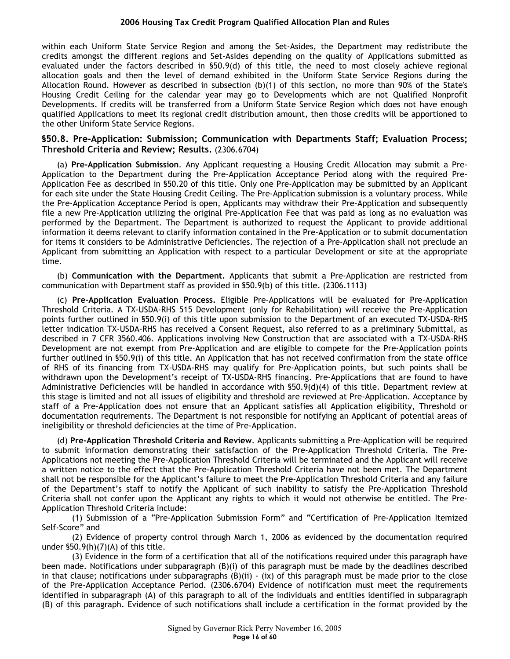within each Uniform State Service Region and among the Set-Asides, the Department may redistribute the credits amongst the different regions and Set-Asides depending on the quality of Applications submitted as evaluated under the factors described in §50.9(d) of this title, the need to most closely achieve regional allocation goals and then the level of demand exhibited in the Uniform State Service Regions during the Allocation Round. However as described in subsection (b)(1) of this section, no more than 90% of the State's Housing Credit Ceiling for the calendar year may go to Developments which are not Qualified Nonprofit Developments. If credits will be transferred from a Uniform State Service Region which does not have enough qualified Applications to meet its regional credit distribution amount, then those credits will be apportioned to the other Uniform State Service Regions.

## **§50.8. Pre-Application: Submission; Communication with Departments Staff; Evaluation Process; Threshold Criteria and Review; Results.** (2306.6704)

(a) **Pre-Application Submission**. Any Applicant requesting a Housing Credit Allocation may submit a Pre-Application to the Department during the Pre-Application Acceptance Period along with the required Pre-Application Fee as described in §50.20 of this title. Only one Pre-Application may be submitted by an Applicant for each site under the State Housing Credit Ceiling. The Pre-Application submission is a voluntary process. While the Pre-Application Acceptance Period is open, Applicants may withdraw their Pre-Application and subsequently file a new Pre-Application utilizing the original Pre-Application Fee that was paid as long as no evaluation was performed by the Department. The Department is authorized to request the Applicant to provide additional information it deems relevant to clarify information contained in the Pre-Application or to submit documentation for items it considers to be Administrative Deficiencies. The rejection of a Pre-Application shall not preclude an Applicant from submitting an Application with respect to a particular Development or site at the appropriate time.

(b) **Communication with the Department.** Applicants that submit a Pre-Application are restricted from communication with Department staff as provided in §50.9(b) of this title. (2306.1113)

(c) **Pre-Application Evaluation Process.** Eligible Pre-Applications will be evaluated for Pre-Application Threshold Criteria. A TX-USDA-RHS 515 Development (only for Rehabilitation) will receive the Pre-Application points further outlined in §50.9(i) of this title upon submission to the Department of an executed TX-USDA-RHS letter indication TX-USDA-RHS has received a Consent Request, also referred to as a preliminary Submittal, as described in 7 CFR 3560.406. Applications involving New Construction that are associated with a TX-USDA-RHS Development are not exempt from Pre-Application and are eligible to compete for the Pre-Application points further outlined in §50.9(i) of this title. An Application that has not received confirmation from the state office of RHS of its financing from TX-USDA-RHS may qualify for Pre-Application points, but such points shall be withdrawn upon the Development's receipt of TX-USDA-RHS financing. Pre-Applications that are found to have Administrative Deficiencies will be handled in accordance with §50.9(d)(4) of this title. Department review at this stage is limited and not all issues of eligibility and threshold are reviewed at Pre-Application. Acceptance by staff of a Pre-Application does not ensure that an Applicant satisfies all Application eligibility, Threshold or documentation requirements. The Department is not responsible for notifying an Applicant of potential areas of ineligibility or threshold deficiencies at the time of Pre-Application.

(d) **Pre-Application Threshold Criteria and Review**. Applicants submitting a Pre-Application will be required to submit information demonstrating their satisfaction of the Pre-Application Threshold Criteria. The Pre-Applications not meeting the Pre-Application Threshold Criteria will be terminated and the Applicant will receive a written notice to the effect that the Pre-Application Threshold Criteria have not been met. The Department shall not be responsible for the Applicant's failure to meet the Pre-Application Threshold Criteria and any failure of the Department's staff to notify the Applicant of such inability to satisfy the Pre-Application Threshold Criteria shall not confer upon the Applicant any rights to which it would not otherwise be entitled. The Pre-Application Threshold Criteria include:

(1) Submission of a "Pre-Application Submission Form" and "Certification of Pre-Application Itemized Self-Score" and

(2) Evidence of property control through March 1, 2006 as evidenced by the documentation required under §50.9(h)(7)(A) of this title.

(3) Evidence in the form of a certification that all of the notifications required under this paragraph have been made. Notifications under subparagraph (B)(i) of this paragraph must be made by the deadlines described in that clause; notifications under subparagraphs  $(B)(ii) - (ix)$  of this paragraph must be made prior to the close of the Pre-Application Acceptance Period. (2306.6704) Evidence of notification must meet the requirements identified in subparagraph (A) of this paragraph to all of the individuals and entities identified in subparagraph (B) of this paragraph. Evidence of such notifications shall include a certification in the format provided by the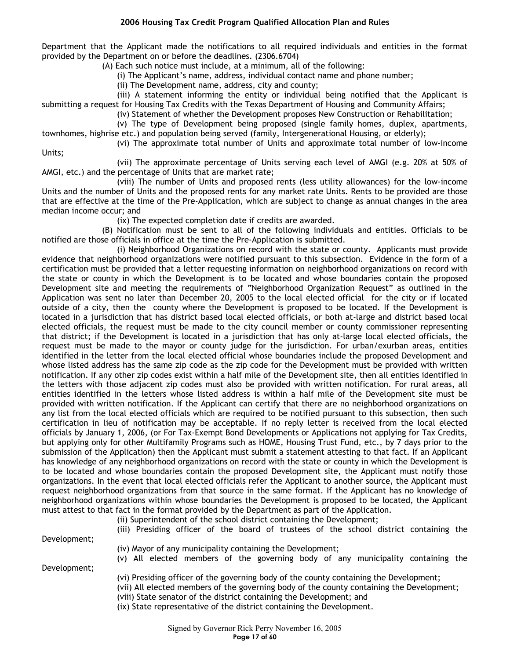Department that the Applicant made the notifications to all required individuals and entities in the format provided by the Department on or before the deadlines. (2306.6704)

(A) Each such notice must include, at a minimum, all of the following:

(i) The Applicant's name, address, individual contact name and phone number;

(ii) The Development name, address, city and county;

(iii) A statement informing the entity or individual being notified that the Applicant is submitting a request for Housing Tax Credits with the Texas Department of Housing and Community Affairs;

(iv) Statement of whether the Development proposes New Construction or Rehabilitation;

(v) The type of Development being proposed (single family homes, duplex, apartments, townhomes, highrise etc.) and population being served (family, Intergenerational Housing, or elderly);

(vi) The approximate total number of Units and approximate total number of low-income

(vii) The approximate percentage of Units serving each level of AMGI (e.g. 20% at 50% of AMGI, etc.) and the percentage of Units that are market rate;

(viii) The number of Units and proposed rents (less utility allowances) for the low-income Units and the number of Units and the proposed rents for any market rate Units. Rents to be provided are those that are effective at the time of the Pre-Application, which are subject to change as annual changes in the area median income occur; and

(ix) The expected completion date if credits are awarded.

(B) Notification must be sent to all of the following individuals and entities. Officials to be notified are those officials in office at the time the Pre-Application is submitted.

(i) Neighborhood Organizations on record with the state or county. Applicants must provide evidence that neighborhood organizations were notified pursuant to this subsection. Evidence in the form of a certification must be provided that a letter requesting information on neighborhood organizations on record with the state or county in which the Development is to be located and whose boundaries contain the proposed Development site and meeting the requirements of "Neighborhood Organization Request" as outlined in the Application was sent no later than December 20, 2005 to the local elected official for the city or if located outside of a city, then the county where the Development is proposed to be located. If the Development is located in a jurisdiction that has district based local elected officials, or both at-large and district based local elected officials, the request must be made to the city council member or county commissioner representing that district; if the Development is located in a jurisdiction that has only at-large local elected officials, the request must be made to the mayor or county judge for the jurisdiction. For urban/exurban areas, entities identified in the letter from the local elected official whose boundaries include the proposed Development and whose listed address has the same zip code as the zip code for the Development must be provided with written notification. If any other zip codes exist within a half mile of the Development site, then all entities identified in the letters with those adjacent zip codes must also be provided with written notification. For rural areas, all entities identified in the letters whose listed address is within a half mile of the Development site must be provided with written notification. If the Applicant can certify that there are no neighborhood organizations on any list from the local elected officials which are required to be notified pursuant to this subsection, then such certification in lieu of notification may be acceptable. If no reply letter is received from the local elected officials by January 1, 2006, (or For Tax-Exempt Bond Developments or Applications not applying for Tax Credits, but applying only for other Multifamily Programs such as HOME, Housing Trust Fund, etc., by 7 days prior to the submission of the Application) then the Applicant must submit a statement attesting to that fact. If an Applicant has knowledge of any neighborhood organizations on record with the state or county in which the Development is to be located and whose boundaries contain the proposed Development site, the Applicant must notify those organizations. In the event that local elected officials refer the Applicant to another source, the Applicant must request neighborhood organizations from that source in the same format. If the Applicant has no knowledge of neighborhood organizations within whose boundaries the Development is proposed to be located, the Applicant must attest to that fact in the format provided by the Department as part of the Application.

(ii) Superintendent of the school district containing the Development;

(iii) Presiding officer of the board of trustees of the school district containing the

Development;

Units;

(iv) Mayor of any municipality containing the Development;

Development;

- (v) All elected members of the governing body of any municipality containing the
- (vi) Presiding officer of the governing body of the county containing the Development;
- (vii) All elected members of the governing body of the county containing the Development;
- (viii) State senator of the district containing the Development; and

(ix) State representative of the district containing the Development.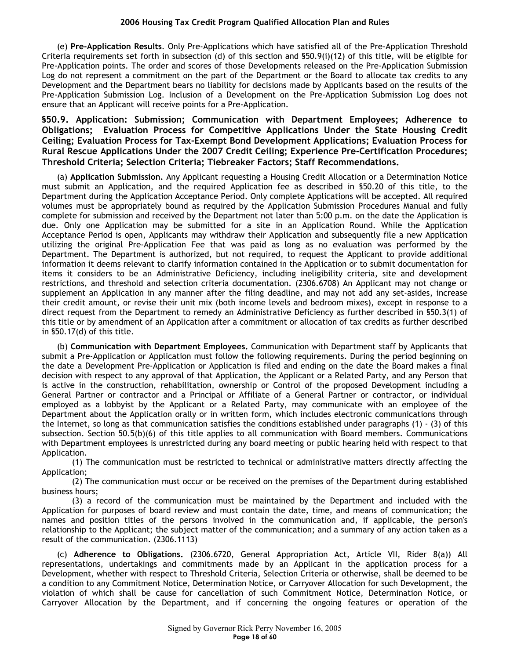(e) **Pre-Application Results**. Only Pre-Applications which have satisfied all of the Pre-Application Threshold Criteria requirements set forth in subsection (d) of this section and §50.9(i)(12) of this title, will be eligible for Pre-Application points. The order and scores of those Developments released on the Pre-Application Submission Log do not represent a commitment on the part of the Department or the Board to allocate tax credits to any Development and the Department bears no liability for decisions made by Applicants based on the results of the Pre-Application Submission Log. Inclusion of a Development on the Pre-Application Submission Log does not ensure that an Applicant will receive points for a Pre-Application.

**§50.9. Application: Submission; Communication with Department Employees; Adherence to Obligations; Evaluation Process for Competitive Applications Under the State Housing Credit Ceiling; Evaluation Process for Tax-Exempt Bond Development Applications; Evaluation Process for Rural Rescue Applications Under the 2007 Credit Ceiling; Experience Pre-Certification Procedures; Threshold Criteria; Selection Criteria; Tiebreaker Factors; Staff Recommendations.** 

(a) **Application Submission.** Any Applicant requesting a Housing Credit Allocation or a Determination Notice must submit an Application, and the required Application fee as described in §50.20 of this title, to the Department during the Application Acceptance Period. Only complete Applications will be accepted. All required volumes must be appropriately bound as required by the Application Submission Procedures Manual and fully complete for submission and received by the Department not later than 5:00 p.m. on the date the Application is due. Only one Application may be submitted for a site in an Application Round. While the Application Acceptance Period is open, Applicants may withdraw their Application and subsequently file a new Application utilizing the original Pre-Application Fee that was paid as long as no evaluation was performed by the Department. The Department is authorized, but not required, to request the Applicant to provide additional information it deems relevant to clarify information contained in the Application or to submit documentation for items it considers to be an Administrative Deficiency, including ineligibility criteria, site and development restrictions, and threshold and selection criteria documentation. (2306.6708) An Applicant may not change or supplement an Application in any manner after the filing deadline, and may not add any set-asides, increase their credit amount, or revise their unit mix (both income levels and bedroom mixes), except in response to a direct request from the Department to remedy an Administrative Deficiency as further described in §50.3(1) of this title or by amendment of an Application after a commitment or allocation of tax credits as further described in §50.17(d) of this title.

(b) **Communication with Department Employees.** Communication with Department staff by Applicants that submit a Pre-Application or Application must follow the following requirements. During the period beginning on the date a Development Pre-Application or Application is filed and ending on the date the Board makes a final decision with respect to any approval of that Application, the Applicant or a Related Party, and any Person that is active in the construction, rehabilitation, ownership or Control of the proposed Development including a General Partner or contractor and a Principal or Affiliate of a General Partner or contractor, or individual employed as a lobbyist by the Applicant or a Related Party, may communicate with an employee of the Department about the Application orally or in written form, which includes electronic communications through the Internet, so long as that communication satisfies the conditions established under paragraphs (1) - (3) of this subsection. Section 50.5(b)(6) of this title applies to all communication with Board members. Communications with Department employees is unrestricted during any board meeting or public hearing held with respect to that Application.

(1) The communication must be restricted to technical or administrative matters directly affecting the Application;

(2) The communication must occur or be received on the premises of the Department during established business hours;

(3) a record of the communication must be maintained by the Department and included with the Application for purposes of board review and must contain the date, time, and means of communication; the names and position titles of the persons involved in the communication and, if applicable, the person's relationship to the Applicant; the subject matter of the communication; and a summary of any action taken as a result of the communication. (2306.1113)

(c) **Adherence to Obligations.** (2306.6720, General Appropriation Act, Article VII, Rider 8(a)) All representations, undertakings and commitments made by an Applicant in the application process for a Development, whether with respect to Threshold Criteria, Selection Criteria or otherwise, shall be deemed to be a condition to any Commitment Notice, Determination Notice, or Carryover Allocation for such Development, the violation of which shall be cause for cancellation of such Commitment Notice, Determination Notice, or Carryover Allocation by the Department, and if concerning the ongoing features or operation of the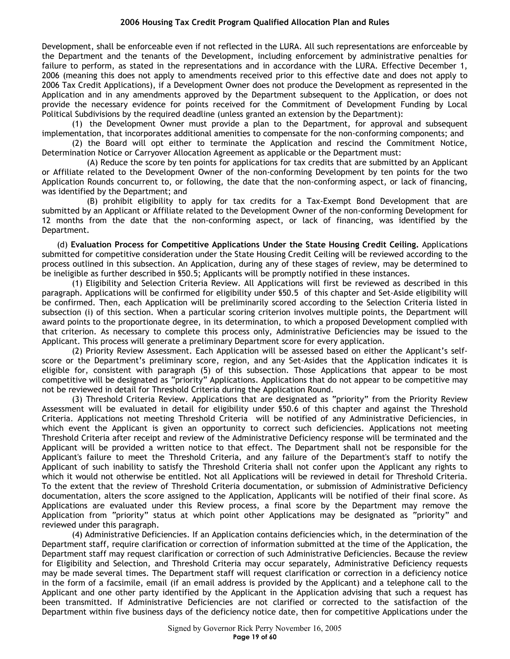Development, shall be enforceable even if not reflected in the LURA. All such representations are enforceable by the Department and the tenants of the Development, including enforcement by administrative penalties for failure to perform, as stated in the representations and in accordance with the LURA. Effective December 1, 2006 (meaning this does not apply to amendments received prior to this effective date and does not apply to 2006 Tax Credit Applications), if a Development Owner does not produce the Development as represented in the Application and in any amendments approved by the Department subsequent to the Application, or does not provide the necessary evidence for points received for the Commitment of Development Funding by Local Political Subdivisions by the required deadline (unless granted an extension by the Department):

(1) the Development Owner must provide a plan to the Department, for approval and subsequent implementation, that incorporates additional amenities to compensate for the non-conforming components; and

(2) the Board will opt either to terminate the Application and rescind the Commitment Notice, Determination Notice or Carryover Allocation Agreement as applicable or the Department must:

(A) Reduce the score by ten points for applications for tax credits that are submitted by an Applicant or Affiliate related to the Development Owner of the non-conforming Development by ten points for the two Application Rounds concurrent to, or following, the date that the non-conforming aspect, or lack of financing, was identified by the Department; and

(B) prohibit eligibility to apply for tax credits for a Tax-Exempt Bond Development that are submitted by an Applicant or Affiliate related to the Development Owner of the non-conforming Development for 12 months from the date that the non-conforming aspect, or lack of financing, was identified by the Department.

(d) **Evaluation Process for Competitive Applications Under the State Housing Credit Ceiling.** Applications submitted for competitive consideration under the State Housing Credit Ceiling will be reviewed according to the process outlined in this subsection. An Application, during any of these stages of review, may be determined to be ineligible as further described in §50.5; Applicants will be promptly notified in these instances.

(1) Eligibility and Selection Criteria Review. All Applications will first be reviewed as described in this paragraph. Applications will be confirmed for eligibility under §50.5 of this chapter and Set-Aside eligibility will be confirmed. Then, each Application will be preliminarily scored according to the Selection Criteria listed in subsection (i) of this section. When a particular scoring criterion involves multiple points, the Department will award points to the proportionate degree, in its determination, to which a proposed Development complied with that criterion. As necessary to complete this process only, Administrative Deficiencies may be issued to the Applicant. This process will generate a preliminary Department score for every application.

(2) Priority Review Assessment. Each Application will be assessed based on either the Applicant's selfscore or the Department's preliminary score, region, and any Set-Asides that the Application indicates it is eligible for, consistent with paragraph (5) of this subsection. Those Applications that appear to be most competitive will be designated as "priority" Applications. Applications that do not appear to be competitive may not be reviewed in detail for Threshold Criteria during the Application Round.

(3) Threshold Criteria Review. Applications that are designated as "priority" from the Priority Review Assessment will be evaluated in detail for eligibility under §50.6 of this chapter and against the Threshold Criteria. Applications not meeting Threshold Criteria will be notified of any Administrative Deficiencies, in which event the Applicant is given an opportunity to correct such deficiencies. Applications not meeting Threshold Criteria after receipt and review of the Administrative Deficiency response will be terminated and the Applicant will be provided a written notice to that effect. The Department shall not be responsible for the Applicant's failure to meet the Threshold Criteria, and any failure of the Department's staff to notify the Applicant of such inability to satisfy the Threshold Criteria shall not confer upon the Applicant any rights to which it would not otherwise be entitled. Not all Applications will be reviewed in detail for Threshold Criteria. To the extent that the review of Threshold Criteria documentation, or submission of Administrative Deficiency documentation, alters the score assigned to the Application, Applicants will be notified of their final score. As Applications are evaluated under this Review process, a final score by the Department may remove the Application from "priority" status at which point other Applications may be designated as "priority" and reviewed under this paragraph.

(4) Administrative Deficiencies. If an Application contains deficiencies which, in the determination of the Department staff, require clarification or correction of information submitted at the time of the Application, the Department staff may request clarification or correction of such Administrative Deficiencies. Because the review for Eligibility and Selection, and Threshold Criteria may occur separately, Administrative Deficiency requests may be made several times. The Department staff will request clarification or correction in a deficiency notice in the form of a facsimile, email (if an email address is provided by the Applicant) and a telephone call to the Applicant and one other party identified by the Applicant in the Application advising that such a request has been transmitted. If Administrative Deficiencies are not clarified or corrected to the satisfaction of the Department within five business days of the deficiency notice date, then for competitive Applications under the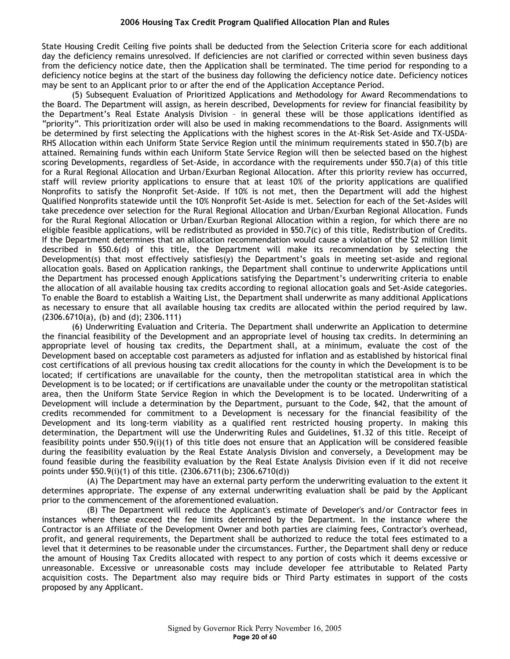State Housing Credit Ceiling five points shall be deducted from the Selection Criteria score for each additional day the deficiency remains unresolved. If deficiencies are not clarified or corrected within seven business days from the deficiency notice date, then the Application shall be terminated. The time period for responding to a deficiency notice begins at the start of the business day following the deficiency notice date. Deficiency notices may be sent to an Applicant prior to or after the end of the Application Acceptance Period.

(5) Subsequent Evaluation of Prioritized Applications and Methodology for Award Recommendations to the Board. The Department will assign, as herein described, Developments for review for financial feasibility by the Department's Real Estate Analysis Division – in general these will be those applications identified as "priority". This prioritization order will also be used in making recommendations to the Board. Assignments will be determined by first selecting the Applications with the highest scores in the At-Risk Set-Aside and TX-USDA-RHS Allocation within each Uniform State Service Region until the minimum requirements stated in §50.7(b) are attained. Remaining funds within each Uniform State Service Region will then be selected based on the highest scoring Developments, regardless of Set-Aside, in accordance with the requirements under §50.7(a) of this title for a Rural Regional Allocation and Urban/Exurban Regional Allocation. After this priority review has occurred, staff will review priority applications to ensure that at least 10% of the priority applications are qualified Nonprofits to satisfy the Nonprofit Set-Aside. If 10% is not met, then the Department will add the highest Qualified Nonprofits statewide until the 10% Nonprofit Set-Aside is met. Selection for each of the Set-Asides will take precedence over selection for the Rural Regional Allocation and Urban/Exurban Regional Allocation. Funds for the Rural Regional Allocation or Urban/Exurban Regional Allocation within a region, for which there are no eligible feasible applications, will be redistributed as provided in §50.7(c) of this title, Redistribution of Credits. If the Department determines that an allocation recommendation would cause a violation of the \$2 million limit described in §50.6(d) of this title, the Department will make its recommendation by selecting the Development(s) that most effectively satisfies(y) the Department's goals in meeting set-aside and regional allocation goals. Based on Application rankings, the Department shall continue to underwrite Applications until the Department has processed enough Applications satisfying the Department's underwriting criteria to enable the allocation of all available housing tax credits according to regional allocation goals and Set-Aside categories. To enable the Board to establish a Waiting List, the Department shall underwrite as many additional Applications as necessary to ensure that all available housing tax credits are allocated within the period required by law. (2306.6710(a), (b) and (d); 2306.111)

(6) Underwriting Evaluation and Criteria. The Department shall underwrite an Application to determine the financial feasibility of the Development and an appropriate level of housing tax credits. In determining an appropriate level of housing tax credits, the Department shall, at a minimum, evaluate the cost of the Development based on acceptable cost parameters as adjusted for inflation and as established by historical final cost certifications of all previous housing tax credit allocations for the county in which the Development is to be located; if certifications are unavailable for the county, then the metropolitan statistical area in which the Development is to be located; or if certifications are unavailable under the county or the metropolitan statistical area, then the Uniform State Service Region in which the Development is to be located. Underwriting of a Development will include a determination by the Department, pursuant to the Code, §42, that the amount of credits recommended for commitment to a Development is necessary for the financial feasibility of the Development and its long-term viability as a qualified rent restricted housing property. In making this determination, the Department will use the Underwriting Rules and Guidelines, §1.32 of this title. Receipt of feasibility points under §50.9(i)(1) of this title does not ensure that an Application will be considered feasible during the feasibility evaluation by the Real Estate Analysis Division and conversely, a Development may be found feasible during the feasibility evaluation by the Real Estate Analysis Division even if it did not receive points under §50.9(i)(1) of this title. (2306.6711(b); 2306.6710(d))

(A) The Department may have an external party perform the underwriting evaluation to the extent it determines appropriate. The expense of any external underwriting evaluation shall be paid by the Applicant prior to the commencement of the aforementioned evaluation.

(B) The Department will reduce the Applicant's estimate of Developer's and/or Contractor fees in instances where these exceed the fee limits determined by the Department. In the instance where the Contractor is an Affiliate of the Development Owner and both parties are claiming fees, Contractor's overhead, profit, and general requirements, the Department shall be authorized to reduce the total fees estimated to a level that it determines to be reasonable under the circumstances. Further, the Department shall deny or reduce the amount of Housing Tax Credits allocated with respect to any portion of costs which it deems excessive or unreasonable. Excessive or unreasonable costs may include developer fee attributable to Related Party acquisition costs. The Department also may require bids or Third Party estimates in support of the costs proposed by any Applicant.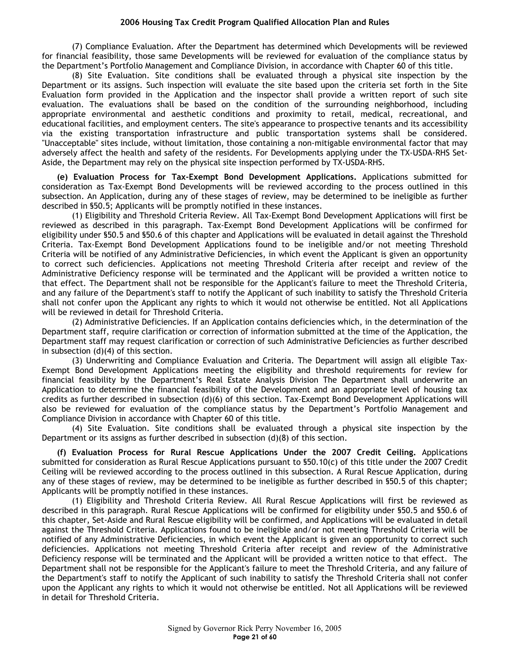(7) Compliance Evaluation. After the Department has determined which Developments will be reviewed for financial feasibility, those same Developments will be reviewed for evaluation of the compliance status by the Department's Portfolio Management and Compliance Division, in accordance with Chapter 60 of this title.

(8) Site Evaluation. Site conditions shall be evaluated through a physical site inspection by the Department or its assigns. Such inspection will evaluate the site based upon the criteria set forth in the Site Evaluation form provided in the Application and the inspector shall provide a written report of such site evaluation. The evaluations shall be based on the condition of the surrounding neighborhood, including appropriate environmental and aesthetic conditions and proximity to retail, medical, recreational, and educational facilities, and employment centers. The site's appearance to prospective tenants and its accessibility via the existing transportation infrastructure and public transportation systems shall be considered. "Unacceptable" sites include, without limitation, those containing a non-mitigable environmental factor that may adversely affect the health and safety of the residents. For Developments applying under the TX-USDA-RHS Set-Aside, the Department may rely on the physical site inspection performed by TX-USDA-RHS.

**(e) Evaluation Process for Tax-Exempt Bond Development Applications.** Applications submitted for consideration as Tax-Exempt Bond Developments will be reviewed according to the process outlined in this subsection. An Application, during any of these stages of review, may be determined to be ineligible as further described in §50.5; Applicants will be promptly notified in these instances.

(1) Eligibility and Threshold Criteria Review. All Tax-Exempt Bond Development Applications will first be reviewed as described in this paragraph. Tax-Exempt Bond Development Applications will be confirmed for eligibility under §50.5 and §50.6 of this chapter and Applications will be evaluated in detail against the Threshold Criteria. Tax-Exempt Bond Development Applications found to be ineligible and/or not meeting Threshold Criteria will be notified of any Administrative Deficiencies, in which event the Applicant is given an opportunity to correct such deficiencies. Applications not meeting Threshold Criteria after receipt and review of the Administrative Deficiency response will be terminated and the Applicant will be provided a written notice to that effect. The Department shall not be responsible for the Applicant's failure to meet the Threshold Criteria, and any failure of the Department's staff to notify the Applicant of such inability to satisfy the Threshold Criteria shall not confer upon the Applicant any rights to which it would not otherwise be entitled. Not all Applications will be reviewed in detail for Threshold Criteria.

(2) Administrative Deficiencies. If an Application contains deficiencies which, in the determination of the Department staff, require clarification or correction of information submitted at the time of the Application, the Department staff may request clarification or correction of such Administrative Deficiencies as further described in subsection (d)(4) of this section.

(3) Underwriting and Compliance Evaluation and Criteria. The Department will assign all eligible Tax-Exempt Bond Development Applications meeting the eligibility and threshold requirements for review for financial feasibility by the Department's Real Estate Analysis Division The Department shall underwrite an Application to determine the financial feasibility of the Development and an appropriate level of housing tax credits as further described in subsection (d)(6) of this section. Tax-Exempt Bond Development Applications will also be reviewed for evaluation of the compliance status by the Department's Portfolio Management and Compliance Division in accordance with Chapter 60 of this title.

(4) Site Evaluation. Site conditions shall be evaluated through a physical site inspection by the Department or its assigns as further described in subsection  $(d)(8)$  of this section.

**(f) Evaluation Process for Rural Rescue Applications Under the 2007 Credit Ceiling.** Applications submitted for consideration as Rural Rescue Applications pursuant to §50.10(c) of this title under the 2007 Credit Ceiling will be reviewed according to the process outlined in this subsection. A Rural Rescue Application, during any of these stages of review, may be determined to be ineligible as further described in §50.5 of this chapter; Applicants will be promptly notified in these instances.

(1) Eligibility and Threshold Criteria Review. All Rural Rescue Applications will first be reviewed as described in this paragraph. Rural Rescue Applications will be confirmed for eligibility under §50.5 and §50.6 of this chapter, Set-Aside and Rural Rescue eligibility will be confirmed, and Applications will be evaluated in detail against the Threshold Criteria. Applications found to be ineligible and/or not meeting Threshold Criteria will be notified of any Administrative Deficiencies, in which event the Applicant is given an opportunity to correct such deficiencies. Applications not meeting Threshold Criteria after receipt and review of the Administrative Deficiency response will be terminated and the Applicant will be provided a written notice to that effect. The Department shall not be responsible for the Applicant's failure to meet the Threshold Criteria, and any failure of the Department's staff to notify the Applicant of such inability to satisfy the Threshold Criteria shall not confer upon the Applicant any rights to which it would not otherwise be entitled. Not all Applications will be reviewed in detail for Threshold Criteria.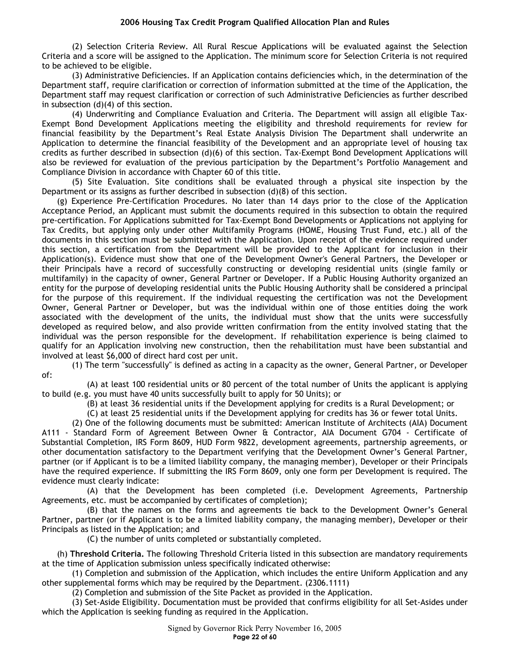(2) Selection Criteria Review. All Rural Rescue Applications will be evaluated against the Selection Criteria and a score will be assigned to the Application. The minimum score for Selection Criteria is not required to be achieved to be eligible.

(3) Administrative Deficiencies. If an Application contains deficiencies which, in the determination of the Department staff, require clarification or correction of information submitted at the time of the Application, the Department staff may request clarification or correction of such Administrative Deficiencies as further described in subsection (d)(4) of this section.

(4) Underwriting and Compliance Evaluation and Criteria. The Department will assign all eligible Tax-Exempt Bond Development Applications meeting the eligibility and threshold requirements for review for financial feasibility by the Department's Real Estate Analysis Division The Department shall underwrite an Application to determine the financial feasibility of the Development and an appropriate level of housing tax credits as further described in subsection (d)(6) of this section. Tax-Exempt Bond Development Applications will also be reviewed for evaluation of the previous participation by the Department's Portfolio Management and Compliance Division in accordance with Chapter 60 of this title.

(5) Site Evaluation. Site conditions shall be evaluated through a physical site inspection by the Department or its assigns as further described in subsection (d)(8) of this section.

(g) Experience Pre-Certification Procedures. No later than 14 days prior to the close of the Application Acceptance Period, an Applicant must submit the documents required in this subsection to obtain the required pre-certification. For Applications submitted for Tax-Exempt Bond Developments or Applications not applying for Tax Credits, but applying only under other Multifamily Programs (HOME, Housing Trust Fund, etc.) all of the documents in this section must be submitted with the Application. Upon receipt of the evidence required under this section, a certification from the Department will be provided to the Applicant for inclusion in their Application(s). Evidence must show that one of the Development Owner's General Partners, the Developer or their Principals have a record of successfully constructing or developing residential units (single family or multifamily) in the capacity of owner, General Partner or Developer. If a Public Housing Authority organized an entity for the purpose of developing residential units the Public Housing Authority shall be considered a principal for the purpose of this requirement. If the individual requesting the certification was not the Development Owner, General Partner or Developer, but was the individual within one of those entities doing the work associated with the development of the units, the individual must show that the units were successfully developed as required below, and also provide written confirmation from the entity involved stating that the individual was the person responsible for the development. If rehabilitation experience is being claimed to qualify for an Application involving new construction, then the rehabilitation must have been substantial and involved at least \$6,000 of direct hard cost per unit.

of:

(1) The term "successfully" is defined as acting in a capacity as the owner, General Partner, or Developer

(A) at least 100 residential units or 80 percent of the total number of Units the applicant is applying to build (e.g. you must have 40 units successfully built to apply for 50 Units); or

(B) at least 36 residential units if the Development applying for credits is a Rural Development; or

(C) at least 25 residential units if the Development applying for credits has 36 or fewer total Units.

(2) One of the following documents must be submitted: American Institute of Architects (AIA) Document A111 - Standard Form of Agreement Between Owner & Contractor, AIA Document G704 - Certificate of Substantial Completion, IRS Form 8609, HUD Form 9822, development agreements, partnership agreements, or other documentation satisfactory to the Department verifying that the Development Owner's General Partner, partner (or if Applicant is to be a limited liability company, the managing member), Developer or their Principals have the required experience. If submitting the IRS Form 8609, only one form per Development is required. The evidence must clearly indicate:

(A) that the Development has been completed (i.e. Development Agreements, Partnership Agreements, etc. must be accompanied by certificates of completion);

(B) that the names on the forms and agreements tie back to the Development Owner's General Partner, partner (or if Applicant is to be a limited liability company, the managing member), Developer or their Principals as listed in the Application; and

(C) the number of units completed or substantially completed.

(h) **Threshold Criteria.** The following Threshold Criteria listed in this subsection are mandatory requirements at the time of Application submission unless specifically indicated otherwise:

(1) Completion and submission of the Application, which includes the entire Uniform Application and any other supplemental forms which may be required by the Department. (2306.1111)

(2) Completion and submission of the Site Packet as provided in the Application.

(3) Set-Aside Eligibility. Documentation must be provided that confirms eligibility for all Set-Asides under which the Application is seeking funding as required in the Application.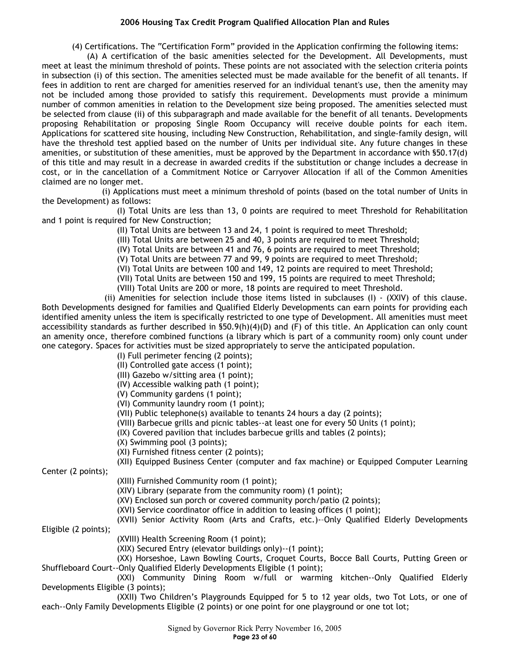(4) Certifications. The "Certification Form" provided in the Application confirming the following items:

(A) A certification of the basic amenities selected for the Development. All Developments, must meet at least the minimum threshold of points. These points are not associated with the selection criteria points in subsection (i) of this section. The amenities selected must be made available for the benefit of all tenants. If fees in addition to rent are charged for amenities reserved for an individual tenant's use, then the amenity may not be included among those provided to satisfy this requirement. Developments must provide a minimum number of common amenities in relation to the Development size being proposed. The amenities selected must be selected from clause (ii) of this subparagraph and made available for the benefit of all tenants. Developments proposing Rehabilitation or proposing Single Room Occupancy will receive double points for each item. Applications for scattered site housing, including New Construction, Rehabilitation, and single-family design, will have the threshold test applied based on the number of Units per individual site. Any future changes in these amenities, or substitution of these amenities, must be approved by the Department in accordance with §50.17(d) of this title and may result in a decrease in awarded credits if the substitution or change includes a decrease in cost, or in the cancellation of a Commitment Notice or Carryover Allocation if all of the Common Amenities claimed are no longer met.

(i) Applications must meet a minimum threshold of points (based on the total number of Units in the Development) as follows:

(I) Total Units are less than 13, 0 points are required to meet Threshold for Rehabilitation and 1 point is required for New Construction;

(II) Total Units are between 13 and 24, 1 point is required to meet Threshold;

(III) Total Units are between 25 and 40, 3 points are required to meet Threshold;

(IV) Total Units are between 41 and 76, 6 points are required to meet Threshold;

(V) Total Units are between 77 and 99, 9 points are required to meet Threshold;

(VI) Total Units are between 100 and 149, 12 points are required to meet Threshold;

(VII) Total Units are between 150 and 199, 15 points are required to meet Threshold;

(VIII) Total Units are 200 or more, 18 points are required to meet Threshold.

(ii) Amenities for selection include those items listed in subclauses (I)  $-$  (XXIV) of this clause. Both Developments designed for families and Qualified Elderly Developments can earn points for providing each identified amenity unless the item is specifically restricted to one type of Development. All amenities must meet accessibility standards as further described in §50.9(h)(4)(D) and (F) of this title. An Application can only count an amenity once, therefore combined functions (a library which is part of a community room) only count under one category. Spaces for activities must be sized appropriately to serve the anticipated population.

(I) Full perimeter fencing (2 points);

(II) Controlled gate access (1 point);

(III) Gazebo w/sitting area (1 point);

(IV) Accessible walking path (1 point);

(V) Community gardens (1 point);

(VI) Community laundry room (1 point);

(VII) Public telephone(s) available to tenants 24 hours a day (2 points);

(VIII) Barbecue grills and picnic tables--at least one for every 50 Units (1 point);

(IX) Covered pavilion that includes barbecue grills and tables (2 points);

(X) Swimming pool (3 points);

(XI) Furnished fitness center (2 points);

(XII) Equipped Business Center (computer and fax machine) or Equipped Computer Learning

Center (2 points);

(XIII) Furnished Community room (1 point);

(XIV) Library (separate from the community room) (1 point);

(XV) Enclosed sun porch or covered community porch/patio (2 points);

(XVI) Service coordinator office in addition to leasing offices (1 point);

(XVII) Senior Activity Room (Arts and Crafts, etc.)-–Only Qualified Elderly Developments Eligible (2 points);

(XVIII) Health Screening Room (1 point);

(XIX) Secured Entry (elevator buildings only)--(1 point);

(XX) Horseshoe, Lawn Bowling Courts, Croquet Courts, Bocce Ball Courts, Putting Green or Shuffleboard Court--Only Qualified Elderly Developments Eligible (1 point);

(XXI) Community Dining Room w/full or warming kitchen--Only Qualified Elderly Developments Eligible (3 points);

(XXII) Two Children's Playgrounds Equipped for 5 to 12 year olds, two Tot Lots, or one of each--Only Family Developments Eligible (2 points) or one point for one playground or one tot lot;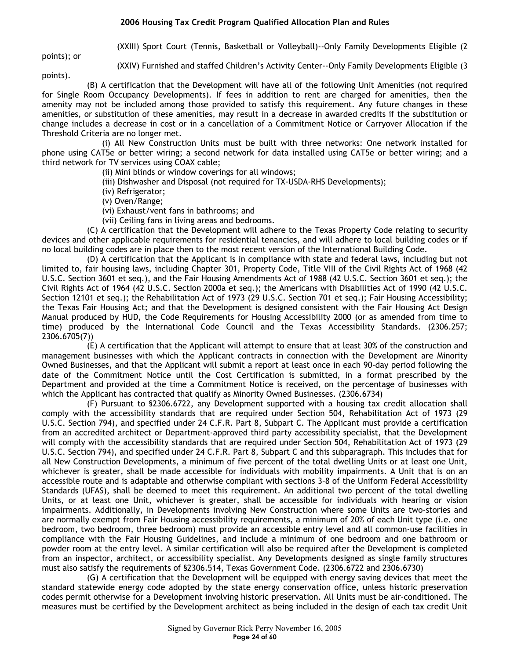(XXIII) Sport Court (Tennis, Basketball or Volleyball)--Only Family Developments Eligible (2

points); or

(XXIV) Furnished and staffed Children's Activity Center--Only Family Developments Eligible (3

points). (B) A certification that the Development will have all of the following Unit Amenities (not required for Single Room Occupancy Developments). If fees in addition to rent are charged for amenities, then the amenity may not be included among those provided to satisfy this requirement. Any future changes in these amenities, or substitution of these amenities, may result in a decrease in awarded credits if the substitution or change includes a decrease in cost or in a cancellation of a Commitment Notice or Carryover Allocation if the Threshold Criteria are no longer met.

(i) All New Construction Units must be built with three networks: One network installed for phone using CAT5e or better wiring; a second network for data installed using CAT5e or better wiring; and a third network for TV services using COAX cable;

(ii) Mini blinds or window coverings for all windows;

- (iii) Dishwasher and Disposal (not required for TX-USDA-RHS Developments);
- (iv) Refrigerator;
- (v) Oven/Range;
- (vi) Exhaust/vent fans in bathrooms; and
- (vii) Ceiling fans in living areas and bedrooms.

(C) A certification that the Development will adhere to the Texas Property Code relating to security devices and other applicable requirements for residential tenancies, and will adhere to local building codes or if no local building codes are in place then to the most recent version of the International Building Code.

(D) A certification that the Applicant is in compliance with state and federal laws, including but not limited to, fair housing laws, including Chapter 301, Property Code, Title VIII of the Civil Rights Act of 1968 (42 U.S.C. Section 3601 et seq.), and the Fair Housing Amendments Act of 1988 (42 U.S.C. Section 3601 et seq.); the Civil Rights Act of 1964 (42 U.S.C. Section 2000a et seq.); the Americans with Disabilities Act of 1990 (42 U.S.C. Section 12101 et seq.); the Rehabilitation Act of 1973 (29 U.S.C. Section 701 et seq.); Fair Housing Accessibility; the Texas Fair Housing Act; and that the Development is designed consistent with the Fair Housing Act Design Manual produced by HUD, the Code Requirements for Housing Accessibility 2000 (or as amended from time to time) produced by the International Code Council and the Texas Accessibility Standards. (2306.257; 2306.6705(7))

(E) A certification that the Applicant will attempt to ensure that at least 30% of the construction and management businesses with which the Applicant contracts in connection with the Development are Minority Owned Businesses, and that the Applicant will submit a report at least once in each 90-day period following the date of the Commitment Notice until the Cost Certification is submitted, in a format prescribed by the Department and provided at the time a Commitment Notice is received, on the percentage of businesses with which the Applicant has contracted that qualify as Minority Owned Businesses. (2306.6734)

(F) Pursuant to §2306.6722, any Development supported with a housing tax credit allocation shall comply with the accessibility standards that are required under Section 504, Rehabilitation Act of 1973 (29 U.S.C. Section 794), and specified under 24 C.F.R. Part 8, Subpart C. The Applicant must provide a certification from an accredited architect or Department-approved third party accessibility specialist, that the Development will comply with the accessibility standards that are required under Section 504, Rehabilitation Act of 1973 (29 U.S.C. Section 794), and specified under 24 C.F.R. Part 8, Subpart C and this subparagraph. This includes that for all New Construction Developments, a minimum of five percent of the total dwelling Units or at least one Unit, whichever is greater, shall be made accessible for individuals with mobility impairments. A Unit that is on an accessible route and is adaptable and otherwise compliant with sections 3–8 of the Uniform Federal Accessibility Standards (UFAS), shall be deemed to meet this requirement. An additional two percent of the total dwelling Units, or at least one Unit, whichever is greater, shall be accessible for individuals with hearing or vision impairments. Additionally, in Developments involving New Construction where some Units are two-stories and are normally exempt from Fair Housing accessibility requirements, a minimum of 20% of each Unit type (i.e. one bedroom, two bedroom, three bedroom) must provide an accessible entry level and all common-use facilities in compliance with the Fair Housing Guidelines, and include a minimum of one bedroom and one bathroom or powder room at the entry level. A similar certification will also be required after the Development is completed from an inspector, architect, or accessibility specialist. Any Developments designed as single family structures must also satisfy the requirements of §2306.514, Texas Government Code. (2306.6722 and 2306.6730)

(G) A certification that the Development will be equipped with energy saving devices that meet the standard statewide energy code adopted by the state energy conservation office, unless historic preservation codes permit otherwise for a Development involving historic preservation. All Units must be air-conditioned. The measures must be certified by the Development architect as being included in the design of each tax credit Unit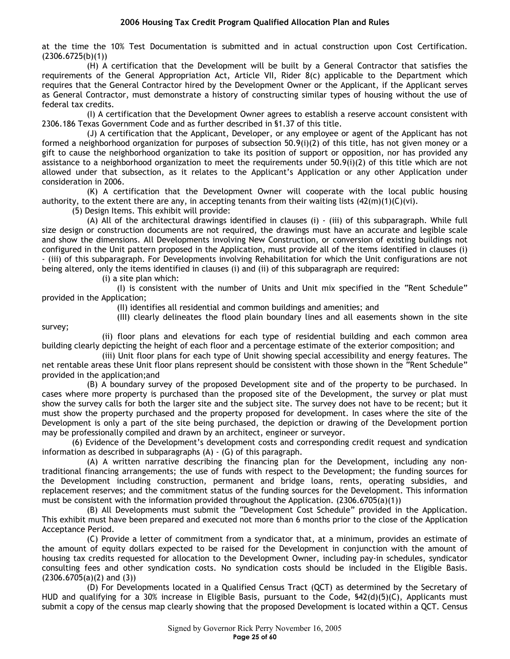at the time the 10% Test Documentation is submitted and in actual construction upon Cost Certification. (2306.6725(b)(1))

(H) A certification that the Development will be built by a General Contractor that satisfies the requirements of the General Appropriation Act, Article VII, Rider 8(c) applicable to the Department which requires that the General Contractor hired by the Development Owner or the Applicant, if the Applicant serves as General Contractor, must demonstrate a history of constructing similar types of housing without the use of federal tax credits.

(I) A certification that the Development Owner agrees to establish a reserve account consistent with 2306.186 Texas Government Code and as further described in §1.37 of this title.

(J) A certification that the Applicant, Developer, or any employee or agent of the Applicant has not formed a neighborhood organization for purposes of subsection 50.9(i)(2) of this title, has not given money or a gift to cause the neighborhood organization to take its position of support or opposition, nor has provided any assistance to a neighborhood organization to meet the requirements under 50.9(i)(2) of this title which are not allowed under that subsection, as it relates to the Applicant's Application or any other Application under consideration in 2006.

(K) A certification that the Development Owner will cooperate with the local public housing authority, to the extent there are any, in accepting tenants from their waiting lists  $(42(m)(1)(C)(vi)$ .

(5) Design Items. This exhibit will provide:

(A) All of the architectural drawings identified in clauses (i) - (iii) of this subparagraph. While full size design or construction documents are not required, the drawings must have an accurate and legible scale and show the dimensions. All Developments involving New Construction, or conversion of existing buildings not configured in the Unit pattern proposed in the Application, must provide all of the items identified in clauses (i) - (iii) of this subparagraph. For Developments involving Rehabilitation for which the Unit configurations are not being altered, only the items identified in clauses (i) and (ii) of this subparagraph are required:

(i) a site plan which:

survey;

(I) is consistent with the number of Units and Unit mix specified in the "Rent Schedule" provided in the Application;

(II) identifies all residential and common buildings and amenities; and

(III) clearly delineates the flood plain boundary lines and all easements shown in the site

(ii) floor plans and elevations for each type of residential building and each common area building clearly depicting the height of each floor and a percentage estimate of the exterior composition; and

(iii) Unit floor plans for each type of Unit showing special accessibility and energy features. The net rentable areas these Unit floor plans represent should be consistent with those shown in the "Rent Schedule" provided in the application;and

(B) A boundary survey of the proposed Development site and of the property to be purchased. In cases where more property is purchased than the proposed site of the Development, the survey or plat must show the survey calls for both the larger site and the subject site. The survey does not have to be recent; but it must show the property purchased and the property proposed for development. In cases where the site of the Development is only a part of the site being purchased, the depiction or drawing of the Development portion may be professionally compiled and drawn by an architect, engineer or surveyor.

(6) Evidence of the Development's development costs and corresponding credit request and syndication information as described in subparagraphs (A) - (G) of this paragraph.

(A) A written narrative describing the financing plan for the Development, including any nontraditional financing arrangements; the use of funds with respect to the Development; the funding sources for the Development including construction, permanent and bridge loans, rents, operating subsidies, and replacement reserves; and the commitment status of the funding sources for the Development. This information must be consistent with the information provided throughout the Application. (2306.6705(a)(1))

(B) All Developments must submit the "Development Cost Schedule" provided in the Application. This exhibit must have been prepared and executed not more than 6 months prior to the close of the Application Acceptance Period.

(C) Provide a letter of commitment from a syndicator that, at a minimum, provides an estimate of the amount of equity dollars expected to be raised for the Development in conjunction with the amount of housing tax credits requested for allocation to the Development Owner, including pay-in schedules, syndicator consulting fees and other syndication costs. No syndication costs should be included in the Eligible Basis.  $(2306.6705(a)(2)$  and  $(3))$ 

(D) For Developments located in a Qualified Census Tract (QCT) as determined by the Secretary of HUD and qualifying for a 30% increase in Eligible Basis, pursuant to the Code, §42(d)(5)(C), Applicants must submit a copy of the census map clearly showing that the proposed Development is located within a QCT. Census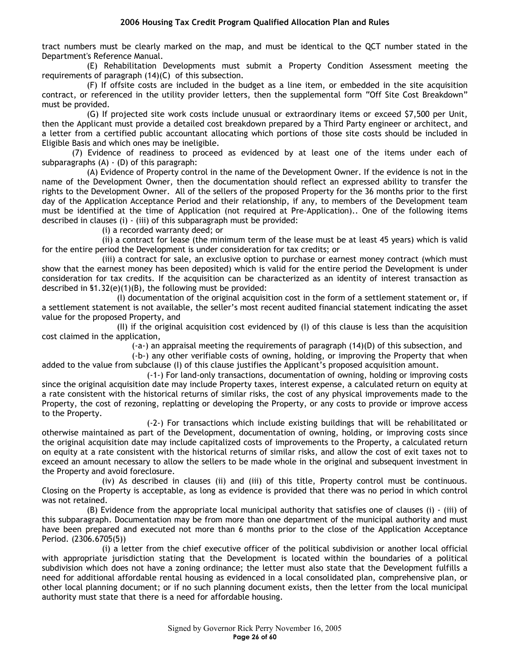tract numbers must be clearly marked on the map, and must be identical to the QCT number stated in the Department's Reference Manual.

(E) Rehabilitation Developments must submit a Property Condition Assessment meeting the requirements of paragraph (14)(C) of this subsection.

(F) If offsite costs are included in the budget as a line item, or embedded in the site acquisition contract, or referenced in the utility provider letters, then the supplemental form "Off Site Cost Breakdown" must be provided.

(G) If projected site work costs include unusual or extraordinary items or exceed \$7,500 per Unit, then the Applicant must provide a detailed cost breakdown prepared by a Third Party engineer or architect, and a letter from a certified public accountant allocating which portions of those site costs should be included in Eligible Basis and which ones may be ineligible.

(7) Evidence of readiness to proceed as evidenced by at least one of the items under each of subparagraphs (A) - (D) of this paragraph:

(A) Evidence of Property control in the name of the Development Owner. If the evidence is not in the name of the Development Owner, then the documentation should reflect an expressed ability to transfer the rights to the Development Owner. All of the sellers of the proposed Property for the 36 months prior to the first day of the Application Acceptance Period and their relationship, if any, to members of the Development team must be identified at the time of Application (not required at Pre-Application).. One of the following items described in clauses (i) - (iii) of this subparagraph must be provided:

(i) a recorded warranty deed; or

(ii) a contract for lease (the minimum term of the lease must be at least 45 years) which is valid for the entire period the Development is under consideration for tax credits; or

(iii) a contract for sale, an exclusive option to purchase or earnest money contract (which must show that the earnest money has been deposited) which is valid for the entire period the Development is under consideration for tax credits. If the acquisition can be characterized as an identity of interest transaction as described in §1.32(e)(1)(B), the following must be provided:

(I) documentation of the original acquisition cost in the form of a settlement statement or, if a settlement statement is not available, the seller's most recent audited financial statement indicating the asset value for the proposed Property, and

(II) if the original acquisition cost evidenced by (I) of this clause is less than the acquisition cost claimed in the application,

(-a-) an appraisal meeting the requirements of paragraph (14)(D) of this subsection, and

(-b-) any other verifiable costs of owning, holding, or improving the Property that when added to the value from subclause (I) of this clause justifies the Applicant's proposed acquisition amount.

(-1-) For land-only transactions, documentation of owning, holding or improving costs since the original acquisition date may include Property taxes, interest expense, a calculated return on equity at a rate consistent with the historical returns of similar risks, the cost of any physical improvements made to the Property, the cost of rezoning, replatting or developing the Property, or any costs to provide or improve access to the Property.

(-2-) For transactions which include existing buildings that will be rehabilitated or otherwise maintained as part of the Development, documentation of owning, holding, or improving costs since the original acquisition date may include capitalized costs of improvements to the Property, a calculated return on equity at a rate consistent with the historical returns of similar risks, and allow the cost of exit taxes not to exceed an amount necessary to allow the sellers to be made whole in the original and subsequent investment in the Property and avoid foreclosure.

(iv) As described in clauses (ii) and (iii) of this title, Property control must be continuous. Closing on the Property is acceptable, as long as evidence is provided that there was no period in which control was not retained.

(B) Evidence from the appropriate local municipal authority that satisfies one of clauses (i) - (iii) of this subparagraph. Documentation may be from more than one department of the municipal authority and must have been prepared and executed not more than 6 months prior to the close of the Application Acceptance Period. (2306.6705(5))

(i) a letter from the chief executive officer of the political subdivision or another local official with appropriate jurisdiction stating that the Development is located within the boundaries of a political subdivision which does not have a zoning ordinance; the letter must also state that the Development fulfills a need for additional affordable rental housing as evidenced in a local consolidated plan, comprehensive plan, or other local planning document; or if no such planning document exists, then the letter from the local municipal authority must state that there is a need for affordable housing.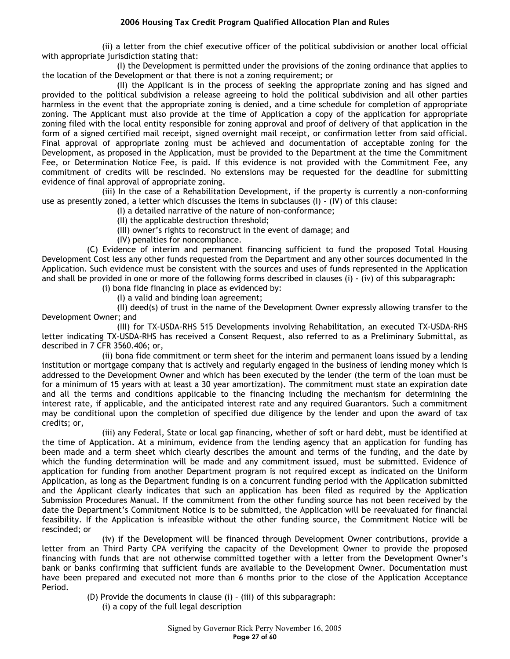(ii) a letter from the chief executive officer of the political subdivision or another local official with appropriate jurisdiction stating that:

(I) the Development is permitted under the provisions of the zoning ordinance that applies to the location of the Development or that there is not a zoning requirement; or

(II) the Applicant is in the process of seeking the appropriate zoning and has signed and provided to the political subdivision a release agreeing to hold the political subdivision and all other parties harmless in the event that the appropriate zoning is denied, and a time schedule for completion of appropriate zoning. The Applicant must also provide at the time of Application a copy of the application for appropriate zoning filed with the local entity responsible for zoning approval and proof of delivery of that application in the form of a signed certified mail receipt, signed overnight mail receipt, or confirmation letter from said official. Final approval of appropriate zoning must be achieved and documentation of acceptable zoning for the Development, as proposed in the Application, must be provided to the Department at the time the Commitment Fee, or Determination Notice Fee, is paid. If this evidence is not provided with the Commitment Fee, any commitment of credits will be rescinded. No extensions may be requested for the deadline for submitting evidence of final approval of appropriate zoning.

(iii) In the case of a Rehabilitation Development, if the property is currently a non-conforming use as presently zoned, a letter which discusses the items in subclauses (I) - (IV) of this clause:

(I) a detailed narrative of the nature of non-conformance;

(II) the applicable destruction threshold;

(III) owner's rights to reconstruct in the event of damage; and

(IV) penalties for noncompliance.

(C) Evidence of interim and permanent financing sufficient to fund the proposed Total Housing Development Cost less any other funds requested from the Department and any other sources documented in the Application. Such evidence must be consistent with the sources and uses of funds represented in the Application and shall be provided in one or more of the following forms described in clauses (i) - (iv) of this subparagraph:

(i) bona fide financing in place as evidenced by:

(I) a valid and binding loan agreement;

(II) deed(s) of trust in the name of the Development Owner expressly allowing transfer to the Development Owner; and

(III) for TX-USDA-RHS 515 Developments involving Rehabilitation, an executed TX-USDA-RHS letter indicating TX-USDA-RHS has received a Consent Request, also referred to as a Preliminary Submittal, as described in 7 CFR 3560.406; or,

(ii) bona fide commitment or term sheet for the interim and permanent loans issued by a lending institution or mortgage company that is actively and regularly engaged in the business of lending money which is addressed to the Development Owner and which has been executed by the lender (the term of the loan must be for a minimum of 15 years with at least a 30 year amortization). The commitment must state an expiration date and all the terms and conditions applicable to the financing including the mechanism for determining the interest rate, if applicable, and the anticipated interest rate and any required Guarantors. Such a commitment may be conditional upon the completion of specified due diligence by the lender and upon the award of tax credits; or,

(iii) any Federal, State or local gap financing, whether of soft or hard debt, must be identified at the time of Application. At a minimum, evidence from the lending agency that an application for funding has been made and a term sheet which clearly describes the amount and terms of the funding, and the date by which the funding determination will be made and any commitment issued, must be submitted. Evidence of application for funding from another Department program is not required except as indicated on the Uniform Application, as long as the Department funding is on a concurrent funding period with the Application submitted and the Applicant clearly indicates that such an application has been filed as required by the Application Submission Procedures Manual. If the commitment from the other funding source has not been received by the date the Department's Commitment Notice is to be submitted, the Application will be reevaluated for financial feasibility. If the Application is infeasible without the other funding source, the Commitment Notice will be rescinded; or

(iv) if the Development will be financed through Development Owner contributions, provide a letter from an Third Party CPA verifying the capacity of the Development Owner to provide the proposed financing with funds that are not otherwise committed together with a letter from the Development Owner's bank or banks confirming that sufficient funds are available to the Development Owner. Documentation must have been prepared and executed not more than 6 months prior to the close of the Application Acceptance Period.

(D) Provide the documents in clause (i) – (iii) of this subparagraph:

(i) a copy of the full legal description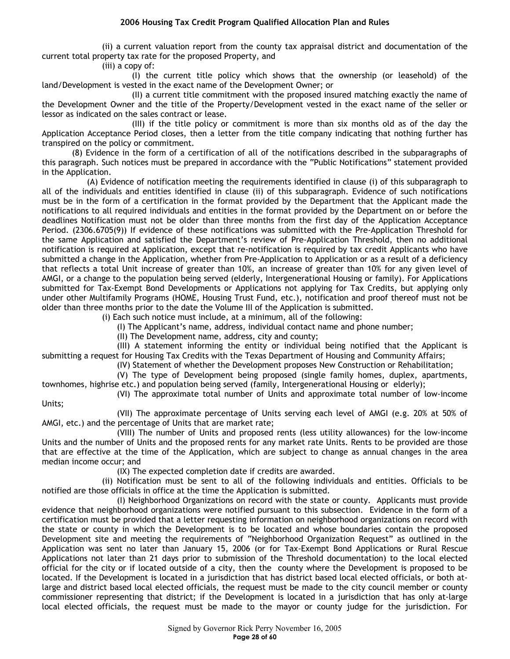(ii) a current valuation report from the county tax appraisal district and documentation of the current total property tax rate for the proposed Property, and

(iii) a copy of:

(I) the current title policy which shows that the ownership (or leasehold) of the land/Development is vested in the exact name of the Development Owner; or

(II) a current title commitment with the proposed insured matching exactly the name of the Development Owner and the title of the Property/Development vested in the exact name of the seller or lessor as indicated on the sales contract or lease.

(III) if the title policy or commitment is more than six months old as of the day the Application Acceptance Period closes, then a letter from the title company indicating that nothing further has transpired on the policy or commitment.

(8) Evidence in the form of a certification of all of the notifications described in the subparagraphs of this paragraph. Such notices must be prepared in accordance with the "Public Notifications" statement provided in the Application.

(A) Evidence of notification meeting the requirements identified in clause (i) of this subparagraph to all of the individuals and entities identified in clause (ii) of this subparagraph. Evidence of such notifications must be in the form of a certification in the format provided by the Department that the Applicant made the notifications to all required individuals and entities in the format provided by the Department on or before the deadlines Notification must not be older than three months from the first day of the Application Acceptance Period. (2306.6705(9)) If evidence of these notifications was submitted with the Pre-Application Threshold for the same Application and satisfied the Department's review of Pre-Application Threshold, then no additional notification is required at Application, except that re-notification is required by tax credit Applicants who have submitted a change in the Application, whether from Pre-Application to Application or as a result of a deficiency that reflects a total Unit increase of greater than 10%, an increase of greater than 10% for any given level of AMGI, or a change to the population being served (elderly, Intergenerational Housing or family). For Applications submitted for Tax-Exempt Bond Developments or Applications not applying for Tax Credits, but applying only under other Multifamily Programs (HOME, Housing Trust Fund, etc.), notification and proof thereof must not be older than three months prior to the date the Volume III of the Application is submitted.

(i) Each such notice must include, at a minimum, all of the following:

(I) The Applicant's name, address, individual contact name and phone number;

(II) The Development name, address, city and county;

(III) A statement informing the entity or individual being notified that the Applicant is submitting a request for Housing Tax Credits with the Texas Department of Housing and Community Affairs;

(IV) Statement of whether the Development proposes New Construction or Rehabilitation;

(V) The type of Development being proposed (single family homes, duplex, apartments, townhomes, highrise etc.) and population being served (family, Intergenerational Housing or elderly);

(VI) The approximate total number of Units and approximate total number of low-income Units;

(VII) The approximate percentage of Units serving each level of AMGI (e.g. 20% at 50% of AMGI, etc.) and the percentage of Units that are market rate;

(VIII) The number of Units and proposed rents (less utility allowances) for the low-income Units and the number of Units and the proposed rents for any market rate Units. Rents to be provided are those that are effective at the time of the Application, which are subject to change as annual changes in the area median income occur; and

(IX) The expected completion date if credits are awarded.

(ii) Notification must be sent to all of the following individuals and entities. Officials to be notified are those officials in office at the time the Application is submitted.

(I) Neighborhood Organizations on record with the state or county. Applicants must provide evidence that neighborhood organizations were notified pursuant to this subsection. Evidence in the form of a certification must be provided that a letter requesting information on neighborhood organizations on record with the state or county in which the Development is to be located and whose boundaries contain the proposed Development site and meeting the requirements of "Neighborhood Organization Request" as outlined in the Application was sent no later than January 15, 2006 (or for Tax-Exempt Bond Applications or Rural Rescue Applications not later than 21 days prior to submission of the Threshold documentation) to the local elected official for the city or if located outside of a city, then the county where the Development is proposed to be located. If the Development is located in a jurisdiction that has district based local elected officials, or both atlarge and district based local elected officials, the request must be made to the city council member or county commissioner representing that district; if the Development is located in a jurisdiction that has only at-large local elected officials, the request must be made to the mayor or county judge for the jurisdiction. For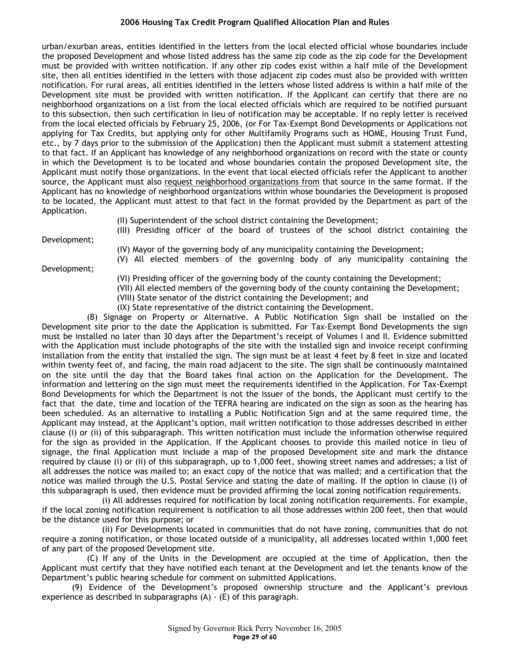urban/exurban areas, entities identified in the letters from the local elected official whose boundaries include the proposed Development and whose listed address has the same zip code as the zip code for the Development must be provided with written notification. If any other zip codes exist within a half mile of the Development site, then all entities identified in the letters with those adjacent zip codes must also be provided with written notification. For rural areas, all entities identified in the letters whose listed address is within a half mile of the Development site must be provided with written notification. If the Applicant can certify that there are no neighborhood organizations on a list from the local elected officials which are required to be notified pursuant to this subsection, then such certification in lieu of notification may be acceptable. If no reply letter is received from the local elected officials by February 25, 2006, (or For Tax-Exempt Bond Developments or Applications not applying for Tax Credits, but applying only for other Multifamily Programs such as HOME, Housing Trust Fund, etc., by 7 days prior to the submission of the Application) then the Applicant must submit a statement attesting to that fact. If an Applicant has knowledge of any neighborhood organizations on record with the state or county in which the Development is to be located and whose boundaries contain the proposed Development site, the Applicant must notify those organizations. In the event that local elected officials refer the Applicant to another source, the Applicant must also request neighborhood organizations from that source in the same format. If the Applicant has no knowledge of neighborhood organizations within whose boundaries the Development is proposed to be located, the Applicant must attest to that fact in the format provided by the Department as part of the Application.

(II) Superintendent of the school district containing the Development;

(III) Presiding officer of the board of trustees of the school district containing the

Development;

Development;

(IV) Mayor of the governing body of any municipality containing the Development;

(V) All elected members of the governing body of any municipality containing the

- (VI) Presiding officer of the governing body of the county containing the Development;
- (VII) All elected members of the governing body of the county containing the Development;
- (VIII) State senator of the district containing the Development; and
- (IX) State representative of the district containing the Development.

(B) Signage on Property or Alternative. A Public Notification Sign shall be installed on the Development site prior to the date the Application is submitted. For Tax-Exempt Bond Developments the sign must be installed no later than 30 days after the Department's receipt of Volumes I and II. Evidence submitted with the Application must include photographs of the site with the installed sign and invoice receipt confirming installation from the entity that installed the sign. The sign must be at least 4 feet by 8 feet in size and located within twenty feet of, and facing, the main road adjacent to the site. The sign shall be continuously maintained on the site until the day that the Board takes final action on the Application for the Development. The information and lettering on the sign must meet the requirements identified in the Application. For Tax-Exempt Bond Developments for which the Department is not the issuer of the bonds, the Applicant must certify to the fact that the date, time and location of the TEFRA hearing are indicated on the sign as soon as the hearing has been scheduled. As an alternative to installing a Public Notification Sign and at the same required time, the Applicant may instead, at the Applicant's option, mail written notification to those addresses described in either clause (i) or (ii) of this subparagraph. This written notification must include the information otherwise required for the sign as provided in the Application. If the Applicant chooses to provide this mailed notice in lieu of signage, the final Application must include a map of the proposed Development site and mark the distance required by clause (i) or (ii) of this subparagraph, up to 1,000 feet, showing street names and addresses; a list of all addresses the notice was mailed to; an exact copy of the notice that was mailed; and a certification that the notice was mailed through the U.S. Postal Service and stating the date of mailing. If the option in clause (i) of this subparagraph is used, then evidence must be provided affirming the local zoning notification requirements.

(i) All addresses required for notification by local zoning notification requirements. For example, if the local zoning notification requirement is notification to all those addresses within 200 feet, then that would be the distance used for this purpose; or

(ii) For Developments located in communities that do not have zoning, communities that do not require a zoning notification, or those located outside of a municipality, all addresses located within 1,000 feet of any part of the proposed Development site.

(C) If any of the Units in the Development are occupied at the time of Application, then the Applicant must certify that they have notified each tenant at the Development and let the tenants know of the Department's public hearing schedule for comment on submitted Applications.

(9) Evidence of the Development's proposed ownership structure and the Applicant's previous experience as described in subparagraphs (A) - (E) of this paragraph.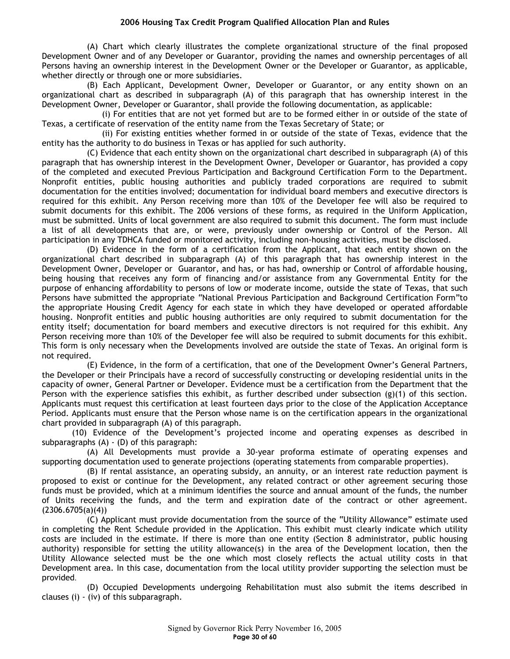(A) Chart which clearly illustrates the complete organizational structure of the final proposed Development Owner and of any Developer or Guarantor, providing the names and ownership percentages of all Persons having an ownership interest in the Development Owner or the Developer or Guarantor, as applicable, whether directly or through one or more subsidiaries.

(B) Each Applicant, Development Owner, Developer or Guarantor, or any entity shown on an organizational chart as described in subparagraph (A) of this paragraph that has ownership interest in the Development Owner, Developer or Guarantor, shall provide the following documentation, as applicable:

(i) For entities that are not yet formed but are to be formed either in or outside of the state of Texas, a certificate of reservation of the entity name from the Texas Secretary of State; or

(ii) For existing entities whether formed in or outside of the state of Texas, evidence that the entity has the authority to do business in Texas or has applied for such authority.

(C) Evidence that each entity shown on the organizational chart described in subparagraph (A) of this paragraph that has ownership interest in the Development Owner, Developer or Guarantor, has provided a copy of the completed and executed Previous Participation and Background Certification Form to the Department. Nonprofit entities, public housing authorities and publicly traded corporations are required to submit documentation for the entities involved; documentation for individual board members and executive directors is required for this exhibit. Any Person receiving more than 10% of the Developer fee will also be required to submit documents for this exhibit. The 2006 versions of these forms, as required in the Uniform Application, must be submitted. Units of local government are also required to submit this document. The form must include a list of all developments that are, or were, previously under ownership or Control of the Person. All participation in any TDHCA funded or monitored activity, including non-housing activities, must be disclosed.

(D) Evidence in the form of a certification from the Applicant, that each entity shown on the organizational chart described in subparagraph (A) of this paragraph that has ownership interest in the Development Owner, Developer or Guarantor, and has, or has had, ownership or Control of affordable housing, being housing that receives any form of financing and/or assistance from any Governmental Entity for the purpose of enhancing affordability to persons of low or moderate income, outside the state of Texas, that such Persons have submitted the appropriate "National Previous Participation and Background Certification Form"to the appropriate Housing Credit Agency for each state in which they have developed or operated affordable housing. Nonprofit entities and public housing authorities are only required to submit documentation for the entity itself; documentation for board members and executive directors is not required for this exhibit. Any Person receiving more than 10% of the Developer fee will also be required to submit documents for this exhibit. This form is only necessary when the Developments involved are outside the state of Texas. An original form is not required.

(E) Evidence, in the form of a certification, that one of the Development Owner's General Partners, the Developer or their Principals have a record of successfully constructing or developing residential units in the capacity of owner, General Partner or Developer. Evidence must be a certification from the Department that the Person with the experience satisfies this exhibit, as further described under subsection  $(g)(1)$  of this section. Applicants must request this certification at least fourteen days prior to the close of the Application Acceptance Period. Applicants must ensure that the Person whose name is on the certification appears in the organizational chart provided in subparagraph (A) of this paragraph.

(10) Evidence of the Development's projected income and operating expenses as described in subparagraphs (A) - (D) of this paragraph:

(A) All Developments must provide a 30-year proforma estimate of operating expenses and supporting documentation used to generate projections (operating statements from comparable properties).

(B) If rental assistance, an operating subsidy, an annuity, or an interest rate reduction payment is proposed to exist or continue for the Development, any related contract or other agreement securing those funds must be provided, which at a minimum identifies the source and annual amount of the funds, the number of Units receiving the funds, and the term and expiration date of the contract or other agreement.  $(2306.6705(a)(4))$ 

(C) Applicant must provide documentation from the source of the "Utility Allowance" estimate used in completing the Rent Schedule provided in the Application. This exhibit must clearly indicate which utility costs are included in the estimate. If there is more than one entity (Section 8 administrator, public housing authority) responsible for setting the utility allowance(s) in the area of the Development location, then the Utility Allowance selected must be the one which most closely reflects the actual utility costs in that Development area. In this case, documentation from the local utility provider supporting the selection must be provided.

(D) Occupied Developments undergoing Rehabilitation must also submit the items described in clauses (i) - (iv) of this subparagraph.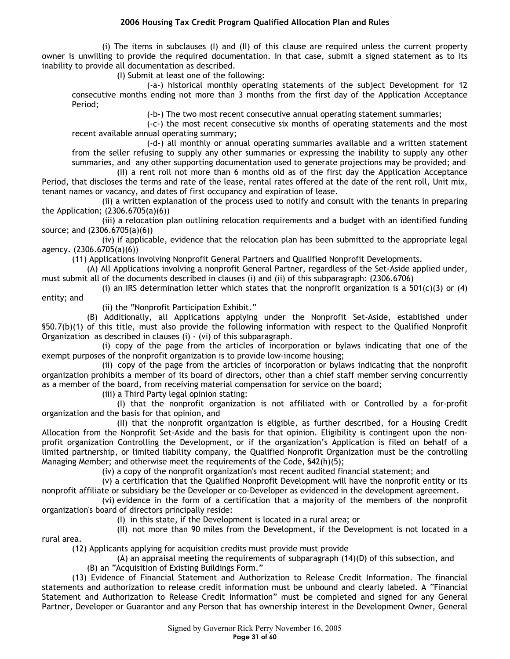(i) The items in subclauses (I) and (II) of this clause are required unless the current property owner is unwilling to provide the required documentation. In that case, submit a signed statement as to its inability to provide all documentation as described.

(I) Submit at least one of the following:

(-a-) historical monthly operating statements of the subject Development for 12 consecutive months ending not more than 3 months from the first day of the Application Acceptance Period;

(-b-) The two most recent consecutive annual operating statement summaries;

(-c-) the most recent consecutive six months of operating statements and the most recent available annual operating summary;

(-d-) all monthly or annual operating summaries available and a written statement from the seller refusing to supply any other summaries or expressing the inability to supply any other summaries, and any other supporting documentation used to generate projections may be provided; and

(II) a rent roll not more than 6 months old as of the first day the Application Acceptance Period, that discloses the terms and rate of the lease, rental rates offered at the date of the rent roll, Unit mix, tenant names or vacancy, and dates of first occupancy and expiration of lease.

(ii) a written explanation of the process used to notify and consult with the tenants in preparing the Application; (2306.6705(a)(6))

(iii) a relocation plan outlining relocation requirements and a budget with an identified funding source; and (2306.6705(a)(6))

(iv) if applicable, evidence that the relocation plan has been submitted to the appropriate legal agency. (2306.6705(a)(6))

(11) Applications involving Nonprofit General Partners and Qualified Nonprofit Developments.

(A) All Applications involving a nonprofit General Partner, regardless of the Set-Aside applied under, must submit all of the documents described in clauses (i) and (ii) of this subparagraph: (2306.6706)

(i) an IRS determination letter which states that the nonprofit organization is a 501(c)(3) or (4) entity; and

(ii) the "Nonprofit Participation Exhibit."

(B) Additionally, all Applications applying under the Nonprofit Set-Aside, established under §50.7(b)(1) of this title, must also provide the following information with respect to the Qualified Nonprofit Organization as described in clauses (i) - (vi) of this subparagraph.

(i) copy of the page from the articles of incorporation or bylaws indicating that one of the exempt purposes of the nonprofit organization is to provide low-income housing;

(ii) copy of the page from the articles of incorporation or bylaws indicating that the nonprofit organization prohibits a member of its board of directors, other than a chief staff member serving concurrently as a member of the board, from receiving material compensation for service on the board;

(iii) a Third Party legal opinion stating:

(I) that the nonprofit organization is not affiliated with or Controlled by a for-profit organization and the basis for that opinion, and

(II) that the nonprofit organization is eligible, as further described, for a Housing Credit Allocation from the Nonprofit Set-Aside and the basis for that opinion. Eligibility is contingent upon the nonprofit organization Controlling the Development, or if the organization's Application is filed on behalf of a limited partnership, or limited liability company, the Qualified Nonprofit Organization must be the controlling Managing Member; and otherwise meet the requirements of the Code, §42(h)(5);

(iv) a copy of the nonprofit organization's most recent audited financial statement; and

(v) a certification that the Qualified Nonprofit Development will have the nonprofit entity or its nonprofit affiliate or subsidiary be the Developer or co-Developer as evidenced in the development agreement.

(vi) evidence in the form of a certification that a majority of the members of the nonprofit organization's board of directors principally reside:

(I) in this state, if the Development is located in a rural area; or

(II) not more than 90 miles from the Development, if the Development is not located in a rural area.

(12) Applicants applying for acquisition credits must provide must provide

(A) an appraisal meeting the requirements of subparagraph (14)(D) of this subsection, and

(B) an "Acquisition of Existing Buildings Form."

(13) Evidence of Financial Statement and Authorization to Release Credit Information. The financial statements and authorization to release credit information must be unbound and clearly labeled. A "Financial Statement and Authorization to Release Credit Information" must be completed and signed for any General Partner, Developer or Guarantor and any Person that has ownership interest in the Development Owner, General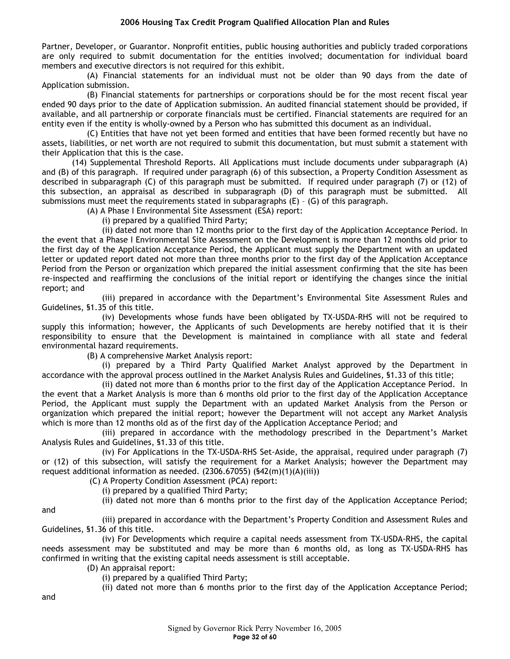Partner, Developer, or Guarantor. Nonprofit entities, public housing authorities and publicly traded corporations are only required to submit documentation for the entities involved; documentation for individual board members and executive directors is not required for this exhibit.

(A) Financial statements for an individual must not be older than 90 days from the date of Application submission.

(B) Financial statements for partnerships or corporations should be for the most recent fiscal year ended 90 days prior to the date of Application submission. An audited financial statement should be provided, if available, and all partnership or corporate financials must be certified. Financial statements are required for an entity even if the entity is wholly-owned by a Person who has submitted this document as an individual.

(C) Entities that have not yet been formed and entities that have been formed recently but have no assets, liabilities, or net worth are not required to submit this documentation, but must submit a statement with their Application that this is the case.

(14) Supplemental Threshold Reports. All Applications must include documents under subparagraph (A) and (B) of this paragraph. If required under paragraph (6) of this subsection, a Property Condition Assessment as described in subparagraph (C) of this paragraph must be submitted. If required under paragraph (7) or (12) of this subsection, an appraisal as described in subparagraph (D) of this paragraph must be submitted. All submissions must meet the requirements stated in subparagraphs (E) – (G) of this paragraph.

(A) A Phase I Environmental Site Assessment (ESA) report:

(i) prepared by a qualified Third Party;

(ii) dated not more than 12 months prior to the first day of the Application Acceptance Period. In the event that a Phase I Environmental Site Assessment on the Development is more than 12 months old prior to the first day of the Application Acceptance Period, the Applicant must supply the Department with an updated letter or updated report dated not more than three months prior to the first day of the Application Acceptance Period from the Person or organization which prepared the initial assessment confirming that the site has been re-inspected and reaffirming the conclusions of the initial report or identifying the changes since the initial report; and

(iii) prepared in accordance with the Department's Environmental Site Assessment Rules and Guidelines, §1.35 of this title.

(iv) Developments whose funds have been obligated by TX-USDA-RHS will not be required to supply this information; however, the Applicants of such Developments are hereby notified that it is their responsibility to ensure that the Development is maintained in compliance with all state and federal environmental hazard requirements.

(B) A comprehensive Market Analysis report:

(i) prepared by a Third Party Qualified Market Analyst approved by the Department in accordance with the approval process outlined in the Market Analysis Rules and Guidelines, §1.33 of this title;

(ii) dated not more than 6 months prior to the first day of the Application Acceptance Period. In the event that a Market Analysis is more than 6 months old prior to the first day of the Application Acceptance Period, the Applicant must supply the Department with an updated Market Analysis from the Person or organization which prepared the initial report; however the Department will not accept any Market Analysis which is more than 12 months old as of the first day of the Application Acceptance Period; and

(iii) prepared in accordance with the methodology prescribed in the Department's Market Analysis Rules and Guidelines, §1.33 of this title.

(iv) For Applications in the TX-USDA-RHS Set-Aside, the appraisal, required under paragraph (7) or (12) of this subsection, will satisfy the requirement for a Market Analysis; however the Department may request additional information as needed. (2306.67055) (§42(m)(1)(A)(iii))

(C) A Property Condition Assessment (PCA) report:

(i) prepared by a qualified Third Party;

(ii) dated not more than 6 months prior to the first day of the Application Acceptance Period;

and

(iii) prepared in accordance with the Department's Property Condition and Assessment Rules and Guidelines, §1.36 of this title.

(iv) For Developments which require a capital needs assessment from TX-USDA-RHS, the capital needs assessment may be substituted and may be more than 6 months old, as long as TX-USDA-RHS has confirmed in writing that the existing capital needs assessment is still acceptable.

(D) An appraisal report:

(i) prepared by a qualified Third Party;

(ii) dated not more than 6 months prior to the first day of the Application Acceptance Period;

and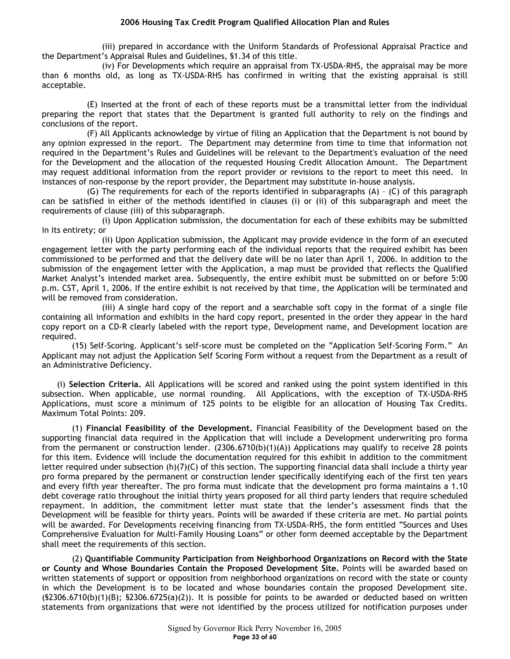(iii) prepared in accordance with the Uniform Standards of Professional Appraisal Practice and the Department's Appraisal Rules and Guidelines, §1.34 of this title.

(iv) For Developments which require an appraisal from TX-USDA-RHS, the appraisal may be more than 6 months old, as long as TX-USDA-RHS has confirmed in writing that the existing appraisal is still acceptable.

(E) Inserted at the front of each of these reports must be a transmittal letter from the individual preparing the report that states that the Department is granted full authority to rely on the findings and conclusions of the report.

(F) All Applicants acknowledge by virtue of filing an Application that the Department is not bound by any opinion expressed in the report. The Department may determine from time to time that information not required in the Department's Rules and Guidelines will be relevant to the Department's evaluation of the need for the Development and the allocation of the requested Housing Credit Allocation Amount. The Department may request additional information from the report provider or revisions to the report to meet this need. In instances of non-response by the report provider, the Department may substitute in-house analysis.

(G) The requirements for each of the reports identified in subparagraphs (A) – (C) of this paragraph can be satisfied in either of the methods identified in clauses (i) or (ii) of this subparagraph and meet the requirements of clause (iii) of this subparagraph.

(i) Upon Application submission, the documentation for each of these exhibits may be submitted in its entirety; or

(ii) Upon Application submission, the Applicant may provide evidence in the form of an executed engagement letter with the party performing each of the individual reports that the required exhibit has been commissioned to be performed and that the delivery date will be no later than April 1, 2006. In addition to the submission of the engagement letter with the Application, a map must be provided that reflects the Qualified Market Analyst's intended market area. Subsequently, the entire exhibit must be submitted on or before 5:00 p.m. CST, April 1, 2006. If the entire exhibit is not received by that time, the Application will be terminated and will be removed from consideration.

(iii) A single hard copy of the report and a searchable soft copy in the format of a single file containing all information and exhibits in the hard copy report, presented in the order they appear in the hard copy report on a CD-R clearly labeled with the report type, Development name, and Development location are required.

(15) Self-Scoring. Applicant's self-score must be completed on the "Application Self-Scoring Form." An Applicant may not adjust the Application Self Scoring Form without a request from the Department as a result of an Administrative Deficiency.

(i) **Selection Criteria.** All Applications will be scored and ranked using the point system identified in this subsection. When applicable, use normal rounding. All Applications, with the exception of TX-USDA-RHS Applications, must score a minimum of 125 points to be eligible for an allocation of Housing Tax Credits. Maximum Total Points: 209.

(1) **Financial Feasibility of the Development.** Financial Feasibility of the Development based on the supporting financial data required in the Application that will include a Development underwriting pro forma from the permanent or construction lender.  $(2306.6710(b)(1)(A))$  Applications may qualify to receive 28 points for this item. Evidence will include the documentation required for this exhibit in addition to the commitment letter required under subsection (h)(7)(C) of this section. The supporting financial data shall include a thirty year pro forma prepared by the permanent or construction lender specifically identifying each of the first ten years and every fifth year thereafter. The pro forma must indicate that the development pro forma maintains a 1.10 debt coverage ratio throughout the initial thirty years proposed for all third party lenders that require scheduled repayment. In addition, the commitment letter must state that the lender's assessment finds that the Development will be feasible for thirty years. Points will be awarded if these criteria are met. No partial points will be awarded. For Developments receiving financing from TX-USDA-RHS, the form entitled "Sources and Uses Comprehensive Evaluation for Multi-Family Housing Loans" or other form deemed acceptable by the Department shall meet the requirements of this section.

(2) **Quantifiable Community Participation from Neighborhood Organizations on Record with the State or County and Whose Boundaries Contain the Proposed Development Site.** Points will be awarded based on written statements of support or opposition from neighborhood organizations on record with the state or county in which the Development is to be located and whose boundaries contain the proposed Development site.  $(S2306.6710(b)(1)(B); S2306.6725(a)(2))$ . It is possible for points to be awarded or deducted based on written statements from organizations that were not identified by the process utilized for notification purposes under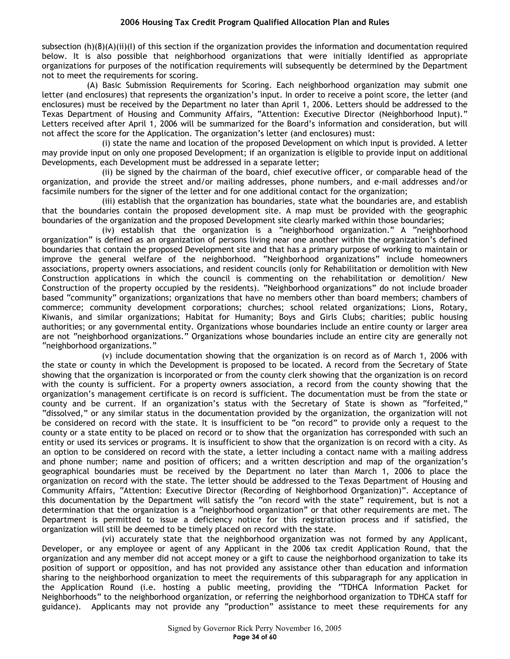subsection (h)(8)(A)(ii)(I) of this section if the organization provides the information and documentation required below. It is also possible that neighborhood organizations that were initially identified as appropriate organizations for purposes of the notification requirements will subsequently be determined by the Department not to meet the requirements for scoring.

(A) Basic Submission Requirements for Scoring. Each neighborhood organization may submit one letter (and enclosures) that represents the organization's input. In order to receive a point score, the letter (and enclosures) must be received by the Department no later than April 1, 2006. Letters should be addressed to the Texas Department of Housing and Community Affairs, "Attention: Executive Director (Neighborhood Input)." Letters received after April 1, 2006 will be summarized for the Board's information and consideration, but will not affect the score for the Application. The organization's letter (and enclosures) must:

(i) state the name and location of the proposed Development on which input is provided. A letter may provide input on only one proposed Development; if an organization is eligible to provide input on additional Developments, each Development must be addressed in a separate letter;

(ii) be signed by the chairman of the board, chief executive officer, or comparable head of the organization, and provide the street and/or mailing addresses, phone numbers, and e-mail addresses and/or facsimile numbers for the signer of the letter and for one additional contact for the organization;

(iii) establish that the organization has boundaries, state what the boundaries are, and establish that the boundaries contain the proposed development site. A map must be provided with the geographic boundaries of the organization and the proposed Development site clearly marked within those boundaries;

(iv) establish that the organization is a "neighborhood organization." A "neighborhood organization" is defined as an organization of persons living near one another within the organization's defined boundaries that contain the proposed Development site and that has a primary purpose of working to maintain or improve the general welfare of the neighborhood. "Neighborhood organizations" include homeowners associations, property owners associations, and resident councils (only for Rehabilitation or demolition with New Construction applications in which the council is commenting on the rehabilitation or demolition/ New Construction of the property occupied by the residents). "Neighborhood organizations" do not include broader based "community" organizations; organizations that have no members other than board members; chambers of commerce; community development corporations; churches; school related organizations; Lions, Rotary, Kiwanis, and similar organizations; Habitat for Humanity; Boys and Girls Clubs; charities; public housing authorities; or any governmental entity. Organizations whose boundaries include an entire county or larger area are not "neighborhood organizations." Organizations whose boundaries include an entire city are generally not "neighborhood organizations."

(v) include documentation showing that the organization is on record as of March 1, 2006 with the state or county in which the Development is proposed to be located. A record from the Secretary of State showing that the organization is incorporated or from the county clerk showing that the organization is on record with the county is sufficient. For a property owners association, a record from the county showing that the organization's management certificate is on record is sufficient. The documentation must be from the state or county and be current. If an organization's status with the Secretary of State is shown as "forfeited," "dissolved," or any similar status in the documentation provided by the organization, the organization will not be considered on record with the state. It is insufficient to be "on record" to provide only a request to the county or a state entity to be placed on record or to show that the organization has corresponded with such an entity or used its services or programs. It is insufficient to show that the organization is on record with a city. As an option to be considered on record with the state, a letter including a contact name with a mailing address and phone number; name and position of officers; and a written description and map of the organization's geographical boundaries must be received by the Department no later than March 1, 2006 to place the organization on record with the state. The letter should be addressed to the Texas Department of Housing and Community Affairs, "Attention: Executive Director (Recording of Neighborhood Organization)". Acceptance of this documentation by the Department will satisfy the "on record with the state" requirement, but is not a determination that the organization is a "neighborhood organization" or that other requirements are met. The Department is permitted to issue a deficiency notice for this registration process and if satisfied, the organization will still be deemed to be timely placed on record with the state.

(vi) accurately state that the neighborhood organization was not formed by any Applicant, Developer, or any employee or agent of any Applicant in the 2006 tax credit Application Round, that the organization and any member did not accept money or a gift to cause the neighborhood organization to take its position of support or opposition, and has not provided any assistance other than education and information sharing to the neighborhood organization to meet the requirements of this subparagraph for any application in the Application Round (i.e. hosting a public meeting, providing the "TDHCA Information Packet for Neighborhoods" to the neighborhood organization, or referring the neighborhood organization to TDHCA staff for guidance). Applicants may not provide any "production" assistance to meet these requirements for any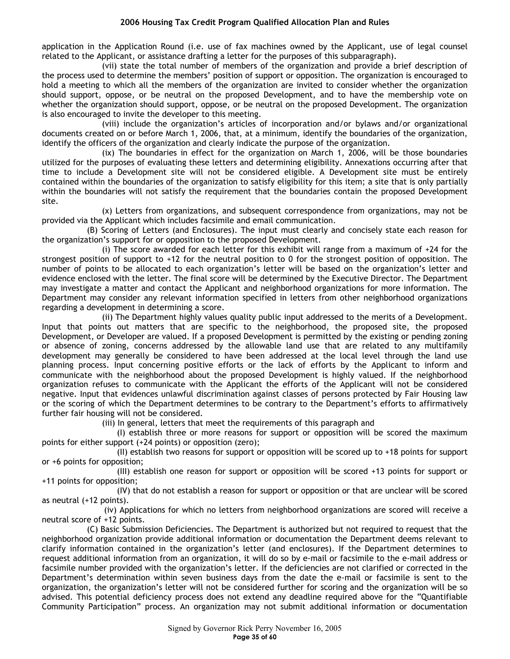application in the Application Round (i.e. use of fax machines owned by the Applicant, use of legal counsel related to the Applicant, or assistance drafting a letter for the purposes of this subparagraph).

(vii) state the total number of members of the organization and provide a brief description of the process used to determine the members' position of support or opposition. The organization is encouraged to hold a meeting to which all the members of the organization are invited to consider whether the organization should support, oppose, or be neutral on the proposed Development, and to have the membership vote on whether the organization should support, oppose, or be neutral on the proposed Development. The organization is also encouraged to invite the developer to this meeting.

(viii) include the organization's articles of incorporation and/or bylaws and/or organizational documents created on or before March 1, 2006, that, at a minimum, identify the boundaries of the organization, identify the officers of the organization and clearly indicate the purpose of the organization.

(ix) The boundaries in effect for the organization on March 1, 2006, will be those boundaries utilized for the purposes of evaluating these letters and determining eligibility. Annexations occurring after that time to include a Development site will not be considered eligible. A Development site must be entirely contained within the boundaries of the organization to satisfy eligibility for this item; a site that is only partially within the boundaries will not satisfy the requirement that the boundaries contain the proposed Development site.

(x) Letters from organizations, and subsequent correspondence from organizations, may not be provided via the Applicant which includes facsimile and email communication.

(B) Scoring of Letters (and Enclosures). The input must clearly and concisely state each reason for the organization's support for or opposition to the proposed Development.

(i) The score awarded for each letter for this exhibit will range from a maximum of +24 for the strongest position of support to +12 for the neutral position to 0 for the strongest position of opposition. The number of points to be allocated to each organization's letter will be based on the organization's letter and evidence enclosed with the letter. The final score will be determined by the Executive Director. The Department may investigate a matter and contact the Applicant and neighborhood organizations for more information. The Department may consider any relevant information specified in letters from other neighborhood organizations regarding a development in determining a score.

(ii) The Department highly values quality public input addressed to the merits of a Development. Input that points out matters that are specific to the neighborhood, the proposed site, the proposed Development, or Developer are valued. If a proposed Development is permitted by the existing or pending zoning or absence of zoning, concerns addressed by the allowable land use that are related to any multifamily development may generally be considered to have been addressed at the local level through the land use planning process. Input concerning positive efforts or the lack of efforts by the Applicant to inform and communicate with the neighborhood about the proposed Development is highly valued. If the neighborhood organization refuses to communicate with the Applicant the efforts of the Applicant will not be considered negative. Input that evidences unlawful discrimination against classes of persons protected by Fair Housing law or the scoring of which the Department determines to be contrary to the Department's efforts to affirmatively further fair housing will not be considered.

(iii) In general, letters that meet the requirements of this paragraph and

(I) establish three or more reasons for support or opposition will be scored the maximum points for either support (+24 points) or opposition (zero);

(II) establish two reasons for support or opposition will be scored up to +18 points for support or +6 points for opposition;

(III) establish one reason for support or opposition will be scored +13 points for support or +11 points for opposition;

(IV) that do not establish a reason for support or opposition or that are unclear will be scored as neutral (+12 points).

(iv) Applications for which no letters from neighborhood organizations are scored will receive a neutral score of +12 points.

(C) Basic Submission Deficiencies. The Department is authorized but not required to request that the neighborhood organization provide additional information or documentation the Department deems relevant to clarify information contained in the organization's letter (and enclosures). If the Department determines to request additional information from an organization, it will do so by e-mail or facsimile to the e-mail address or facsimile number provided with the organization's letter. If the deficiencies are not clarified or corrected in the Department's determination within seven business days from the date the e-mail or facsimile is sent to the organization, the organization's letter will not be considered further for scoring and the organization will be so advised. This potential deficiency process does not extend any deadline required above for the "Quantifiable Community Participation" process. An organization may not submit additional information or documentation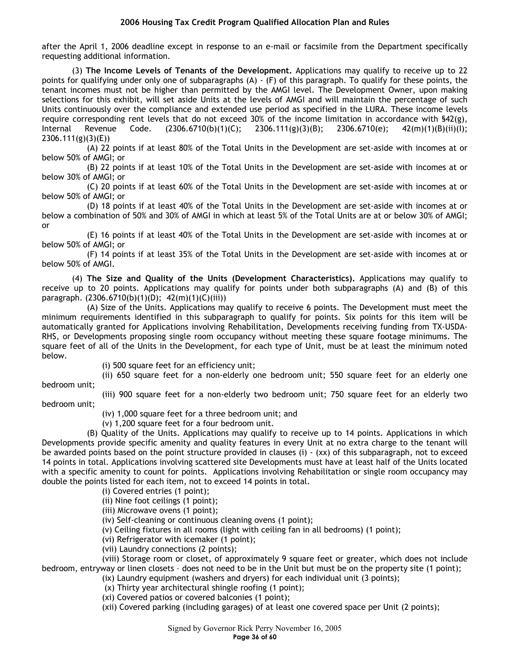after the April 1, 2006 deadline except in response to an e-mail or facsimile from the Department specifically requesting additional information.

(3) **The Income Levels of Tenants of the Development.** Applications may qualify to receive up to 22 points for qualifying under only one of subparagraphs (A) - (F) of this paragraph. To qualify for these points, the tenant incomes must not be higher than permitted by the AMGI level. The Development Owner, upon making selections for this exhibit, will set aside Units at the levels of AMGI and will maintain the percentage of such Units continuously over the compliance and extended use period as specified in the LURA. These income levels require corresponding rent levels that do not exceed 30% of the income limitation in accordance with §42(g), Internal Revenue Code. (2306.6710(b)(1)(C); 2306.111(g)(3)(B); 2306.6710(e); 42(m)(1)(B)(ii)(I); 2306.111(g)(3)(E))

(A) 22 points if at least 80% of the Total Units in the Development are set-aside with incomes at or below 50% of AMGI; or

(B) 22 points if at least 10% of the Total Units in the Development are set-aside with incomes at or below 30% of AMGI; or

(C) 20 points if at least 60% of the Total Units in the Development are set-aside with incomes at or below 50% of AMGI; or

(D) 18 points if at least 40% of the Total Units in the Development are set-aside with incomes at or below a combination of 50% and 30% of AMGI in which at least 5% of the Total Units are at or below 30% of AMGI; or

(E) 16 points if at least 40% of the Total Units in the Development are set-aside with incomes at or below 50% of AMGI; or

(F) 14 points if at least 35% of the Total Units in the Development are set-aside with incomes at or below 50% of AMGI.

(4) **The Size and Quality of the Units (Development Characteristics).** Applications may qualify to receive up to 20 points. Applications may qualify for points under both subparagraphs (A) and (B) of this paragraph. (2306.6710(b)(1)(D); 42(m)(1)(C)(iii))

(A) Size of the Units. Applications may qualify to receive 6 points. The Development must meet the minimum requirements identified in this subparagraph to qualify for points. Six points for this item will be automatically granted for Applications involving Rehabilitation, Developments receiving funding from TX-USDA-RHS, or Developments proposing single room occupancy without meeting these square footage minimums. The square feet of all of the Units in the Development, for each type of Unit, must be at least the minimum noted below.

(i) 500 square feet for an efficiency unit;

(ii) 650 square feet for a non-elderly one bedroom unit; 550 square feet for an elderly one bedroom unit;

(iii) 900 square feet for a non-elderly two bedroom unit; 750 square feet for an elderly two bedroom unit;

(iv) 1,000 square feet for a three bedroom unit; and

(v) 1,200 square feet for a four bedroom unit.

(B) Quality of the Units. Applications may qualify to receive up to 14 points. Applications in which Developments provide specific amenity and quality features in every Unit at no extra charge to the tenant will be awarded points based on the point structure provided in clauses (i) - (xx) of this subparagraph, not to exceed 14 points in total. Applications involving scattered site Developments must have at least half of the Units located with a specific amenity to count for points. Applications involving Rehabilitation or single room occupancy may double the points listed for each item, not to exceed 14 points in total.

(i) Covered entries (1 point);

(ii) Nine foot ceilings (1 point);

(iii) Microwave ovens (1 point);

(iv) Self-cleaning or continuous cleaning ovens (1 point);

(v) Ceiling fixtures in all rooms (light with ceiling fan in all bedrooms) (1 point);

(vi) Refrigerator with icemaker (1 point);

(vii) Laundry connections (2 points);

(viii) Storage room or closet, of approximately 9 square feet or greater, which does not include bedroom, entryway or linen closets – does not need to be in the Unit but must be on the property site (1 point);

(ix) Laundry equipment (washers and dryers) for each individual unit (3 points);

(x) Thirty year architectural shingle roofing (1 point);

(xi) Covered patios or covered balconies (1 point);

(xii) Covered parking (including garages) of at least one covered space per Unit (2 points);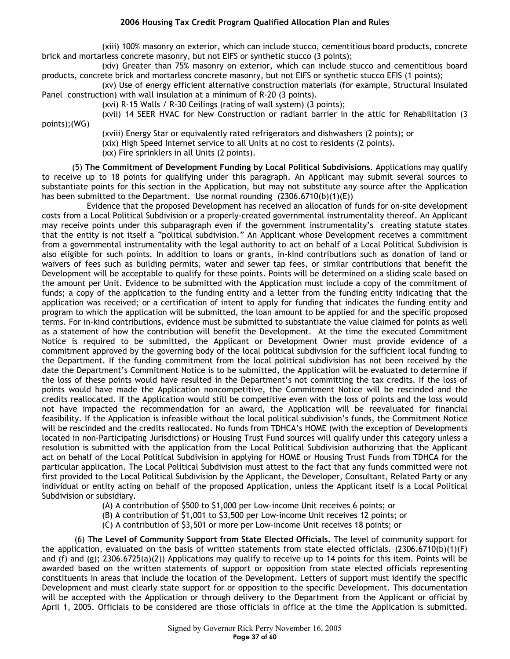(xiii) 100% masonry on exterior, which can include stucco, cementitious board products, concrete brick and mortarless concrete masonry, but not EIFS or synthetic stucco (3 points);

(xiv) Greater than 75% masonry on exterior, which can include stucco and cementitious board products, concrete brick and mortarless concrete masonry, but not EIFS or synthetic stucco EFIS (1 points);

(xv) Use of energy efficient alternative construction materials (for example, Structural Insulated Panel construction) with wall insulation at a minimum of R-20 (3 points).

(xvi) R-15 Walls / R-30 Ceilings (rating of wall system) (3 points);

(xvii) 14 SEER HVAC for New Construction or radiant barrier in the attic for Rehabilitation (3

points);(WG)

(xviii) Energy Star or equivalently rated refrigerators and dishwashers (2 points); or (xix) High Speed Internet service to all Units at no cost to residents (2 points). (xx) Fire sprinklers in all Units (2 points).

(5) **The Commitment of Development Funding by Local Political Subdivisions**. Applications may qualify to receive up to 18 points for qualifying under this paragraph. An Applicant may submit several sources to substantiate points for this section in the Application, but may not substitute any source after the Application has been submitted to the Department. Use normal rounding  $(2306.6710(b)(1)(E))$ 

Evidence that the proposed Development has received an allocation of funds for on-site development costs from a Local Political Subdivision or a properly-created governmental instrumentality thereof. An Applicant may receive points under this subparagraph even if the government instrumentality's creating statute states that the entity is not itself a "political subdivision." An Applicant whose Development receives a commitment from a governmental instrumentality with the legal authority to act on behalf of a Local Political Subdivision is also eligible for such points. In addition to loans or grants, in-kind contributions such as donation of land or waivers of fees such as building permits, water and sewer tap fees, or similar contributions that benefit the Development will be acceptable to qualify for these points. Points will be determined on a sliding scale based on the amount per Unit. Evidence to be submitted with the Application must include a copy of the commitment of funds; a copy of the application to the funding entity and a letter from the funding entity indicating that the application was received; or a certification of intent to apply for funding that indicates the funding entity and program to which the application will be submitted, the loan amount to be applied for and the specific proposed terms. For in-kind contributions, evidence must be submitted to substantiate the value claimed for points as well as a statement of how the contribution will benefit the Development. At the time the executed Commitment Notice is required to be submitted, the Applicant or Development Owner must provide evidence of a commitment approved by the governing body of the local political subdivision for the sufficient local funding to the Department. If the funding commitment from the local political subdivision has not been received by the date the Department's Commitment Notice is to be submitted, the Application will be evaluated to determine if the loss of these points would have resulted in the Department's not committing the tax credits. If the loss of points would have made the Application noncompetitive, the Commitment Notice will be rescinded and the credits reallocated. If the Application would still be competitive even with the loss of points and the loss would not have impacted the recommendation for an award, the Application will be reevaluated for financial feasibility. If the Application is infeasible without the local political subdivision's funds, the Commitment Notice will be rescinded and the credits reallocated. No funds from TDHCA's HOME (with the exception of Developments located in non-Participating Jurisdictions) or Housing Trust Fund sources will qualify under this category unless a resolution is submitted with the application from the Local Political Subdivision authorizing that the Applicant act on behalf of the Local Political Subdivision in applying for HOME or Housing Trust Funds from TDHCA for the particular application. The Local Political Subdivision must attest to the fact that any funds committed were not first provided to the Local Political Subdivision by the Applicant, the Developer, Consultant, Related Party or any individual or entity acting on behalf of the proposed Application, unless the Applicant itself is a Local Political Subdivision or subsidiary.

(A) A contribution of \$500 to \$1,000 per Low-income Unit receives 6 points; or

(B) A contribution of \$1,001 to \$3,500 per Low-income Unit receives 12 points; or

(C) A contribution of \$3,501 or more per Low-income Unit receives 18 points; or

 (6) **The Level of Community Support from State Elected Officials.** The level of community support for the application, evaluated on the basis of written statements from state elected officials. (2306.6710(b)(1)(F) and (f) and (g); 2306.6725(a)(2)) Applications may qualify to receive up to 14 points for this item. Points will be awarded based on the written statements of support or opposition from state elected officials representing constituents in areas that include the location of the Development. Letters of support must identify the specific Development and must clearly state support for or opposition to the specific Development. This documentation will be accepted with the Application or through delivery to the Department from the Applicant or official by April 1, 2005. Officials to be considered are those officials in office at the time the Application is submitted.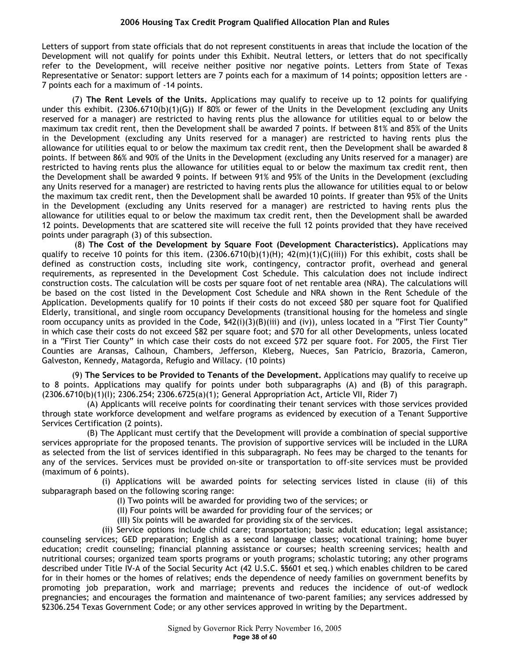Letters of support from state officials that do not represent constituents in areas that include the location of the Development will not qualify for points under this Exhibit. Neutral letters, or letters that do not specifically refer to the Development, will receive neither positive nor negative points. Letters from State of Texas Representative or Senator: support letters are 7 points each for a maximum of 14 points; opposition letters are - 7 points each for a maximum of -14 points.

(7) **The Rent Levels of the Units.** Applications may qualify to receive up to 12 points for qualifying under this exhibit. (2306.6710(b)(1)(G)) If 80% or fewer of the Units in the Development (excluding any Units reserved for a manager) are restricted to having rents plus the allowance for utilities equal to or below the maximum tax credit rent, then the Development shall be awarded 7 points. If between 81% and 85% of the Units in the Development (excluding any Units reserved for a manager) are restricted to having rents plus the allowance for utilities equal to or below the maximum tax credit rent, then the Development shall be awarded 8 points. If between 86% and 90% of the Units in the Development (excluding any Units reserved for a manager) are restricted to having rents plus the allowance for utilities equal to or below the maximum tax credit rent, then the Development shall be awarded 9 points. If between 91% and 95% of the Units in the Development (excluding any Units reserved for a manager) are restricted to having rents plus the allowance for utilities equal to or below the maximum tax credit rent, then the Development shall be awarded 10 points. If greater than 95% of the Units in the Development (excluding any Units reserved for a manager) are restricted to having rents plus the allowance for utilities equal to or below the maximum tax credit rent, then the Development shall be awarded 12 points. Developments that are scattered site will receive the full 12 points provided that they have received points under paragraph (3) of this subsection.

 (8) **The Cost of the Development by Square Foot (Development Characteristics).** Applications may qualify to receive 10 points for this item.  $(2306.6710(b)(1)(H); 42(m)(1)(C)(iii))$  For this exhibit, costs shall be defined as construction costs, including site work, contingency, contractor profit, overhead and general requirements, as represented in the Development Cost Schedule. This calculation does not include indirect construction costs. The calculation will be costs per square foot of net rentable area (NRA). The calculations will be based on the cost listed in the Development Cost Schedule and NRA shown in the Rent Schedule of the Application. Developments qualify for 10 points if their costs do not exceed \$80 per square foot for Qualified Elderly, transitional, and single room occupancy Developments (transitional housing for the homeless and single room occupancy units as provided in the Code,  $\frac{642(i)(3)(B(iii))}{2}$  and (iv)), unless located in a "First Tier County" in which case their costs do not exceed \$82 per square foot; and \$70 for all other Developments, unless located in a "First Tier County" in which case their costs do not exceed \$72 per square foot. For 2005, the First Tier Counties are Aransas, Calhoun, Chambers, Jefferson, Kleberg, Nueces, San Patricio, Brazoria, Cameron, Galveston, Kennedy, Matagorda, Refugio and Willacy. (10 points)

(9) **The Services to be Provided to Tenants of the Development.** Applications may qualify to receive up to 8 points. Applications may qualify for points under both subparagraphs (A) and (B) of this paragraph. (2306.6710(b)(1)(I); 2306.254; 2306.6725(a)(1); General Appropriation Act, Article VII, Rider 7)

(A) Applicants will receive points for coordinating their tenant services with those services provided through state workforce development and welfare programs as evidenced by execution of a Tenant Supportive Services Certification (2 points).

(B) The Applicant must certify that the Development will provide a combination of special supportive services appropriate for the proposed tenants. The provision of supportive services will be included in the LURA as selected from the list of services identified in this subparagraph. No fees may be charged to the tenants for any of the services. Services must be provided on-site or transportation to off-site services must be provided (maximum of 6 points).

(i) Applications will be awarded points for selecting services listed in clause (ii) of this subparagraph based on the following scoring range:

- (I) Two points will be awarded for providing two of the services; or
- (II) Four points will be awarded for providing four of the services; or
- (III) Six points will be awarded for providing six of the services.

(ii) Service options include child care; transportation; basic adult education; legal assistance; counseling services; GED preparation; English as a second language classes; vocational training; home buyer education; credit counseling; financial planning assistance or courses; health screening services; health and nutritional courses; organized team sports programs or youth programs; scholastic tutoring; any other programs described under Title IV-A of the Social Security Act (42 U.S.C. §§601 et seq.) which enables children to be cared for in their homes or the homes of relatives; ends the dependence of needy families on government benefits by promoting job preparation, work and marriage; prevents and reduces the incidence of out-of wedlock pregnancies; and encourages the formation and maintenance of two-parent families; any services addressed by §2306.254 Texas Government Code; or any other services approved in writing by the Department.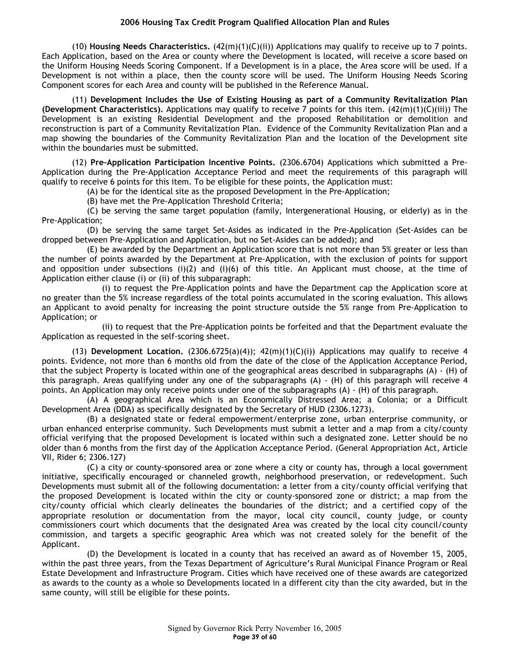(10) **Housing Needs Characteristics.** (42(m)(1)(C)(ii)) Applications may qualify to receive up to 7 points. Each Application, based on the Area or county where the Development is located, will receive a score based on the Uniform Housing Needs Scoring Component. If a Development is in a place, the Area score will be used. If a Development is not within a place, then the county score will be used. The Uniform Housing Needs Scoring Component scores for each Area and county will be published in the Reference Manual.

(11) **Development Includes the Use of Existing Housing as part of a Community Revitalization Plan (Development Characteristics).** Applications may qualify to receive 7 points for this item. (42(m)(1)(C)(iii)) The Development is an existing Residential Development and the proposed Rehabilitation or demolition and reconstruction is part of a Community Revitalization Plan. Evidence of the Community Revitalization Plan and a map showing the boundaries of the Community Revitalization Plan and the location of the Development site within the boundaries must be submitted.

(12) **Pre-Application Participation Incentive Points.** (2306.6704) Applications which submitted a Pre-Application during the Pre-Application Acceptance Period and meet the requirements of this paragraph will qualify to receive 6 points for this item. To be eligible for these points, the Application must:

(A) be for the identical site as the proposed Development in the Pre-Application;

(B) have met the Pre-Application Threshold Criteria;

(C) be serving the same target population (family, Intergenerational Housing, or elderly) as in the Pre-Application;

(D) be serving the same target Set-Asides as indicated in the Pre-Application (Set-Asides can be dropped between Pre-Application and Application, but no Set-Asides can be added); and

(E) be awarded by the Department an Application score that is not more than 5% greater or less than the number of points awarded by the Department at Pre-Application, with the exclusion of points for support and opposition under subsections (i)(2) and (i)(6) of this title. An Applicant must choose, at the time of Application either clause (i) or (ii) of this subparagraph:

(i) to request the Pre-Application points and have the Department cap the Application score at no greater than the 5% increase regardless of the total points accumulated in the scoring evaluation. This allows an Applicant to avoid penalty for increasing the point structure outside the 5% range from Pre-Application to Application; or

(ii) to request that the Pre-Application points be forfeited and that the Department evaluate the Application as requested in the self-scoring sheet.

(13) **Development Location.** (2306.6725(a)(4)); 42(m)(1)(C)(i)) Applications may qualify to receive 4 points. Evidence, not more than 6 months old from the date of the close of the Application Acceptance Period, that the subject Property is located within one of the geographical areas described in subparagraphs (A) - (H) of this paragraph. Areas qualifying under any one of the subparagraphs (A) - (H) of this paragraph will receive 4 points. An Application may only receive points under one of the subparagraphs (A) - (H) of this paragraph.

(A) A geographical Area which is an Economically Distressed Area; a Colonia; or a Difficult Development Area (DDA) as specifically designated by the Secretary of HUD (2306.1273).

(B) a designated state or federal empowerment/enterprise zone, urban enterprise community, or urban enhanced enterprise community. Such Developments must submit a letter and a map from a city/county official verifying that the proposed Development is located within such a designated zone. Letter should be no older than 6 months from the first day of the Application Acceptance Period. (General Appropriation Act, Article VII, Rider 6; 2306.127)

(C) a city or county-sponsored area or zone where a city or county has, through a local government initiative, specifically encouraged or channeled growth, neighborhood preservation, or redevelopment. Such Developments must submit all of the following documentation: a letter from a city/county official verifying that the proposed Development is located within the city or county-sponsored zone or district; a map from the city/county official which clearly delineates the boundaries of the district; and a certified copy of the appropriate resolution or documentation from the mayor, local city council, county judge, or county commissioners court which documents that the designated Area was created by the local city council/county commission, and targets a specific geographic Area which was not created solely for the benefit of the Applicant.

(D) the Development is located in a county that has received an award as of November 15, 2005, within the past three years, from the Texas Department of Agriculture's Rural Municipal Finance Program or Real Estate Development and Infrastructure Program. Cities which have received one of these awards are categorized as awards to the county as a whole so Developments located in a different city than the city awarded, but in the same county, will still be eligible for these points.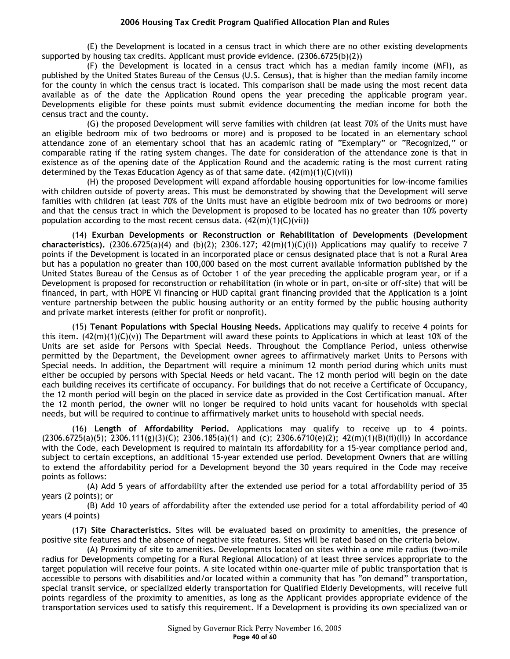(E) the Development is located in a census tract in which there are no other existing developments supported by housing tax credits. Applicant must provide evidence. (2306.6725(b)(2))

(F) the Development is located in a census tract which has a median family income (MFI), as published by the United States Bureau of the Census (U.S. Census), that is higher than the median family income for the county in which the census tract is located. This comparison shall be made using the most recent data available as of the date the Application Round opens the year preceding the applicable program year. Developments eligible for these points must submit evidence documenting the median income for both the census tract and the county.

(G) the proposed Development will serve families with children (at least 70% of the Units must have an eligible bedroom mix of two bedrooms or more) and is proposed to be located in an elementary school attendance zone of an elementary school that has an academic rating of "Exemplary" or "Recognized," or comparable rating if the rating system changes. The date for consideration of the attendance zone is that in existence as of the opening date of the Application Round and the academic rating is the most current rating determined by the Texas Education Agency as of that same date.  $(42(m)(1)(C)(\tilde{v}i))$ 

(H) the proposed Development will expand affordable housing opportunities for low-income families with children outside of poverty areas. This must be demonstrated by showing that the Development will serve families with children (at least 70% of the Units must have an eligible bedroom mix of two bedrooms or more) and that the census tract in which the Development is proposed to be located has no greater than 10% poverty population according to the most recent census data.  $(42(m)(1)(C)(vi))$ 

(14) **Exurban Developments or Reconstruction or Rehabilitation of Developments (Development characteristics).** (2306.6725(a)(4) and (b)(2); 2306.127;  $42(m)(1)(C)(i)$ ) Applications may qualify to receive 7 points if the Development is located in an incorporated place or census designated place that is not a Rural Area but has a population no greater than 100,000 based on the most current available information published by the United States Bureau of the Census as of October 1 of the year preceding the applicable program year, or if a Development is proposed for reconstruction or rehabilitation (in whole or in part, on-site or off-site) that will be financed, in part, with HOPE VI financing or HUD capital grant financing provided that the Application is a joint venture partnership between the public housing authority or an entity formed by the public housing authority and private market interests (either for profit or nonprofit).

(15) **Tenant Populations with Special Housing Needs.** Applications may qualify to receive 4 points for this item.  $(42(m)(1)(C)(v))$  The Department will award these points to Applications in which at least 10% of the Units are set aside for Persons with Special Needs. Throughout the Compliance Period, unless otherwise permitted by the Department, the Development owner agrees to affirmatively market Units to Persons with Special needs. In addition, the Department will require a minimum 12 month period during which units must either be occupied by persons with Special Needs or held vacant. The 12 month period will begin on the date each building receives its certificate of occupancy. For buildings that do not receive a Certificate of Occupancy, the 12 month period will begin on the placed in service date as provided in the Cost Certification manual. After the 12 month period, the owner will no longer be required to hold units vacant for households with special needs, but will be required to continue to affirmatively market units to household with special needs.

(16) **Length of Affordability Period.** Applications may qualify to receive up to 4 points.  $(2306.6725(a)(5); 2306.111(g)(3)(C); 2306.185(a)(1)$  and (c);  $2306.6710(e)(2); 42(m)(1)(B)(ii)(II))$  In accordance with the Code, each Development is required to maintain its affordability for a 15-year compliance period and, subject to certain exceptions, an additional 15-year extended use period. Development Owners that are willing to extend the affordability period for a Development beyond the 30 years required in the Code may receive points as follows:

(A) Add 5 years of affordability after the extended use period for a total affordability period of 35 years (2 points); or

(B) Add 10 years of affordability after the extended use period for a total affordability period of 40 years (4 points)

(17) **Site Characteristics.** Sites will be evaluated based on proximity to amenities, the presence of positive site features and the absence of negative site features. Sites will be rated based on the criteria below.

(A) Proximity of site to amenities. Developments located on sites within a one mile radius (two-mile radius for Developments competing for a Rural Regional Allocation) of at least three services appropriate to the target population will receive four points. A site located within one-quarter mile of public transportation that is accessible to persons with disabilities and/or located within a community that has "on demand" transportation, special transit service, or specialized elderly transportation for Qualified Elderly Developments, will receive full points regardless of the proximity to amenities, as long as the Applicant provides appropriate evidence of the transportation services used to satisfy this requirement. If a Development is providing its own specialized van or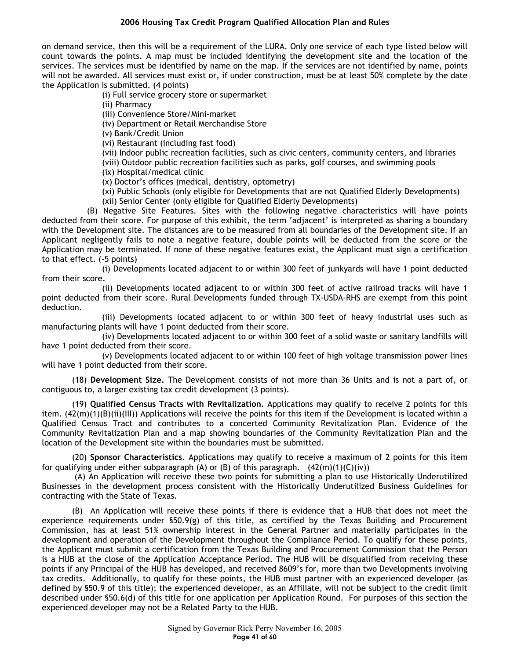on demand service, then this will be a requirement of the LURA. Only one service of each type listed below will count towards the points. A map must be included identifying the development site and the location of the services. The services must be identified by name on the map. If the services are not identified by name, points will not be awarded. All services must exist or, if under construction, must be at least 50% complete by the date the Application is submitted. (4 points)

(i) Full service grocery store or supermarket

(ii) Pharmacy

(iii) Convenience Store/Mini-market

(iv) Department or Retail Merchandise Store

(v) Bank/Credit Union

(vi) Restaurant (including fast food)

(vii) Indoor public recreation facilities, such as civic centers, community centers, and libraries

(viii) Outdoor public recreation facilities such as parks, golf courses, and swimming pools

(ix) Hospital/medical clinic

(x) Doctor's offices (medical, dentistry, optometry)

(xi) Public Schools (only eligible for Developments that are not Qualified Elderly Developments) (xii) Senior Center (only eligible for Qualified Elderly Developments)

(B) Negative Site Features. Sites with the following negative characteristics will have points deducted from their score. For purpose of this exhibit, the term 'adjacent' is interpreted as sharing a boundary with the Development site. The distances are to be measured from all boundaries of the Development site. If an Applicant negligently fails to note a negative feature, double points will be deducted from the score or the Application may be terminated. If none of these negative features exist, the Applicant must sign a certification to that effect. (-5 points)

(i) Developments located adjacent to or within 300 feet of junkyards will have 1 point deducted from their score.

(ii) Developments located adjacent to or within 300 feet of active railroad tracks will have 1 point deducted from their score. Rural Developments funded through TX-USDA-RHS are exempt from this point deduction.

(iii) Developments located adjacent to or within 300 feet of heavy industrial uses such as manufacturing plants will have 1 point deducted from their score.

(iv) Developments located adjacent to or within 300 feet of a solid waste or sanitary landfills will have 1 point deducted from their score.

(v) Developments located adjacent to or within 100 feet of high voltage transmission power lines will have 1 point deducted from their score.

(18) **Development Size.** The Development consists of not more than 36 Units and is not a part of, or contiguous to, a larger existing tax credit development (3 points).

(19) **Qualified Census Tracts with Revitalization.** Applications may qualify to receive 2 points for this item.  $(42(m)(1)(B)(ii)(III))$  Applications will receive the points for this item if the Development is located within a Qualified Census Tract and contributes to a concerted Community Revitalization Plan. Evidence of the Community Revitalization Plan and a map showing boundaries of the Community Revitalization Plan and the location of the Development site within the boundaries must be submitted.

(20) **Sponsor Characteristics.** Applications may qualify to receive a maximum of 2 points for this item for qualifying under either subparagraph (A) or (B) of this paragraph.  $(42(m)(1)(C)(iv))$ 

 (A) An Application will receive these two points for submitting a plan to use Historically Underutilized Businesses in the development process consistent with the Historically Underutilized Business Guidelines for contracting with the State of Texas.

(B) An Application will receive these points if there is evidence that a HUB that does not meet the experience requirements under §50.9(g) of this title, as certified by the Texas Building and Procurement Commission, has at least 51% ownership interest in the General Partner and materially participates in the development and operation of the Development throughout the Compliance Period. To qualify for these points, the Applicant must submit a certification from the Texas Building and Procurement Commission that the Person is a HUB at the close of the Application Acceptance Period. The HUB will be disqualified from receiving these points if any Principal of the HUB has developed, and received 8609's for, more than two Developments involving tax credits. Additionally, to qualify for these points, the HUB must partner with an experienced developer (as defined by §50.9 of this title); the experienced developer, as an Affiliate, will not be subject to the credit limit described under §50.6(d) of this title for one application per Application Round. For purposes of this section the experienced developer may not be a Related Party to the HUB.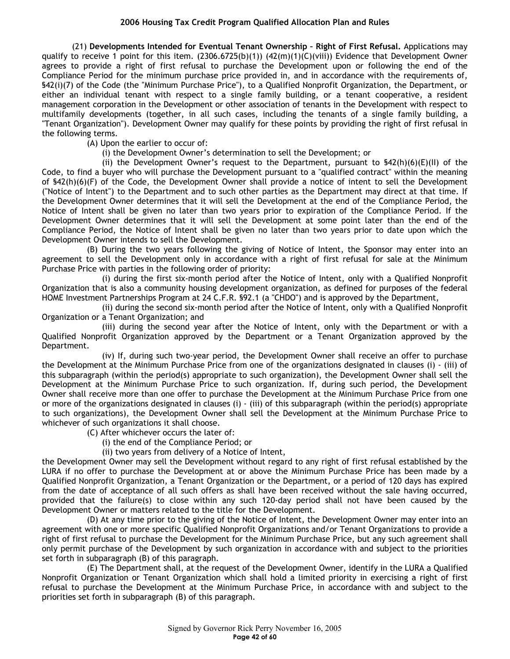(21) **Developments Intended for Eventual Tenant Ownership – Right of First Refusal.** Applications may qualify to receive 1 point for this item.  $(2306.6725(b)(1))$   $(42(m)(1)(C)(viii))$  Evidence that Development Owner agrees to provide a right of first refusal to purchase the Development upon or following the end of the Compliance Period for the minimum purchase price provided in, and in accordance with the requirements of, §42(i)(7) of the Code (the "Minimum Purchase Price"), to a Qualified Nonprofit Organization, the Department, or either an individual tenant with respect to a single family building, or a tenant cooperative, a resident management corporation in the Development or other association of tenants in the Development with respect to multifamily developments (together, in all such cases, including the tenants of a single family building, a "Tenant Organization"). Development Owner may qualify for these points by providing the right of first refusal in the following terms.

(A) Upon the earlier to occur of:

(i) the Development Owner's determination to sell the Development; or

(ii) the Development Owner's request to the Department, pursuant to  $$42(h)(6)(E)(II)$  of the Code, to find a buyer who will purchase the Development pursuant to a "qualified contract" within the meaning of §42(h)(6)(F) of the Code, the Development Owner shall provide a notice of intent to sell the Development ("Notice of Intent") to the Department and to such other parties as the Department may direct at that time. If the Development Owner determines that it will sell the Development at the end of the Compliance Period, the Notice of Intent shall be given no later than two years prior to expiration of the Compliance Period. If the Development Owner determines that it will sell the Development at some point later than the end of the Compliance Period, the Notice of Intent shall be given no later than two years prior to date upon which the Development Owner intends to sell the Development.

(B) During the two years following the giving of Notice of Intent, the Sponsor may enter into an agreement to sell the Development only in accordance with a right of first refusal for sale at the Minimum Purchase Price with parties in the following order of priority:

(i) during the first six-month period after the Notice of Intent, only with a Qualified Nonprofit Organization that is also a community housing development organization, as defined for purposes of the federal HOME Investment Partnerships Program at 24 C.F.R. §92.1 (a "CHDO") and is approved by the Department,

(ii) during the second six-month period after the Notice of Intent, only with a Qualified Nonprofit Organization or a Tenant Organization; and

(iii) during the second year after the Notice of Intent, only with the Department or with a Qualified Nonprofit Organization approved by the Department or a Tenant Organization approved by the Department.

(iv) If, during such two-year period, the Development Owner shall receive an offer to purchase the Development at the Minimum Purchase Price from one of the organizations designated in clauses (i) - (iii) of this subparagraph (within the period(s) appropriate to such organization), the Development Owner shall sell the Development at the Minimum Purchase Price to such organization. If, during such period, the Development Owner shall receive more than one offer to purchase the Development at the Minimum Purchase Price from one or more of the organizations designated in clauses (i) - (iii) of this subparagraph (within the period(s) appropriate to such organizations), the Development Owner shall sell the Development at the Minimum Purchase Price to whichever of such organizations it shall choose.

(C) After whichever occurs the later of:

(i) the end of the Compliance Period; or

(ii) two years from delivery of a Notice of Intent,

the Development Owner may sell the Development without regard to any right of first refusal established by the LURA if no offer to purchase the Development at or above the Minimum Purchase Price has been made by a Qualified Nonprofit Organization, a Tenant Organization or the Department, or a period of 120 days has expired from the date of acceptance of all such offers as shall have been received without the sale having occurred, provided that the failure(s) to close within any such 120-day period shall not have been caused by the Development Owner or matters related to the title for the Development.

(D) At any time prior to the giving of the Notice of Intent, the Development Owner may enter into an agreement with one or more specific Qualified Nonprofit Organizations and/or Tenant Organizations to provide a right of first refusal to purchase the Development for the Minimum Purchase Price, but any such agreement shall only permit purchase of the Development by such organization in accordance with and subject to the priorities set forth in subparagraph (B) of this paragraph.

(E) The Department shall, at the request of the Development Owner, identify in the LURA a Qualified Nonprofit Organization or Tenant Organization which shall hold a limited priority in exercising a right of first refusal to purchase the Development at the Minimum Purchase Price, in accordance with and subject to the priorities set forth in subparagraph (B) of this paragraph.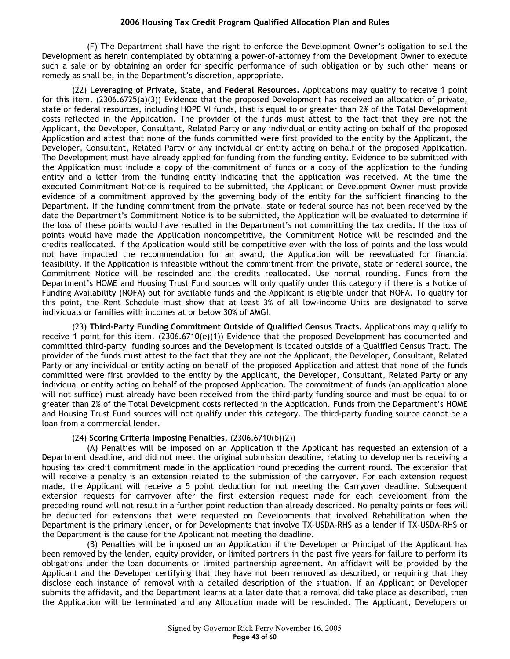(F) The Department shall have the right to enforce the Development Owner's obligation to sell the Development as herein contemplated by obtaining a power-of-attorney from the Development Owner to execute such a sale or by obtaining an order for specific performance of such obligation or by such other means or remedy as shall be, in the Department's discretion, appropriate.

(22) **Leveraging of Private, State, and Federal Resources.** Applications may qualify to receive 1 point for this item. (2306.6725(a)(3)) Evidence that the proposed Development has received an allocation of private, state or federal resources, including HOPE VI funds, that is equal to or greater than 2% of the Total Development costs reflected in the Application. The provider of the funds must attest to the fact that they are not the Applicant, the Developer, Consultant, Related Party or any individual or entity acting on behalf of the proposed Application and attest that none of the funds committed were first provided to the entity by the Applicant, the Developer, Consultant, Related Party or any individual or entity acting on behalf of the proposed Application. The Development must have already applied for funding from the funding entity. Evidence to be submitted with the Application must include a copy of the commitment of funds or a copy of the application to the funding entity and a letter from the funding entity indicating that the application was received. At the time the executed Commitment Notice is required to be submitted, the Applicant or Development Owner must provide evidence of a commitment approved by the governing body of the entity for the sufficient financing to the Department. If the funding commitment from the private, state or federal source has not been received by the date the Department's Commitment Notice is to be submitted, the Application will be evaluated to determine if the loss of these points would have resulted in the Department's not committing the tax credits. If the loss of points would have made the Application noncompetitive, the Commitment Notice will be rescinded and the credits reallocated. If the Application would still be competitive even with the loss of points and the loss would not have impacted the recommendation for an award, the Application will be reevaluated for financial feasibility. If the Application is infeasible without the commitment from the private, state or federal source, the Commitment Notice will be rescinded and the credits reallocated. Use normal rounding. Funds from the Department's HOME and Housing Trust Fund sources will only qualify under this category if there is a Notice of Funding Availability (NOFA) out for available funds and the Applicant is eligible under that NOFA. To qualify for this point, the Rent Schedule must show that at least 3% of all low-income Units are designated to serve individuals or families with incomes at or below 30% of AMGI.

(23) **Third-Party Funding Commitment Outside of Qualified Census Tracts.** Applications may qualify to receive 1 point for this item. (2306.6710(e)(1)) Evidence that the proposed Development has documented and committed third-party funding sources and the Development is located outside of a Qualified Census Tract. The provider of the funds must attest to the fact that they are not the Applicant, the Developer, Consultant, Related Party or any individual or entity acting on behalf of the proposed Application and attest that none of the funds committed were first provided to the entity by the Applicant, the Developer, Consultant, Related Party or any individual or entity acting on behalf of the proposed Application. The commitment of funds (an application alone will not suffice) must already have been received from the third-party funding source and must be equal to or greater than 2% of the Total Development costs reflected in the Application. Funds from the Department's HOME and Housing Trust Fund sources will not qualify under this category. The third-party funding source cannot be a loan from a commercial lender.

#### (24) **Scoring Criteria Imposing Penalties.** (2306.6710(b)(2))

(A) Penalties will be imposed on an Application if the Applicant has requested an extension of a Department deadline, and did not meet the original submission deadline, relating to developments receiving a housing tax credit commitment made in the application round preceding the current round. The extension that will receive a penalty is an extension related to the submission of the carryover. For each extension request made, the Applicant will receive a 5 point deduction for not meeting the Carryover deadline. Subsequent extension requests for carryover after the first extension request made for each development from the preceding round will not result in a further point reduction than already described. No penalty points or fees will be deducted for extensions that were requested on Developments that involved Rehabilitation when the Department is the primary lender, or for Developments that involve TX-USDA-RHS as a lender if TX-USDA-RHS or the Department is the cause for the Applicant not meeting the deadline.

(B) Penalties will be imposed on an Application if the Developer or Principal of the Applicant has been removed by the lender, equity provider, or limited partners in the past five years for failure to perform its obligations under the loan documents or limited partnership agreement. An affidavit will be provided by the Applicant and the Developer certifying that they have not been removed as described, or requiring that they disclose each instance of removal with a detailed description of the situation. If an Applicant or Developer submits the affidavit, and the Department learns at a later date that a removal did take place as described, then the Application will be terminated and any Allocation made will be rescinded. The Applicant, Developers or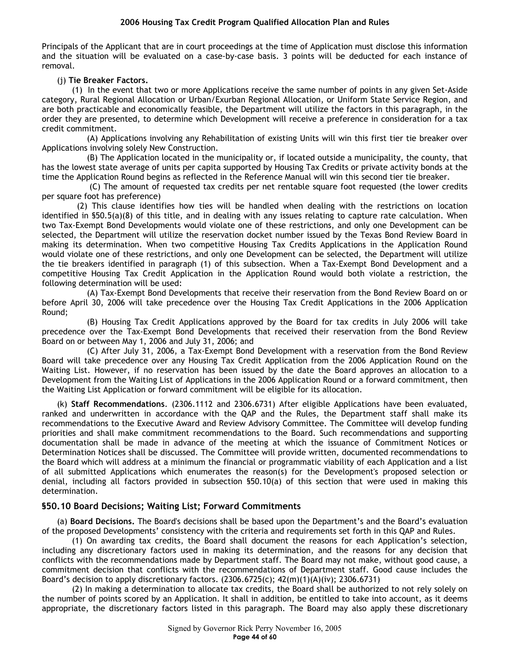Principals of the Applicant that are in court proceedings at the time of Application must disclose this information and the situation will be evaluated on a case-by-case basis. 3 points will be deducted for each instance of removal.

# (j) **Tie Breaker Factors.**

(1) In the event that two or more Applications receive the same number of points in any given Set-Aside category, Rural Regional Allocation or Urban/Exurban Regional Allocation, or Uniform State Service Region, and are both practicable and economically feasible, the Department will utilize the factors in this paragraph, in the order they are presented, to determine which Development will receive a preference in consideration for a tax credit commitment.

(A) Applications involving any Rehabilitation of existing Units will win this first tier tie breaker over Applications involving solely New Construction.

(B) The Application located in the municipality or, if located outside a municipality, the county, that has the lowest state average of units per capita supported by Housing Tax Credits or private activity bonds at the time the Application Round begins as reflected in the Reference Manual will win this second tier tie breaker.

 (C) The amount of requested tax credits per net rentable square foot requested (the lower credits per square foot has preference)

 (2) This clause identifies how ties will be handled when dealing with the restrictions on location identified in §50.5(a)(8) of this title, and in dealing with any issues relating to capture rate calculation. When two Tax-Exempt Bond Developments would violate one of these restrictions, and only one Development can be selected, the Department will utilize the reservation docket number issued by the Texas Bond Review Board in making its determination. When two competitive Housing Tax Credits Applications in the Application Round would violate one of these restrictions, and only one Development can be selected, the Department will utilize the tie breakers identified in paragraph (1) of this subsection. When a Tax-Exempt Bond Development and a competitive Housing Tax Credit Application in the Application Round would both violate a restriction, the following determination will be used:

(A) Tax-Exempt Bond Developments that receive their reservation from the Bond Review Board on or before April 30, 2006 will take precedence over the Housing Tax Credit Applications in the 2006 Application Round;

(B) Housing Tax Credit Applications approved by the Board for tax credits in July 2006 will take precedence over the Tax-Exempt Bond Developments that received their reservation from the Bond Review Board on or between May 1, 2006 and July 31, 2006; and

(C) After July 31, 2006, a Tax-Exempt Bond Development with a reservation from the Bond Review Board will take precedence over any Housing Tax Credit Application from the 2006 Application Round on the Waiting List. However, if no reservation has been issued by the date the Board approves an allocation to a Development from the Waiting List of Applications in the 2006 Application Round or a forward commitment, then the Waiting List Application or forward commitment will be eligible for its allocation.

(k) **Staff Recommendations**. (2306.1112 and 2306.6731) After eligible Applications have been evaluated, ranked and underwritten in accordance with the QAP and the Rules, the Department staff shall make its recommendations to the Executive Award and Review Advisory Committee. The Committee will develop funding priorities and shall make commitment recommendations to the Board. Such recommendations and supporting documentation shall be made in advance of the meeting at which the issuance of Commitment Notices or Determination Notices shall be discussed. The Committee will provide written, documented recommendations to the Board which will address at a minimum the financial or programmatic viability of each Application and a list of all submitted Applications which enumerates the reason(s) for the Development's proposed selection or denial, including all factors provided in subsection §50.10(a) of this section that were used in making this determination.

## **§50.10 Board Decisions; Waiting List; Forward Commitments**

(a) **Board Decisions.** The Board's decisions shall be based upon the Department's and the Board's evaluation of the proposed Developments' consistency with the criteria and requirements set forth in this QAP and Rules.

(1) On awarding tax credits, the Board shall document the reasons for each Application's selection, including any discretionary factors used in making its determination, and the reasons for any decision that conflicts with the recommendations made by Department staff. The Board may not make, without good cause, a commitment decision that conflicts with the recommendations of Department staff. Good cause includes the Board's decision to apply discretionary factors.  $(2306.6725(c); 42(m)(1)(A)(iv); 2306.6731)$ 

(2) In making a determination to allocate tax credits, the Board shall be authorized to not rely solely on the number of points scored by an Application. It shall in addition, be entitled to take into account, as it deems appropriate, the discretionary factors listed in this paragraph. The Board may also apply these discretionary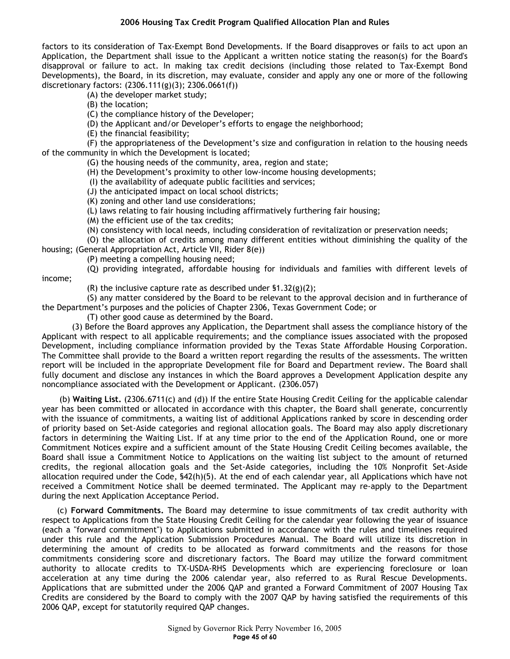factors to its consideration of Tax-Exempt Bond Developments. If the Board disapproves or fails to act upon an Application, the Department shall issue to the Applicant a written notice stating the reason(s) for the Board's disapproval or failure to act. In making tax credit decisions (including those related to Tax-Exempt Bond Developments), the Board, in its discretion, may evaluate, consider and apply any one or more of the following discretionary factors: (2306.111(g)(3); 2306.0661(f))

(A) the developer market study;

(B) the location;

(C) the compliance history of the Developer;

(D) the Applicant and/or Developer's efforts to engage the neighborhood;

(E) the financial feasibility;

(F) the appropriateness of the Development's size and configuration in relation to the housing needs of the community in which the Development is located;

(G) the housing needs of the community, area, region and state;

(H) the Development's proximity to other low-income housing developments;

(I) the availability of adequate public facilities and services;

(J) the anticipated impact on local school districts;

(K) zoning and other land use considerations;

(L) laws relating to fair housing including affirmatively furthering fair housing;

(M) the efficient use of the tax credits;

(N) consistency with local needs, including consideration of revitalization or preservation needs;

(O) the allocation of credits among many different entities without diminishing the quality of the housing; (General Appropriation Act, Article VII, Rider 8(e))

(P) meeting a compelling housing need;

(Q) providing integrated, affordable housing for individuals and families with different levels of

income;

(R) the inclusive capture rate as described under  $$1.32(g)(2);$ 

(S) any matter considered by the Board to be relevant to the approval decision and in furtherance of the Department's purposes and the policies of Chapter 2306, Texas Government Code; or

(T) other good cause as determined by the Board.

(3) Before the Board approves any Application, the Department shall assess the compliance history of the Applicant with respect to all applicable requirements; and the compliance issues associated with the proposed Development, including compliance information provided by the Texas State Affordable Housing Corporation. The Committee shall provide to the Board a written report regarding the results of the assessments. The written report will be included in the appropriate Development file for Board and Department review. The Board shall fully document and disclose any instances in which the Board approves a Development Application despite any noncompliance associated with the Development or Applicant. (2306.057)

 (b) **Waiting List.** (2306.6711(c) and (d)) If the entire State Housing Credit Ceiling for the applicable calendar year has been committed or allocated in accordance with this chapter, the Board shall generate, concurrently with the issuance of commitments, a waiting list of additional Applications ranked by score in descending order of priority based on Set-Aside categories and regional allocation goals. The Board may also apply discretionary factors in determining the Waiting List. If at any time prior to the end of the Application Round, one or more Commitment Notices expire and a sufficient amount of the State Housing Credit Ceiling becomes available, the Board shall issue a Commitment Notice to Applications on the waiting list subject to the amount of returned credits, the regional allocation goals and the Set-Aside categories, including the 10% Nonprofit Set-Aside allocation required under the Code, §42(h)(5). At the end of each calendar year, all Applications which have not received a Commitment Notice shall be deemed terminated. The Applicant may re-apply to the Department during the next Application Acceptance Period.

(c) **Forward Commitments.** The Board may determine to issue commitments of tax credit authority with respect to Applications from the State Housing Credit Ceiling for the calendar year following the year of issuance (each a "forward commitment") to Applications submitted in accordance with the rules and timelines required under this rule and the Application Submission Procedures Manual. The Board will utilize its discretion in determining the amount of credits to be allocated as forward commitments and the reasons for those commitments considering score and discretionary factors. The Board may utilize the forward commitment authority to allocate credits to TX-USDA-RHS Developments which are experiencing foreclosure or loan acceleration at any time during the 2006 calendar year, also referred to as Rural Rescue Developments. Applications that are submitted under the 2006 QAP and granted a Forward Commitment of 2007 Housing Tax Credits are considered by the Board to comply with the 2007 QAP by having satisfied the requirements of this 2006 QAP, except for statutorily required QAP changes.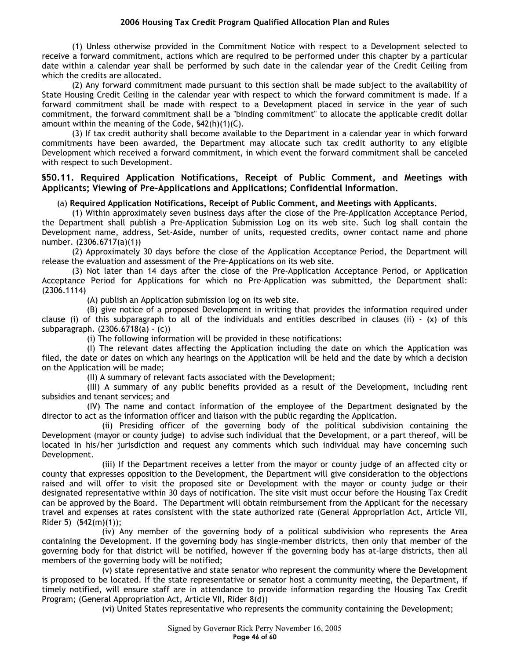(1) Unless otherwise provided in the Commitment Notice with respect to a Development selected to receive a forward commitment, actions which are required to be performed under this chapter by a particular date within a calendar year shall be performed by such date in the calendar year of the Credit Ceiling from which the credits are allocated.

(2) Any forward commitment made pursuant to this section shall be made subject to the availability of State Housing Credit Ceiling in the calendar year with respect to which the forward commitment is made. If a forward commitment shall be made with respect to a Development placed in service in the year of such commitment, the forward commitment shall be a "binding commitment" to allocate the applicable credit dollar amount within the meaning of the Code, §42(h)(1)(C).

(3) If tax credit authority shall become available to the Department in a calendar year in which forward commitments have been awarded, the Department may allocate such tax credit authority to any eligible Development which received a forward commitment, in which event the forward commitment shall be canceled with respect to such Development.

## **§50.11. Required Application Notifications, Receipt of Public Comment, and Meetings with Applicants; Viewing of Pre-Applications and Applications; Confidential Information.**

#### (a) **Required Application Notifications, Receipt of Public Comment, and Meetings with Applicants.**

(1) Within approximately seven business days after the close of the Pre-Application Acceptance Period, the Department shall publish a Pre-Application Submission Log on its web site. Such log shall contain the Development name, address, Set-Aside, number of units, requested credits, owner contact name and phone number. (2306.6717(a)(1))

(2) Approximately 30 days before the close of the Application Acceptance Period, the Department will release the evaluation and assessment of the Pre-Applications on its web site.

(3) Not later than 14 days after the close of the Pre-Application Acceptance Period, or Application Acceptance Period for Applications for which no Pre-Application was submitted, the Department shall: (2306.1114)

(A) publish an Application submission log on its web site.

(B) give notice of a proposed Development in writing that provides the information required under clause (i) of this subparagraph to all of the individuals and entities described in clauses (ii) - (x) of this subparagraph. (2306.6718(a) - (c))

(i) The following information will be provided in these notifications:

(I) The relevant dates affecting the Application including the date on which the Application was filed, the date or dates on which any hearings on the Application will be held and the date by which a decision on the Application will be made;

(II) A summary of relevant facts associated with the Development;

(III) A summary of any public benefits provided as a result of the Development, including rent subsidies and tenant services; and

(IV) The name and contact information of the employee of the Department designated by the director to act as the information officer and liaison with the public regarding the Application.

(ii) Presiding officer of the governing body of the political subdivision containing the Development (mayor or county judge) to advise such individual that the Development, or a part thereof, will be located in his/her jurisdiction and request any comments which such individual may have concerning such Development.

(iii) If the Department receives a letter from the mayor or county judge of an affected city or county that expresses opposition to the Development, the Department will give consideration to the objections raised and will offer to visit the proposed site or Development with the mayor or county judge or their designated representative within 30 days of notification. The site visit must occur before the Housing Tax Credit can be approved by the Board. The Department will obtain reimbursement from the Applicant for the necessary travel and expenses at rates consistent with the state authorized rate (General Appropriation Act, Article VII, Rider 5) (§42(m)(1));

(iv) Any member of the governing body of a political subdivision who represents the Area containing the Development. If the governing body has single-member districts, then only that member of the governing body for that district will be notified, however if the governing body has at-large districts, then all members of the governing body will be notified;

(v) state representative and state senator who represent the community where the Development is proposed to be located. If the state representative or senator host a community meeting, the Department, if timely notified, will ensure staff are in attendance to provide information regarding the Housing Tax Credit Program; (General Appropriation Act, Article VII, Rider 8(d))

(vi) United States representative who represents the community containing the Development;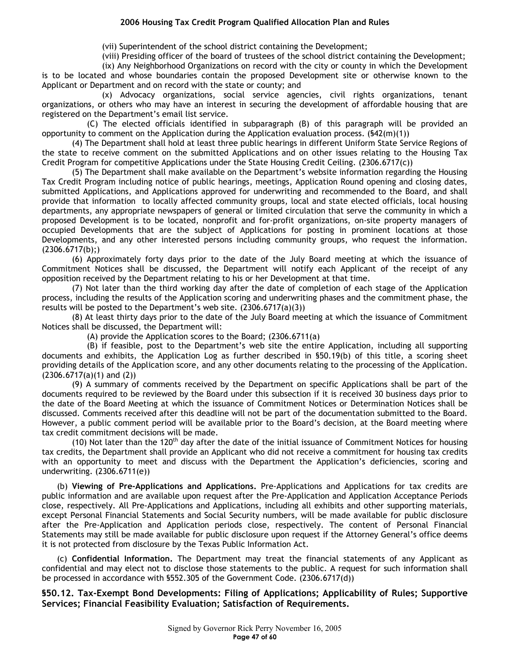(vii) Superintendent of the school district containing the Development;

(viii) Presiding officer of the board of trustees of the school district containing the Development;

(ix) Any Neighborhood Organizations on record with the city or county in which the Development is to be located and whose boundaries contain the proposed Development site or otherwise known to the Applicant or Department and on record with the state or county; and

(x) Advocacy organizations, social service agencies, civil rights organizations, tenant organizations, or others who may have an interest in securing the development of affordable housing that are registered on the Department's email list service.

(C) The elected officials identified in subparagraph (B) of this paragraph will be provided an opportunity to comment on the Application during the Application evaluation process.  $(542(m)(1))$ 

(4) The Department shall hold at least three public hearings in different Uniform State Service Regions of the state to receive comment on the submitted Applications and on other issues relating to the Housing Tax Credit Program for competitive Applications under the State Housing Credit Ceiling. (2306.6717(c))

(5) The Department shall make available on the Department's website information regarding the Housing Tax Credit Program including notice of public hearings, meetings, Application Round opening and closing dates, submitted Applications, and Applications approved for underwriting and recommended to the Board, and shall provide that information to locally affected community groups, local and state elected officials, local housing departments, any appropriate newspapers of general or limited circulation that serve the community in which a proposed Development is to be located, nonprofit and for-profit organizations, on-site property managers of occupied Developments that are the subject of Applications for posting in prominent locations at those Developments, and any other interested persons including community groups, who request the information.  $(2306.6717(b))$ ;

(6) Approximately forty days prior to the date of the July Board meeting at which the issuance of Commitment Notices shall be discussed, the Department will notify each Applicant of the receipt of any opposition received by the Department relating to his or her Development at that time.

(7) Not later than the third working day after the date of completion of each stage of the Application process, including the results of the Application scoring and underwriting phases and the commitment phase, the results will be posted to the Department's web site. (2306.6717(a)(3))

(8) At least thirty days prior to the date of the July Board meeting at which the issuance of Commitment Notices shall be discussed, the Department will:

(A) provide the Application scores to the Board; (2306.6711(a)

(B) if feasible, post to the Department's web site the entire Application, including all supporting documents and exhibits, the Application Log as further described in §50.19(b) of this title, a scoring sheet providing details of the Application score, and any other documents relating to the processing of the Application.  $(2306.6717(a)(1)$  and  $(2))$ 

(9) A summary of comments received by the Department on specific Applications shall be part of the documents required to be reviewed by the Board under this subsection if it is received 30 business days prior to the date of the Board Meeting at which the issuance of Commitment Notices or Determination Notices shall be discussed. Comments received after this deadline will not be part of the documentation submitted to the Board. However, a public comment period will be available prior to the Board's decision, at the Board meeting where tax credit commitment decisions will be made.

(10) Not later than the 120<sup>th</sup> day after the date of the initial issuance of Commitment Notices for housing tax credits, the Department shall provide an Applicant who did not receive a commitment for housing tax credits with an opportunity to meet and discuss with the Department the Application's deficiencies, scoring and underwriting. (2306.6711(e))

(b) **Viewing of Pre-Applications and Applications.** Pre-Applications and Applications for tax credits are public information and are available upon request after the Pre-Application and Application Acceptance Periods close, respectively. All Pre-Applications and Applications, including all exhibits and other supporting materials, except Personal Financial Statements and Social Security numbers, will be made available for public disclosure after the Pre-Application and Application periods close, respectively. The content of Personal Financial Statements may still be made available for public disclosure upon request if the Attorney General's office deems it is not protected from disclosure by the Texas Public Information Act*.*

(c) **Confidential Information.** The Department may treat the financial statements of any Applicant as confidential and may elect not to disclose those statements to the public. A request for such information shall be processed in accordance with §552.305 of the Government Code. (2306.6717(d))

**§50.12. Tax-Exempt Bond Developments: Filing of Applications; Applicability of Rules; Supportive Services; Financial Feasibility Evaluation; Satisfaction of Requirements.**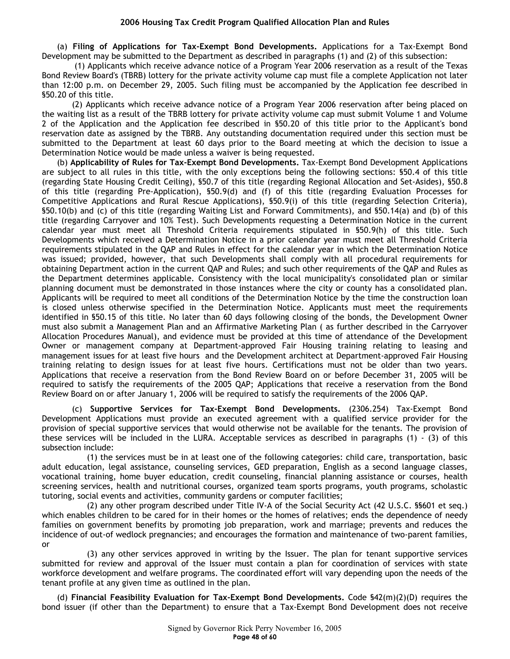(a) **Filing of Applications for Tax-Exempt Bond Developments.** Applications for a Tax-Exempt Bond Development may be submitted to the Department as described in paragraphs (1) and (2) of this subsection:

 (1) Applicants which receive advance notice of a Program Year 2006 reservation as a result of the Texas Bond Review Board's (TBRB) lottery for the private activity volume cap must file a complete Application not later than 12:00 p.m. on December 29, 2005. Such filing must be accompanied by the Application fee described in §50.20 of this title.

(2) Applicants which receive advance notice of a Program Year 2006 reservation after being placed on the waiting list as a result of the TBRB lottery for private activity volume cap must submit Volume 1 and Volume 2 of the Application and the Application fee described in §50.20 of this title prior to the Applicant's bond reservation date as assigned by the TBRB. Any outstanding documentation required under this section must be submitted to the Department at least 60 days prior to the Board meeting at which the decision to issue a Determination Notice would be made unless a waiver is being requested.

(b) **Applicability of Rules for Tax-Exempt Bond Developments.** Tax-Exempt Bond Development Applications are subject to all rules in this title, with the only exceptions being the following sections: §50.4 of this title (regarding State Housing Credit Ceiling), §50.7 of this title (regarding Regional Allocation and Set-Asides), §50.8 of this title (regarding Pre-Application), §50.9(d) and (f) of this title (regarding Evaluation Processes for Competitive Applications and Rural Rescue Applications), §50.9(i) of this title (regarding Selection Criteria), §50.10(b) and (c) of this title (regarding Waiting List and Forward Commitments), and §50.14(a) and (b) of this title (regarding Carryover and 10% Test). Such Developments requesting a Determination Notice in the current calendar year must meet all Threshold Criteria requirements stipulated in §50.9(h) of this title. Such Developments which received a Determination Notice in a prior calendar year must meet all Threshold Criteria requirements stipulated in the QAP and Rules in effect for the calendar year in which the Determination Notice was issued; provided, however, that such Developments shall comply with all procedural requirements for obtaining Department action in the current QAP and Rules; and such other requirements of the QAP and Rules as the Department determines applicable. Consistency with the local municipality's consolidated plan or similar planning document must be demonstrated in those instances where the city or county has a consolidated plan. Applicants will be required to meet all conditions of the Determination Notice by the time the construction loan is closed unless otherwise specified in the Determination Notice. Applicants must meet the requirements identified in §50.15 of this title. No later than 60 days following closing of the bonds, the Development Owner must also submit a Management Plan and an Affirmative Marketing Plan ( as further described in the Carryover Allocation Procedures Manual), and evidence must be provided at this time of attendance of the Development Owner or management company at Department-approved Fair Housing training relating to leasing and management issues for at least five hours and the Development architect at Department-approved Fair Housing training relating to design issues for at least five hours. Certifications must not be older than two years. Applications that receive a reservation from the Bond Review Board on or before December 31, 2005 will be required to satisfy the requirements of the 2005 QAP; Applications that receive a reservation from the Bond Review Board on or after January 1, 2006 will be required to satisfy the requirements of the 2006 QAP.

(c) **Supportive Services for Tax-Exempt Bond Developments.** (2306.254) Tax-Exempt Bond Development Applications must provide an executed agreement with a qualified service provider for the provision of special supportive services that would otherwise not be available for the tenants. The provision of these services will be included in the LURA. Acceptable services as described in paragraphs  $(1) - (3)$  of this subsection include:

(1) the services must be in at least one of the following categories: child care, transportation, basic adult education, legal assistance, counseling services, GED preparation, English as a second language classes, vocational training, home buyer education, credit counseling, financial planning assistance or courses, health screening services, health and nutritional courses, organized team sports programs, youth programs, scholastic tutoring, social events and activities, community gardens or computer facilities;

(2) any other program described under Title IV-A of the Social Security Act (42 U.S.C. §§601 et seq.) which enables children to be cared for in their homes or the homes of relatives; ends the dependence of needy families on government benefits by promoting job preparation, work and marriage; prevents and reduces the incidence of out-of wedlock pregnancies; and encourages the formation and maintenance of two-parent families, or

(3) any other services approved in writing by the Issuer. The plan for tenant supportive services submitted for review and approval of the Issuer must contain a plan for coordination of services with state workforce development and welfare programs. The coordinated effort will vary depending upon the needs of the tenant profile at any given time as outlined in the plan.

(d) **Financial Feasibility Evaluation for Tax-Exempt Bond Developments.** Code §42(m)(2)(D) requires the bond issuer (if other than the Department) to ensure that a Tax-Exempt Bond Development does not receive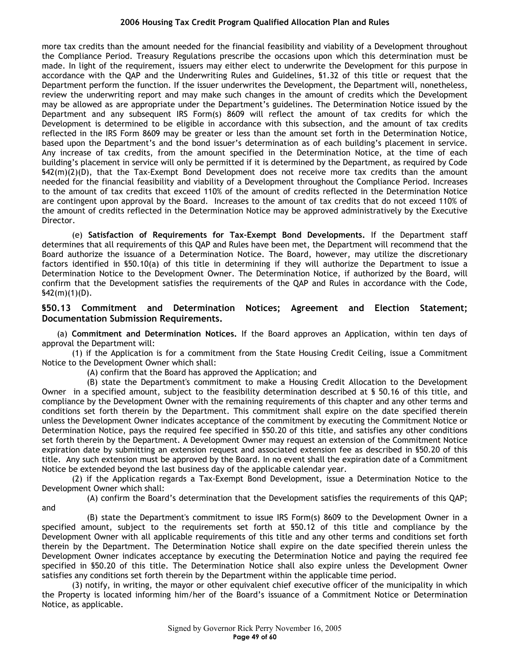more tax credits than the amount needed for the financial feasibility and viability of a Development throughout the Compliance Period. Treasury Regulations prescribe the occasions upon which this determination must be made. In light of the requirement, issuers may either elect to underwrite the Development for this purpose in accordance with the QAP and the Underwriting Rules and Guidelines, §1.32 of this title or request that the Department perform the function. If the issuer underwrites the Development, the Department will, nonetheless, review the underwriting report and may make such changes in the amount of credits which the Development may be allowed as are appropriate under the Department's guidelines. The Determination Notice issued by the Department and any subsequent IRS Form(s) 8609 will reflect the amount of tax credits for which the Development is determined to be eligible in accordance with this subsection, and the amount of tax credits reflected in the IRS Form 8609 may be greater or less than the amount set forth in the Determination Notice, based upon the Department's and the bond issuer's determination as of each building's placement in service. Any increase of tax credits, from the amount specified in the Determination Notice, at the time of each building's placement in service will only be permitted if it is determined by the Department, as required by Code §42(m)(2)(D), that the Tax-Exempt Bond Development does not receive more tax credits than the amount needed for the financial feasibility and viability of a Development throughout the Compliance Period. Increases to the amount of tax credits that exceed 110% of the amount of credits reflected in the Determination Notice are contingent upon approval by the Board. Increases to the amount of tax credits that do not exceed 110% of the amount of credits reflected in the Determination Notice may be approved administratively by the Executive Director.

(e) **Satisfaction of Requirements for Tax-Exempt Bond Developments.** If the Department staff determines that all requirements of this QAP and Rules have been met, the Department will recommend that the Board authorize the issuance of a Determination Notice. The Board, however, may utilize the discretionary factors identified in §50.10(a) of this title in determining if they will authorize the Department to issue a Determination Notice to the Development Owner. The Determination Notice, if authorized by the Board, will confirm that the Development satisfies the requirements of the QAP and Rules in accordance with the Code,  $$42(m)(1)(D).$ 

## **§50.13 Commitment and Determination Notices; Agreement and Election Statement; Documentation Submission Requirements.**

(a) **Commitment and Determination Notices.** If the Board approves an Application, within ten days of approval the Department will:

(1) if the Application is for a commitment from the State Housing Credit Ceiling, issue a Commitment Notice to the Development Owner which shall:

(A) confirm that the Board has approved the Application; and

(B) state the Department's commitment to make a Housing Credit Allocation to the Development Owner in a specified amount, subject to the feasibility determination described at § 50.16 of this title, and compliance by the Development Owner with the remaining requirements of this chapter and any other terms and conditions set forth therein by the Department. This commitment shall expire on the date specified therein unless the Development Owner indicates acceptance of the commitment by executing the Commitment Notice or Determination Notice, pays the required fee specified in §50.20 of this title, and satisfies any other conditions set forth therein by the Department. A Development Owner may request an extension of the Commitment Notice expiration date by submitting an extension request and associated extension fee as described in §50.20 of this title. Any such extension must be approved by the Board. In no event shall the expiration date of a Commitment Notice be extended beyond the last business day of the applicable calendar year.

(2) if the Application regards a Tax-Exempt Bond Development, issue a Determination Notice to the Development Owner which shall:

(A) confirm the Board's determination that the Development satisfies the requirements of this QAP; and

(B) state the Department's commitment to issue IRS Form(s) 8609 to the Development Owner in a specified amount, subject to the requirements set forth at §50.12 of this title and compliance by the Development Owner with all applicable requirements of this title and any other terms and conditions set forth therein by the Department. The Determination Notice shall expire on the date specified therein unless the Development Owner indicates acceptance by executing the Determination Notice and paying the required fee specified in §50.20 of this title. The Determination Notice shall also expire unless the Development Owner satisfies any conditions set forth therein by the Department within the applicable time period.

(3) notify, in writing, the mayor or other equivalent chief executive officer of the municipality in which the Property is located informing him/her of the Board's issuance of a Commitment Notice or Determination Notice, as applicable.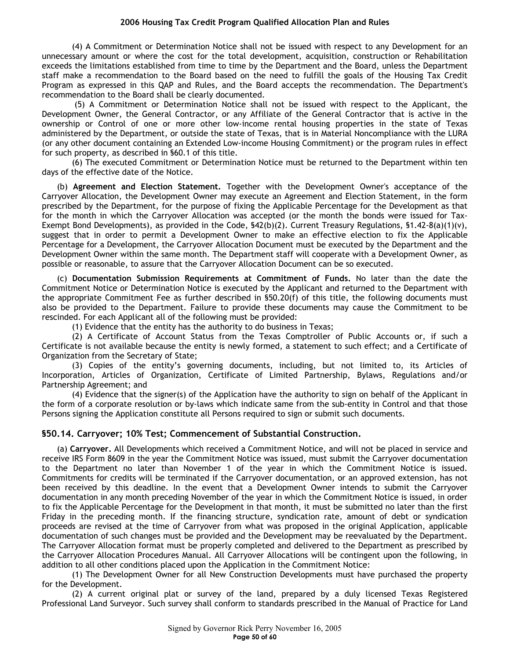(4) A Commitment or Determination Notice shall not be issued with respect to any Development for an unnecessary amount or where the cost for the total development, acquisition, construction or Rehabilitation exceeds the limitations established from time to time by the Department and the Board, unless the Department staff make a recommendation to the Board based on the need to fulfill the goals of the Housing Tax Credit Program as expressed in this QAP and Rules, and the Board accepts the recommendation. The Department's recommendation to the Board shall be clearly documented.

 (5) A Commitment or Determination Notice shall not be issued with respect to the Applicant, the Development Owner, the General Contractor, or any Affiliate of the General Contractor that is active in the ownership or Control of one or more other low-income rental housing properties in the state of Texas administered by the Department, or outside the state of Texas, that is in Material Noncompliance with the LURA (or any other document containing an Extended Low-income Housing Commitment) or the program rules in effect for such property, as described in §60.1 of this title.

(6) The executed Commitment or Determination Notice must be returned to the Department within ten days of the effective date of the Notice.

(b) **Agreement and Election Statement.** Together with the Development Owner's acceptance of the Carryover Allocation, the Development Owner may execute an Agreement and Election Statement, in the form prescribed by the Department, for the purpose of fixing the Applicable Percentage for the Development as that for the month in which the Carryover Allocation was accepted (or the month the bonds were issued for Tax-Exempt Bond Developments), as provided in the Code,  $$42(b)(2)$ . Current Treasury Regulations,  $$1.42-8(a)(1)(v)$ , suggest that in order to permit a Development Owner to make an effective election to fix the Applicable Percentage for a Development, the Carryover Allocation Document must be executed by the Department and the Development Owner within the same month. The Department staff will cooperate with a Development Owner, as possible or reasonable, to assure that the Carryover Allocation Document can be so executed.

(c) **Documentation Submission Requirements at Commitment of Funds.** No later than the date the Commitment Notice or Determination Notice is executed by the Applicant and returned to the Department with the appropriate Commitment Fee as further described in §50.20(f) of this title, the following documents must also be provided to the Department. Failure to provide these documents may cause the Commitment to be rescinded. For each Applicant all of the following must be provided:

(1) Evidence that the entity has the authority to do business in Texas;

(2) A Certificate of Account Status from the Texas Comptroller of Public Accounts or, if such a Certificate is not available because the entity is newly formed, a statement to such effect; and a Certificate of Organization from the Secretary of State;

(3) Copies of the entity's governing documents, including, but not limited to, its Articles of Incorporation, Articles of Organization, Certificate of Limited Partnership, Bylaws, Regulations and/or Partnership Agreement; and

(4) Evidence that the signer(s) of the Application have the authority to sign on behalf of the Applicant in the form of a corporate resolution or by-laws which indicate same from the sub-entity in Control and that those Persons signing the Application constitute all Persons required to sign or submit such documents.

## **§50.14. Carryover; 10% Test; Commencement of Substantial Construction.**

(a) **Carryover.** All Developments which received a Commitment Notice, and will not be placed in service and receive IRS Form 8609 in the year the Commitment Notice was issued, must submit the Carryover documentation to the Department no later than November 1 of the year in which the Commitment Notice is issued. Commitments for credits will be terminated if the Carryover documentation, or an approved extension, has not been received by this deadline. In the event that a Development Owner intends to submit the Carryover documentation in any month preceding November of the year in which the Commitment Notice is issued, in order to fix the Applicable Percentage for the Development in that month, it must be submitted no later than the first Friday in the preceding month. If the financing structure, syndication rate, amount of debt or syndication proceeds are revised at the time of Carryover from what was proposed in the original Application, applicable documentation of such changes must be provided and the Development may be reevaluated by the Department. The Carryover Allocation format must be properly completed and delivered to the Department as prescribed by the Carryover Allocation Procedures Manual. All Carryover Allocations will be contingent upon the following, in addition to all other conditions placed upon the Application in the Commitment Notice:

(1) The Development Owner for all New Construction Developments must have purchased the property for the Development.

(2) A current original plat or survey of the land, prepared by a duly licensed Texas Registered Professional Land Surveyor. Such survey shall conform to standards prescribed in the Manual of Practice for Land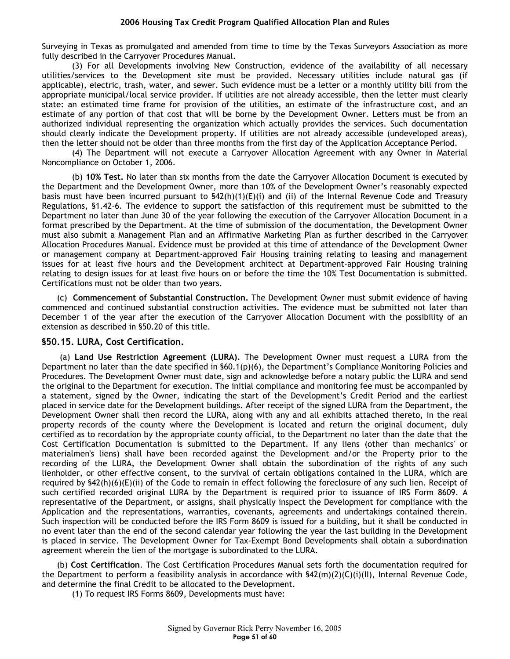Surveying in Texas as promulgated and amended from time to time by the Texas Surveyors Association as more fully described in the Carryover Procedures Manual.

(3) For all Developments involving New Construction, evidence of the availability of all necessary utilities/services to the Development site must be provided. Necessary utilities include natural gas (if applicable), electric, trash, water, and sewer. Such evidence must be a letter or a monthly utility bill from the appropriate municipal/local service provider. If utilities are not already accessible, then the letter must clearly state: an estimated time frame for provision of the utilities, an estimate of the infrastructure cost, and an estimate of any portion of that cost that will be borne by the Development Owner. Letters must be from an authorized individual representing the organization which actually provides the services. Such documentation should clearly indicate the Development property. If utilities are not already accessible (undeveloped areas), then the letter should not be older than three months from the first day of the Application Acceptance Period.

(4) The Department will not execute a Carryover Allocation Agreement with any Owner in Material Noncompliance on October 1, 2006.

(b) **10% Test.** No later than six months from the date the Carryover Allocation Document is executed by the Department and the Development Owner, more than 10% of the Development Owner's reasonably expected basis must have been incurred pursuant to  $$42(h)(1)(E)(i)$  and (ii) of the Internal Revenue Code and Treasury Regulations, §1.42-6. The evidence to support the satisfaction of this requirement must be submitted to the Department no later than June 30 of the year following the execution of the Carryover Allocation Document in a format prescribed by the Department. At the time of submission of the documentation, the Development Owner must also submit a Management Plan and an Affirmative Marketing Plan as further described in the Carryover Allocation Procedures Manual. Evidence must be provided at this time of attendance of the Development Owner or management company at Department-approved Fair Housing training relating to leasing and management issues for at least five hours and the Development architect at Department-approved Fair Housing training relating to design issues for at least five hours on or before the time the 10% Test Documentation is submitted. Certifications must not be older than two years.

(c) **Commencement of Substantial Construction.** The Development Owner must submit evidence of having commenced and continued substantial construction activities. The evidence must be submitted not later than December 1 of the year after the execution of the Carryover Allocation Document with the possibility of an extension as described in §50.20 of this title.

#### **§50.15. LURA, Cost Certification.**

(a) **Land Use Restriction Agreement (LURA).** The Development Owner must request a LURA from the Department no later than the date specified in §60.1(p)(6), the Department's Compliance Monitoring Policies and Procedures. The Development Owner must date, sign and acknowledge before a notary public the LURA and send the original to the Department for execution. The initial compliance and monitoring fee must be accompanied by a statement, signed by the Owner, indicating the start of the Development's Credit Period and the earliest placed in service date for the Development buildings. After receipt of the signed LURA from the Department, the Development Owner shall then record the LURA, along with any and all exhibits attached thereto, in the real property records of the county where the Development is located and return the original document, duly certified as to recordation by the appropriate county official, to the Department no later than the date that the Cost Certification Documentation is submitted to the Department. If any liens (other than mechanics' or materialmen's liens) shall have been recorded against the Development and/or the Property prior to the recording of the LURA, the Development Owner shall obtain the subordination of the rights of any such lienholder, or other effective consent, to the survival of certain obligations contained in the LURA, which are required by §42(h)(6)(E)(ii) of the Code to remain in effect following the foreclosure of any such lien. Receipt of such certified recorded original LURA by the Department is required prior to issuance of IRS Form 8609. A representative of the Department, or assigns, shall physically inspect the Development for compliance with the Application and the representations, warranties, covenants, agreements and undertakings contained therein. Such inspection will be conducted before the IRS Form 8609 is issued for a building, but it shall be conducted in no event later than the end of the second calendar year following the year the last building in the Development is placed in service. The Development Owner for Tax-Exempt Bond Developments shall obtain a subordination agreement wherein the lien of the mortgage is subordinated to the LURA.

(b) **Cost Certification**. The Cost Certification Procedures Manual sets forth the documentation required for the Department to perform a feasibility analysis in accordance with §42(m)(2)(C)(i)(II), Internal Revenue Code, and determine the final Credit to be allocated to the Development.

(1) To request IRS Forms 8609, Developments must have: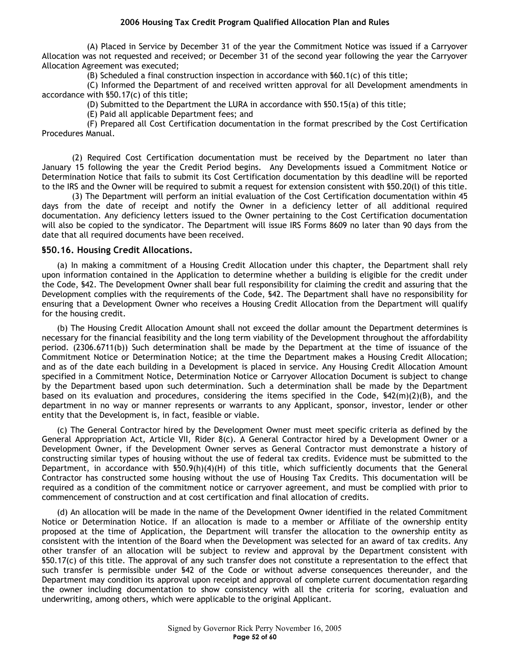(A) Placed in Service by December 31 of the year the Commitment Notice was issued if a Carryover Allocation was not requested and received; or December 31 of the second year following the year the Carryover Allocation Agreement was executed;

(B) Scheduled a final construction inspection in accordance with  $$60.1(c)$  of this title;

(C) Informed the Department of and received written approval for all Development amendments in accordance with §50.17(c) of this title;

(D) Submitted to the Department the LURA in accordance with §50.15(a) of this title;

(E) Paid all applicable Department fees; and

(F) Prepared all Cost Certification documentation in the format prescribed by the Cost Certification Procedures Manual.

(2) Required Cost Certification documentation must be received by the Department no later than January 15 following the year the Credit Period begins. Any Developments issued a Commitment Notice or Determination Notice that fails to submit its Cost Certification documentation by this deadline will be reported to the IRS and the Owner will be required to submit a request for extension consistent with §50.20(l) of this title.

(3) The Department will perform an initial evaluation of the Cost Certification documentation within 45 days from the date of receipt and notify the Owner in a deficiency letter of all additional required documentation. Any deficiency letters issued to the Owner pertaining to the Cost Certification documentation will also be copied to the syndicator. The Department will issue IRS Forms 8609 no later than 90 days from the date that all required documents have been received.

#### **§50.16. Housing Credit Allocations.**

(a) In making a commitment of a Housing Credit Allocation under this chapter, the Department shall rely upon information contained in the Application to determine whether a building is eligible for the credit under the Code, §42. The Development Owner shall bear full responsibility for claiming the credit and assuring that the Development complies with the requirements of the Code, §42. The Department shall have no responsibility for ensuring that a Development Owner who receives a Housing Credit Allocation from the Department will qualify for the housing credit.

(b) The Housing Credit Allocation Amount shall not exceed the dollar amount the Department determines is necessary for the financial feasibility and the long term viability of the Development throughout the affordability period. (2306.6711(b)) Such determination shall be made by the Department at the time of issuance of the Commitment Notice or Determination Notice; at the time the Department makes a Housing Credit Allocation; and as of the date each building in a Development is placed in service. Any Housing Credit Allocation Amount specified in a Commitment Notice, Determination Notice or Carryover Allocation Document is subject to change by the Department based upon such determination. Such a determination shall be made by the Department based on its evaluation and procedures, considering the items specified in the Code, §42(m)(2)(B), and the department in no way or manner represents or warrants to any Applicant, sponsor, investor, lender or other entity that the Development is, in fact, feasible or viable.

(c) The General Contractor hired by the Development Owner must meet specific criteria as defined by the General Appropriation Act, Article VII, Rider 8(c). A General Contractor hired by a Development Owner or a Development Owner, if the Development Owner serves as General Contractor must demonstrate a history of constructing similar types of housing without the use of federal tax credits. Evidence must be submitted to the Department, in accordance with §50.9(h)(4)(H) of this title, which sufficiently documents that the General Contractor has constructed some housing without the use of Housing Tax Credits. This documentation will be required as a condition of the commitment notice or carryover agreement, and must be complied with prior to commencement of construction and at cost certification and final allocation of credits.

(d) An allocation will be made in the name of the Development Owner identified in the related Commitment Notice or Determination Notice. If an allocation is made to a member or Affiliate of the ownership entity proposed at the time of Application, the Department will transfer the allocation to the ownership entity as consistent with the intention of the Board when the Development was selected for an award of tax credits. Any other transfer of an allocation will be subject to review and approval by the Department consistent with §50.17(c) of this title. The approval of any such transfer does not constitute a representation to the effect that such transfer is permissible under §42 of the Code or without adverse consequences thereunder, and the Department may condition its approval upon receipt and approval of complete current documentation regarding the owner including documentation to show consistency with all the criteria for scoring, evaluation and underwriting, among others, which were applicable to the original Applicant.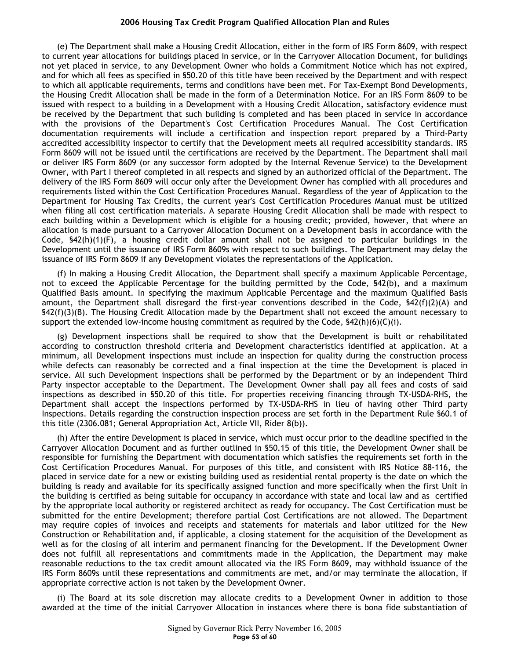(e) The Department shall make a Housing Credit Allocation, either in the form of IRS Form 8609, with respect to current year allocations for buildings placed in service, or in the Carryover Allocation Document, for buildings not yet placed in service, to any Development Owner who holds a Commitment Notice which has not expired, and for which all fees as specified in §50.20 of this title have been received by the Department and with respect to which all applicable requirements, terms and conditions have been met. For Tax-Exempt Bond Developments, the Housing Credit Allocation shall be made in the form of a Determination Notice. For an IRS Form 8609 to be issued with respect to a building in a Development with a Housing Credit Allocation, satisfactory evidence must be received by the Department that such building is completed and has been placed in service in accordance with the provisions of the Department's Cost Certification Procedures Manual. The Cost Certification documentation requirements will include a certification and inspection report prepared by a Third-Party accredited accessibility inspector to certify that the Development meets all required accessibility standards. IRS Form 8609 will not be issued until the certifications are received by the Department. The Department shall mail or deliver IRS Form 8609 (or any successor form adopted by the Internal Revenue Service) to the Development Owner, with Part I thereof completed in all respects and signed by an authorized official of the Department. The delivery of the IRS Form 8609 will occur only after the Development Owner has complied with all procedures and requirements listed within the Cost Certification Procedures Manual. Regardless of the year of Application to the Department for Housing Tax Credits, the current year's Cost Certification Procedures Manual must be utilized when filing all cost certification materials. A separate Housing Credit Allocation shall be made with respect to each building within a Development which is eligible for a housing credit; provided, however, that where an allocation is made pursuant to a Carryover Allocation Document on a Development basis in accordance with the Code, §42(h)(1)(F), a housing credit dollar amount shall not be assigned to particular buildings in the Development until the issuance of IRS Form 8609s with respect to such buildings. The Department may delay the issuance of IRS Form 8609 if any Development violates the representations of the Application.

(f) In making a Housing Credit Allocation, the Department shall specify a maximum Applicable Percentage, not to exceed the Applicable Percentage for the building permitted by the Code, §42(b), and a maximum Qualified Basis amount. In specifying the maximum Applicable Percentage and the maximum Qualified Basis amount, the Department shall disregard the first-year conventions described in the Code, §42(f)(2)(A) and §42(f)(3)(B). The Housing Credit Allocation made by the Department shall not exceed the amount necessary to support the extended low-income housing commitment as required by the Code,  $\frac{642(h)(6)(C(i))}{2}$ .

(g) Development inspections shall be required to show that the Development is built or rehabilitated according to construction threshold criteria and Development characteristics identified at application. At a minimum, all Development inspections must include an inspection for quality during the construction process while defects can reasonably be corrected and a final inspection at the time the Development is placed in service. All such Development inspections shall be performed by the Department or by an independent Third Party inspector acceptable to the Department. The Development Owner shall pay all fees and costs of said inspections as described in §50.20 of this title. For properties receiving financing through TX-USDA-RHS, the Department shall accept the inspections performed by TX-USDA-RHS in lieu of having other Third party Inspections. Details regarding the construction inspection process are set forth in the Department Rule §60.1 of this title (2306.081; General Appropriation Act, Article VII, Rider 8(b)).

(h) After the entire Development is placed in service, which must occur prior to the deadline specified in the Carryover Allocation Document and as further outlined in §50.15 of this title, the Development Owner shall be responsible for furnishing the Department with documentation which satisfies the requirements set forth in the Cost Certification Procedures Manual. For purposes of this title, and consistent with IRS Notice 88-116, the placed in service date for a new or existing building used as residential rental property is the date on which the building is ready and available for its specifically assigned function and more specifically when the first Unit in the building is certified as being suitable for occupancy in accordance with state and local law and as certified by the appropriate local authority or registered architect as ready for occupancy. The Cost Certification must be submitted for the entire Development; therefore partial Cost Certifications are not allowed. The Department may require copies of invoices and receipts and statements for materials and labor utilized for the New Construction or Rehabilitation and, if applicable, a closing statement for the acquisition of the Development as well as for the closing of all interim and permanent financing for the Development. If the Development Owner does not fulfill all representations and commitments made in the Application, the Department may make reasonable reductions to the tax credit amount allocated via the IRS Form 8609, may withhold issuance of the IRS Form 8609s until these representations and commitments are met, and/or may terminate the allocation, if appropriate corrective action is not taken by the Development Owner.

(i) The Board at its sole discretion may allocate credits to a Development Owner in addition to those awarded at the time of the initial Carryover Allocation in instances where there is bona fide substantiation of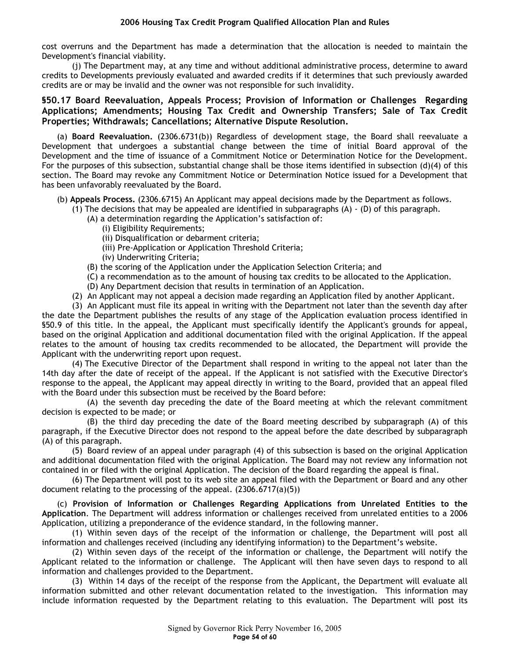cost overruns and the Department has made a determination that the allocation is needed to maintain the Development's financial viability.

(j) The Department may, at any time and without additional administrative process, determine to award credits to Developments previously evaluated and awarded credits if it determines that such previously awarded credits are or may be invalid and the owner was not responsible for such invalidity.

# **§50.17 Board Reevaluation, Appeals Process; Provision of Information or Challenges Regarding Applications; Amendments; Housing Tax Credit and Ownership Transfers; Sale of Tax Credit Properties; Withdrawals; Cancellations; Alternative Dispute Resolution.**

(a) **Board Reevaluation.** (2306.6731(b)) Regardless of development stage, the Board shall reevaluate a Development that undergoes a substantial change between the time of initial Board approval of the Development and the time of issuance of a Commitment Notice or Determination Notice for the Development. For the purposes of this subsection, substantial change shall be those items identified in subsection (d)(4) of this section. The Board may revoke any Commitment Notice or Determination Notice issued for a Development that has been unfavorably reevaluated by the Board.

- (b) **Appeals Process.** (2306.6715) An Applicant may appeal decisions made by the Department as follows.
	- (1) The decisions that may be appealed are identified in subparagraphs  $(A) (D)$  of this paragraph.
		- (A) a determination regarding the Application's satisfaction of:
			- (i) Eligibility Requirements;
			- (ii) Disqualification or debarment criteria;
			- (iii) Pre-Application or Application Threshold Criteria;
			- (iv) Underwriting Criteria;
		- (B) the scoring of the Application under the Application Selection Criteria; and
		- (C) a recommendation as to the amount of housing tax credits to be allocated to the Application.
		- (D) Any Department decision that results in termination of an Application.
	- (2) An Applicant may not appeal a decision made regarding an Application filed by another Applicant.

(3) An Applicant must file its appeal in writing with the Department not later than the seventh day after the date the Department publishes the results of any stage of the Application evaluation process identified in §50.9 of this title. In the appeal, the Applicant must specifically identify the Applicant's grounds for appeal, based on the original Application and additional documentation filed with the original Application. If the appeal relates to the amount of housing tax credits recommended to be allocated, the Department will provide the Applicant with the underwriting report upon request.

(4) The Executive Director of the Department shall respond in writing to the appeal not later than the 14th day after the date of receipt of the appeal. If the Applicant is not satisfied with the Executive Director's response to the appeal, the Applicant may appeal directly in writing to the Board, provided that an appeal filed with the Board under this subsection must be received by the Board before:

(A) the seventh day preceding the date of the Board meeting at which the relevant commitment decision is expected to be made; or

(B) the third day preceding the date of the Board meeting described by subparagraph (A) of this paragraph, if the Executive Director does not respond to the appeal before the date described by subparagraph (A) of this paragraph.

(5) Board review of an appeal under paragraph (4) of this subsection is based on the original Application and additional documentation filed with the original Application. The Board may not review any information not contained in or filed with the original Application. The decision of the Board regarding the appeal is final.

(6) The Department will post to its web site an appeal filed with the Department or Board and any other document relating to the processing of the appeal. (2306.6717(a)(5))

(c) **Provision of Information or Challenges Regarding Applications from Unrelated Entities to the Application**. The Department will address information or challenges received from unrelated entities to a 2006 Application, utilizing a preponderance of the evidence standard, in the following manner.

(1) Within seven days of the receipt of the information or challenge, the Department will post all information and challenges received (including any identifying information) to the Department's website.

(2) Within seven days of the receipt of the information or challenge, the Department will notify the Applicant related to the information or challenge. The Applicant will then have seven days to respond to all information and challenges provided to the Department.

(3) Within 14 days of the receipt of the response from the Applicant, the Department will evaluate all information submitted and other relevant documentation related to the investigation. This information may include information requested by the Department relating to this evaluation. The Department will post its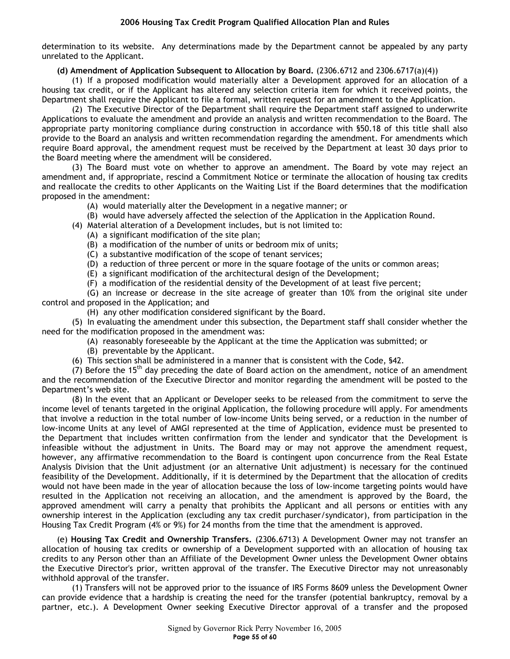determination to its website. Any determinations made by the Department cannot be appealed by any party unrelated to the Applicant.

#### **(d) Amendment of Application Subsequent to Allocation by Board.** (2306.6712 and 2306.6717(a)(4))

(1) If a proposed modification would materially alter a Development approved for an allocation of a housing tax credit, or if the Applicant has altered any selection criteria item for which it received points, the Department shall require the Applicant to file a formal, written request for an amendment to the Application.

(2) The Executive Director of the Department shall require the Department staff assigned to underwrite Applications to evaluate the amendment and provide an analysis and written recommendation to the Board. The appropriate party monitoring compliance during construction in accordance with §50.18 of this title shall also provide to the Board an analysis and written recommendation regarding the amendment. For amendments which require Board approval, the amendment request must be received by the Department at least 30 days prior to the Board meeting where the amendment will be considered.

(3) The Board must vote on whether to approve an amendment. The Board by vote may reject an amendment and, if appropriate, rescind a Commitment Notice or terminate the allocation of housing tax credits and reallocate the credits to other Applicants on the Waiting List if the Board determines that the modification proposed in the amendment:

- (A) would materially alter the Development in a negative manner; or
- (B) would have adversely affected the selection of the Application in the Application Round.
- (4) Material alteration of a Development includes, but is not limited to:
	- (A) a significant modification of the site plan;
	- (B) a modification of the number of units or bedroom mix of units;
	- (C) a substantive modification of the scope of tenant services;
	- (D) a reduction of three percent or more in the square footage of the units or common areas;
	- (E) a significant modification of the architectural design of the Development;
	- (F) a modification of the residential density of the Development of at least five percent;

(G) an increase or decrease in the site acreage of greater than 10% from the original site under control and proposed in the Application; and

(H) any other modification considered significant by the Board.

(5) In evaluating the amendment under this subsection, the Department staff shall consider whether the need for the modification proposed in the amendment was:

- (A) reasonably foreseeable by the Applicant at the time the Application was submitted; or
- (B) preventable by the Applicant.
- (6) This section shall be administered in a manner that is consistent with the Code, §42.

(7) Before the 15<sup>th</sup> day preceding the date of Board action on the amendment, notice of an amendment and the recommendation of the Executive Director and monitor regarding the amendment will be posted to the Department's web site.

(8) In the event that an Applicant or Developer seeks to be released from the commitment to serve the income level of tenants targeted in the original Application, the following procedure will apply. For amendments that involve a reduction in the total number of low-income Units being served, or a reduction in the number of low-income Units at any level of AMGI represented at the time of Application, evidence must be presented to the Department that includes written confirmation from the lender and syndicator that the Development is infeasible without the adjustment in Units. The Board may or may not approve the amendment request, however, any affirmative recommendation to the Board is contingent upon concurrence from the Real Estate Analysis Division that the Unit adjustment (or an alternative Unit adjustment) is necessary for the continued feasibility of the Development. Additionally, if it is determined by the Department that the allocation of credits would not have been made in the year of allocation because the loss of low-income targeting points would have resulted in the Application not receiving an allocation, and the amendment is approved by the Board, the approved amendment will carry a penalty that prohibits the Applicant and all persons or entities with any ownership interest in the Application (excluding any tax credit purchaser/syndicator), from participation in the Housing Tax Credit Program (4% or 9%) for 24 months from the time that the amendment is approved.

(e) **Housing Tax Credit and Ownership Transfers.** (2306.6713) A Development Owner may not transfer an allocation of housing tax credits or ownership of a Development supported with an allocation of housing tax credits to any Person other than an Affiliate of the Development Owner unless the Development Owner obtains the Executive Director's prior, written approval of the transfer. The Executive Director may not unreasonably withhold approval of the transfer.

(1) Transfers will not be approved prior to the issuance of IRS Forms 8609 unless the Development Owner can provide evidence that a hardship is creating the need for the transfer (potential bankruptcy, removal by a partner, etc.). A Development Owner seeking Executive Director approval of a transfer and the proposed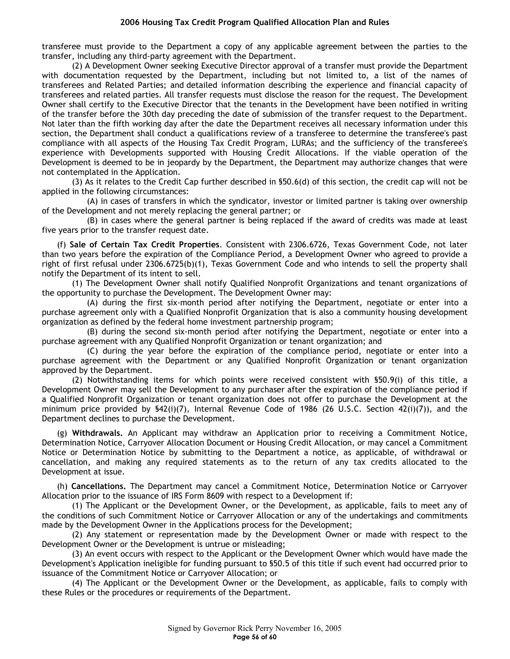transferee must provide to the Department a copy of any applicable agreement between the parties to the transfer, including any third-party agreement with the Department.

(2) A Development Owner seeking Executive Director approval of a transfer must provide the Department with documentation requested by the Department, including but not limited to, a list of the names of transferees and Related Parties; and detailed information describing the experience and financial capacity of transferees and related parties. All transfer requests must disclose the reason for the request. The Development Owner shall certify to the Executive Director that the tenants in the Development have been notified in writing of the transfer before the 30th day preceding the date of submission of the transfer request to the Department. Not later than the fifth working day after the date the Department receives all necessary information under this section, the Department shall conduct a qualifications review of a transferee to determine the transferee's past compliance with all aspects of the Housing Tax Credit Program, LURAs; and the sufficiency of the transferee's experience with Developments supported with Housing Credit Allocations. If the viable operation of the Development is deemed to be in jeopardy by the Department, the Department may authorize changes that were not contemplated in the Application.

(3) As it relates to the Credit Cap further described in §50.6(d) of this section, the credit cap will not be applied in the following circumstances:

(A) in cases of transfers in which the syndicator, investor or limited partner is taking over ownership of the Development and not merely replacing the general partner; or

(B) in cases where the general partner is being replaced if the award of credits was made at least five years prior to the transfer request date.

(f) **Sale of Certain Tax Credit Properties**. Consistent with 2306.6726, Texas Government Code, not later than two years before the expiration of the Compliance Period, a Development Owner who agreed to provide a right of first refusal under 2306.6725(b)(1), Texas Government Code and who intends to sell the property shall notify the Department of its intent to sell.

(1) The Development Owner shall notify Qualified Nonprofit Organizations and tenant organizations of the opportunity to purchase the Development. The Development Owner may:

(A) during the first six-month period after notifying the Department, negotiate or enter into a purchase agreement only with a Qualified Nonprofit Organization that is also a community housing development organization as defined by the federal home investment partnership program;

(B) during the second six-month period after notifying the Department, negotiate or enter into a purchase agreement with any Qualified Nonprofit Organization or tenant organization; and

(C) during the year before the expiration of the compliance period, negotiate or enter into a purchase agreement with the Department or any Qualified Nonprofit Organization or tenant organization approved by the Department.

(2) Notwithstanding items for which points were received consistent with §50.9(i) of this title, a Development Owner may sell the Development to any purchaser after the expiration of the compliance period if a Qualified Nonprofit Organization or tenant organization does not offer to purchase the Development at the minimum price provided by §42(i)(7), Internal Revenue Code of 1986 (26 U.S.C. Section 42(i)(7)), and the Department declines to purchase the Development.

(g) **Withdrawals.** An Applicant may withdraw an Application prior to receiving a Commitment Notice, Determination Notice, Carryover Allocation Document or Housing Credit Allocation, or may cancel a Commitment Notice or Determination Notice by submitting to the Department a notice, as applicable, of withdrawal or cancellation, and making any required statements as to the return of any tax credits allocated to the Development at issue.

(h) **Cancellations.** The Department may cancel a Commitment Notice, Determination Notice or Carryover Allocation prior to the issuance of IRS Form 8609 with respect to a Development if:

(1) The Applicant or the Development Owner, or the Development, as applicable, fails to meet any of the conditions of such Commitment Notice or Carryover Allocation or any of the undertakings and commitments made by the Development Owner in the Applications process for the Development;

(2) Any statement or representation made by the Development Owner or made with respect to the Development Owner or the Development is untrue or misleading;

(3) An event occurs with respect to the Applicant or the Development Owner which would have made the Development's Application ineligible for funding pursuant to §50.5 of this title if such event had occurred prior to issuance of the Commitment Notice or Carryover Allocation; or

(4) The Applicant or the Development Owner or the Development, as applicable, fails to comply with these Rules or the procedures or requirements of the Department.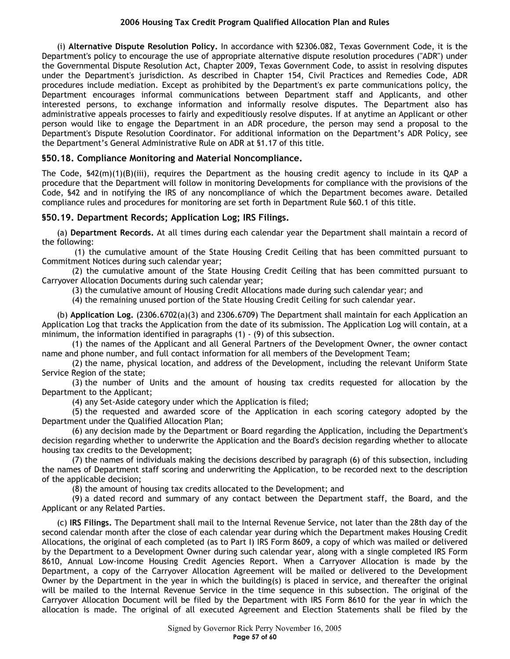(i) **Alternative Dispute Resolution Policy.** In accordance with §2306.082, Texas Government Code, it is the Department's policy to encourage the use of appropriate alternative dispute resolution procedures ("ADR") under the Governmental Dispute Resolution Act, Chapter 2009, Texas Government Code, to assist in resolving disputes under the Department's jurisdiction. As described in Chapter 154, Civil Practices and Remedies Code, ADR procedures include mediation. Except as prohibited by the Department's ex parte communications policy, the Department encourages informal communications between Department staff and Applicants, and other interested persons, to exchange information and informally resolve disputes. The Department also has administrative appeals processes to fairly and expeditiously resolve disputes. If at anytime an Applicant or other person would like to engage the Department in an ADR procedure, the person may send a proposal to the Department's Dispute Resolution Coordinator. For additional information on the Department's ADR Policy, see the Department's General Administrative Rule on ADR at §1.17 of this title.

# **§50.18. Compliance Monitoring and Material Noncompliance.**

The Code,  $\frac{642(m)(1)(B)}{i^2}$ , requires the Department as the housing credit agency to include in its QAP a procedure that the Department will follow in monitoring Developments for compliance with the provisions of the Code, §42 and in notifying the IRS of any noncompliance of which the Department becomes aware. Detailed compliance rules and procedures for monitoring are set forth in Department Rule §60.1 of this title.

# **§50.19. Department Records; Application Log; IRS Filings.**

(a) **Department Records.** At all times during each calendar year the Department shall maintain a record of the following:

 (1) the cumulative amount of the State Housing Credit Ceiling that has been committed pursuant to Commitment Notices during such calendar year;

(2) the cumulative amount of the State Housing Credit Ceiling that has been committed pursuant to Carryover Allocation Documents during such calendar year;

(3) the cumulative amount of Housing Credit Allocations made during such calendar year; and

(4) the remaining unused portion of the State Housing Credit Ceiling for such calendar year.

(b) **Application Log.** (2306.6702(a)(3) and 2306.6709) The Department shall maintain for each Application an Application Log that tracks the Application from the date of its submission. The Application Log will contain, at a minimum, the information identified in paragraphs (1) - (9) of this subsection.

(1) the names of the Applicant and all General Partners of the Development Owner, the owner contact name and phone number, and full contact information for all members of the Development Team;

(2) the name, physical location, and address of the Development, including the relevant Uniform State Service Region of the state;

(3) the number of Units and the amount of housing tax credits requested for allocation by the Department to the Applicant;

(4) any Set-Aside category under which the Application is filed;

(5) the requested and awarded score of the Application in each scoring category adopted by the Department under the Qualified Allocation Plan;

(6) any decision made by the Department or Board regarding the Application, including the Department's decision regarding whether to underwrite the Application and the Board's decision regarding whether to allocate housing tax credits to the Development;

(7) the names of individuals making the decisions described by paragraph (6) of this subsection, including the names of Department staff scoring and underwriting the Application, to be recorded next to the description of the applicable decision;

(8) the amount of housing tax credits allocated to the Development; and

(9) a dated record and summary of any contact between the Department staff, the Board, and the Applicant or any Related Parties.

(c) **IRS Filings.** The Department shall mail to the Internal Revenue Service, not later than the 28th day of the second calendar month after the close of each calendar year during which the Department makes Housing Credit Allocations, the original of each completed (as to Part I) IRS Form 8609, a copy of which was mailed or delivered by the Department to a Development Owner during such calendar year, along with a single completed IRS Form 8610, Annual Low-income Housing Credit Agencies Report. When a Carryover Allocation is made by the Department, a copy of the Carryover Allocation Agreement will be mailed or delivered to the Development Owner by the Department in the year in which the building(s) is placed in service, and thereafter the original will be mailed to the Internal Revenue Service in the time sequence in this subsection. The original of the Carryover Allocation Document will be filed by the Department with IRS Form 8610 for the year in which the allocation is made. The original of all executed Agreement and Election Statements shall be filed by the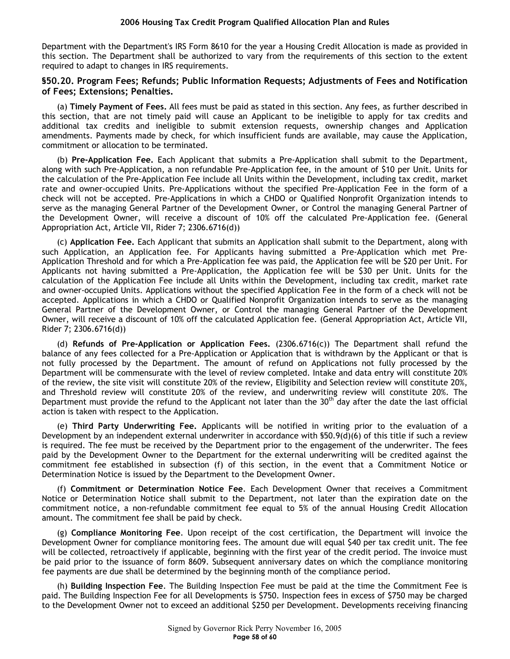Department with the Department's IRS Form 8610 for the year a Housing Credit Allocation is made as provided in this section. The Department shall be authorized to vary from the requirements of this section to the extent required to adapt to changes in IRS requirements.

## **§50.20. Program Fees; Refunds; Public Information Requests; Adjustments of Fees and Notification of Fees; Extensions; Penalties.**

(a) **Timely Payment of Fees.** All fees must be paid as stated in this section. Any fees, as further described in this section, that are not timely paid will cause an Applicant to be ineligible to apply for tax credits and additional tax credits and ineligible to submit extension requests, ownership changes and Application amendments. Payments made by check, for which insufficient funds are available, may cause the Application, commitment or allocation to be terminated.

(b) **Pre-Application Fee.** Each Applicant that submits a Pre-Application shall submit to the Department, along with such Pre-Application, a non refundable Pre-Application fee, in the amount of \$10 per Unit. Units for the calculation of the Pre-Application Fee include all Units within the Development, including tax credit, market rate and owner-occupied Units. Pre-Applications without the specified Pre-Application Fee in the form of a check will not be accepted. Pre-Applications in which a CHDO or Qualified Nonprofit Organization intends to serve as the managing General Partner of the Development Owner, or Control the managing General Partner of the Development Owner, will receive a discount of 10% off the calculated Pre-Application fee. (General Appropriation Act, Article VII, Rider 7; 2306.6716(d))

(c) **Application Fee.** Each Applicant that submits an Application shall submit to the Department, along with such Application, an Application fee. For Applicants having submitted a Pre-Application which met Pre-Application Threshold and for which a Pre-Application fee was paid, the Application fee will be \$20 per Unit. For Applicants not having submitted a Pre-Application, the Application fee will be \$30 per Unit. Units for the calculation of the Application Fee include all Units within the Development, including tax credit, market rate and owner-occupied Units. Applications without the specified Application Fee in the form of a check will not be accepted. Applications in which a CHDO or Qualified Nonprofit Organization intends to serve as the managing General Partner of the Development Owner, or Control the managing General Partner of the Development Owner, will receive a discount of 10% off the calculated Application fee. (General Appropriation Act, Article VII, Rider 7; 2306.6716(d))

(d) **Refunds of Pre-Application or Application Fees.** (2306.6716(c)) The Department shall refund the balance of any fees collected for a Pre-Application or Application that is withdrawn by the Applicant or that is not fully processed by the Department. The amount of refund on Applications not fully processed by the Department will be commensurate with the level of review completed. Intake and data entry will constitute 20% of the review, the site visit will constitute 20% of the review, Eligibility and Selection review will constitute 20%, and Threshold review will constitute 20% of the review, and underwriting review will constitute 20%. The Department must provide the refund to the Applicant not later than the  $30^{th}$  day after the date the last official action is taken with respect to the Application.

(e) **Third Party Underwriting Fee.** Applicants will be notified in writing prior to the evaluation of a Development by an independent external underwriter in accordance with §50.9(d)(6) of this title if such a review is required. The fee must be received by the Department prior to the engagement of the underwriter. The fees paid by the Development Owner to the Department for the external underwriting will be credited against the commitment fee established in subsection (f) of this section, in the event that a Commitment Notice or Determination Notice is issued by the Department to the Development Owner.

(f) **Commitment or Determination Notice Fee**. Each Development Owner that receives a Commitment Notice or Determination Notice shall submit to the Department, not later than the expiration date on the commitment notice, a non-refundable commitment fee equal to 5% of the annual Housing Credit Allocation amount. The commitment fee shall be paid by check.

(g) **Compliance Monitoring Fee**. Upon receipt of the cost certification, the Department will invoice the Development Owner for compliance monitoring fees. The amount due will equal \$40 per tax credit unit. The fee will be collected, retroactively if applicable, beginning with the first year of the credit period. The invoice must be paid prior to the issuance of form 8609. Subsequent anniversary dates on which the compliance monitoring fee payments are due shall be determined by the beginning month of the compliance period.

(h) **Building Inspection Fee**. The Building Inspection Fee must be paid at the time the Commitment Fee is paid. The Building Inspection Fee for all Developments is \$750. Inspection fees in excess of \$750 may be charged to the Development Owner not to exceed an additional \$250 per Development. Developments receiving financing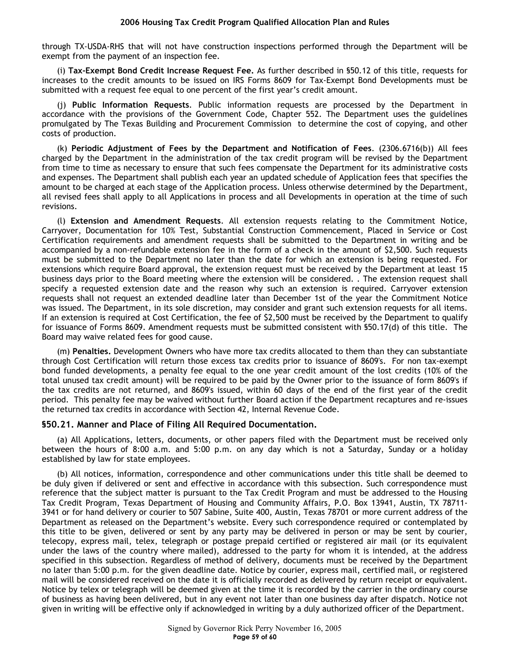through TX-USDA-RHS that will not have construction inspections performed through the Department will be exempt from the payment of an inspection fee.

(i) **Tax-Exempt Bond Credit Increase Request Fee.** As further described in §50.12 of this title, requests for increases to the credit amounts to be issued on IRS Forms 8609 for Tax-Exempt Bond Developments must be submitted with a request fee equal to one percent of the first year's credit amount.

(j) **Public Information Requests**. Public information requests are processed by the Department in accordance with the provisions of the Government Code, Chapter 552. The Department uses the guidelines promulgated by The Texas Building and Procurement Commission to determine the cost of copying, and other costs of production.

(k) **Periodic Adjustment of Fees by the Department and Notification of Fees**. (2306.6716(b)) All fees charged by the Department in the administration of the tax credit program will be revised by the Department from time to time as necessary to ensure that such fees compensate the Department for its administrative costs and expenses. The Department shall publish each year an updated schedule of Application fees that specifies the amount to be charged at each stage of the Application process. Unless otherwise determined by the Department, all revised fees shall apply to all Applications in process and all Developments in operation at the time of such revisions.

(l) **Extension and Amendment Requests**. All extension requests relating to the Commitment Notice, Carryover, Documentation for 10% Test, Substantial Construction Commencement, Placed in Service or Cost Certification requirements and amendment requests shall be submitted to the Department in writing and be accompanied by a non-refundable extension fee in the form of a check in the amount of \$2,500. Such requests must be submitted to the Department no later than the date for which an extension is being requested. For extensions which require Board approval, the extension request must be received by the Department at least 15 business days prior to the Board meeting where the extension will be considered. . The extension request shall specify a requested extension date and the reason why such an extension is required. Carryover extension requests shall not request an extended deadline later than December 1st of the year the Commitment Notice was issued. The Department, in its sole discretion, may consider and grant such extension requests for all items. If an extension is required at Cost Certification, the fee of \$2,500 must be received by the Department to qualify for issuance of Forms 8609. Amendment requests must be submitted consistent with §50.17(d) of this title. The Board may waive related fees for good cause.

(m) **Penalties.** Development Owners who have more tax credits allocated to them than they can substantiate through Cost Certification will return those excess tax credits prior to issuance of 8609's. For non tax-exempt bond funded developments, a penalty fee equal to the one year credit amount of the lost credits (10% of the total unused tax credit amount) will be required to be paid by the Owner prior to the issuance of form 8609's if the tax credits are not returned, and 8609's issued, within 60 days of the end of the first year of the credit period. This penalty fee may be waived without further Board action if the Department recaptures and re-issues the returned tax credits in accordance with Section 42, Internal Revenue Code.

#### **§50.21. Manner and Place of Filing All Required Documentation.**

(a) All Applications, letters, documents, or other papers filed with the Department must be received only between the hours of 8:00 a.m. and 5:00 p.m. on any day which is not a Saturday, Sunday or a holiday established by law for state employees.

(b) All notices, information, correspondence and other communications under this title shall be deemed to be duly given if delivered or sent and effective in accordance with this subsection. Such correspondence must reference that the subject matter is pursuant to the Tax Credit Program and must be addressed to the Housing Tax Credit Program, Texas Department of Housing and Community Affairs, P.O. Box 13941, Austin, TX 78711- 3941 or for hand delivery or courier to 507 Sabine, Suite 400, Austin, Texas 78701 or more current address of the Department as released on the Department's website. Every such correspondence required or contemplated by this title to be given, delivered or sent by any party may be delivered in person or may be sent by courier, telecopy, express mail, telex, telegraph or postage prepaid certified or registered air mail (or its equivalent under the laws of the country where mailed), addressed to the party for whom it is intended, at the address specified in this subsection. Regardless of method of delivery, documents must be received by the Department no later than 5:00 p.m. for the given deadline date. Notice by courier, express mail, certified mail, or registered mail will be considered received on the date it is officially recorded as delivered by return receipt or equivalent. Notice by telex or telegraph will be deemed given at the time it is recorded by the carrier in the ordinary course of business as having been delivered, but in any event not later than one business day after dispatch. Notice not given in writing will be effective only if acknowledged in writing by a duly authorized officer of the Department.